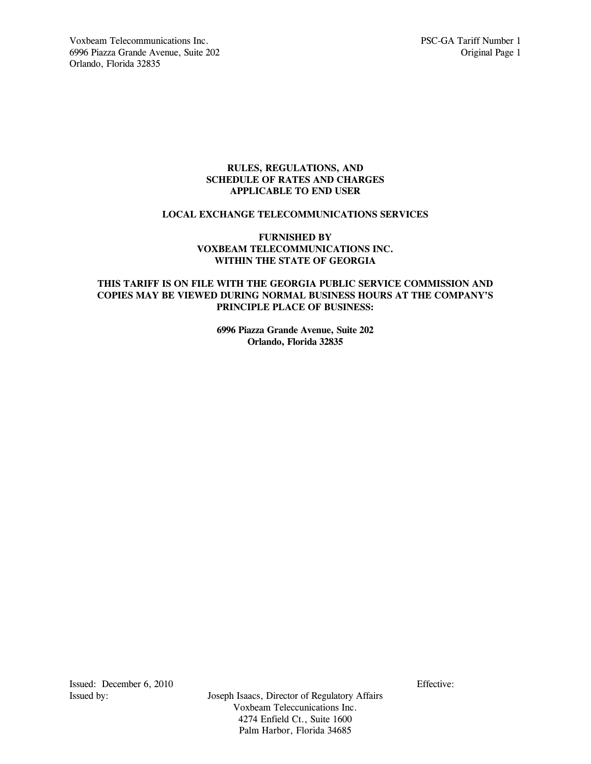# **RULES, REGULATIONS, AND SCHEDULE OF RATES AND CHARGES APPLICABLE TO END USER**

# **LOCAL EXCHANGE TELECOMMUNICATIONS SERVICES**

# **FURNISHED BY VOXBEAM TELECOMMUNICATIONS INC. WITHIN THE STATE OF GEORGIA**

# **THIS TARIFF IS ON FILE WITH THE GEORGIA PUBLIC SERVICE COMMISSION AND COPIES MAY BE VIEWED DURING NORMAL BUSINESS HOURS AT THE COMPANY'S PRINCIPLE PLACE OF BUSINESS:**

**6996 Piazza Grande Avenue, Suite 202 Orlando, Florida 32835** 

Issued: December 6, 2010 Effective: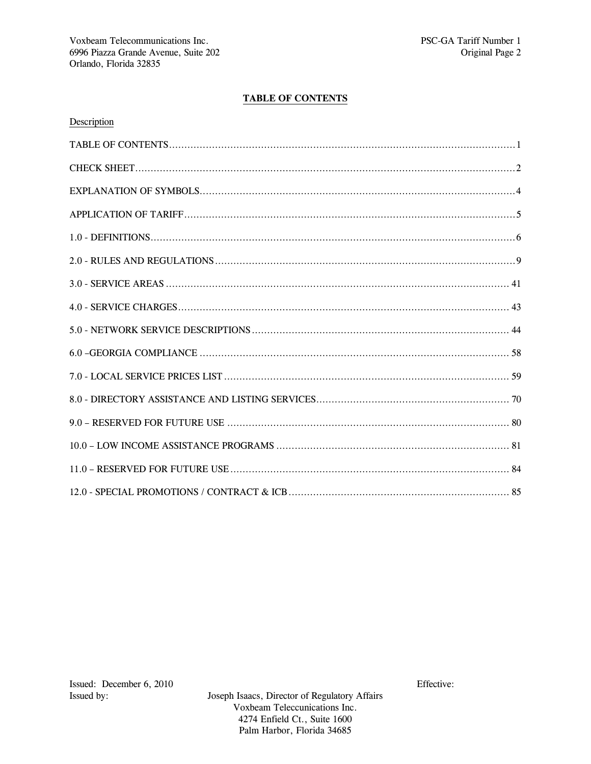# **TABLE OF CONTENTS**

| Description |  |
|-------------|--|
|             |  |
|             |  |
|             |  |
|             |  |
|             |  |
|             |  |
|             |  |
|             |  |
|             |  |
|             |  |
|             |  |
|             |  |
|             |  |
|             |  |
|             |  |
|             |  |

Joseph Isaacs, Director of Regulatory Affairs Voxbeam Teleccunications Inc. 4274 Enfield Ct., Suite 1600 Palm Harbor, Florida 34685

Effective: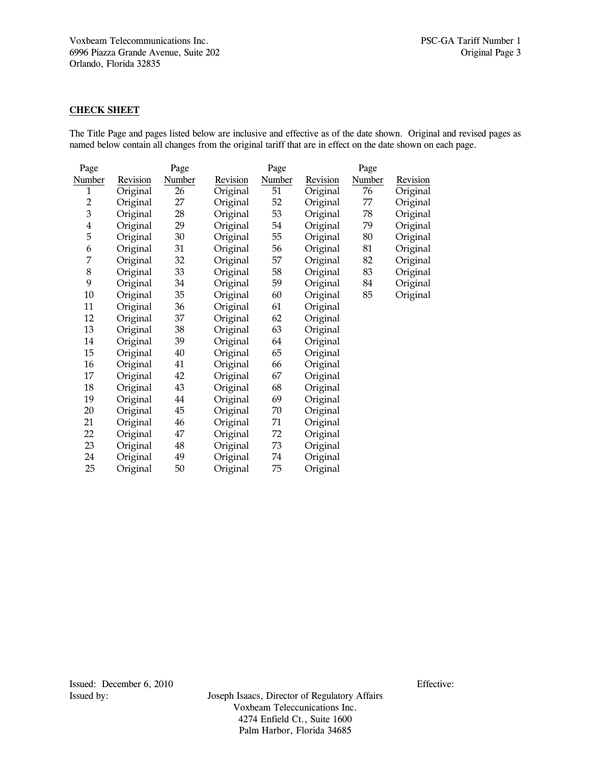# **CHECK SHEET**

The Title Page and pages listed below are inclusive and effective as of the date shown. Original and revised pages as named below contain all changes from the original tariff that are in effect on the date shown on each page.

| Page   |          | Page   |          | Page          |          | Page   |          |
|--------|----------|--------|----------|---------------|----------|--------|----------|
| Number | Revision | Number | Revision | <b>Number</b> | Revision | Number | Revision |
| 1      | Original | 26     | Original | 51            | Original | 76     | Original |
| 2      | Original | 27     | Original | 52            | Original | 77     | Original |
| 3      | Original | 28     | Original | 53            | Original | 78     | Original |
| 4      | Original | 29     | Original | 54            | Original | 79     | Original |
| 5      | Original | 30     | Original | 55            | Original | 80     | Original |
| 6      | Original | 31     | Original | 56            | Original | 81     | Original |
| 7      | Original | 32     | Original | 57            | Original | 82     | Original |
| 8      | Original | 33     | Original | 58            | Original | 83     | Original |
| 9      | Original | 34     | Original | 59            | Original | 84     | Original |
| 10     | Original | 35     | Original | 60            | Original | 85     | Original |
| 11     | Original | 36     | Original | 61            | Original |        |          |
| 12     | Original | 37     | Original | 62            | Original |        |          |
| 13     | Original | 38     | Original | 63            | Original |        |          |
| 14     | Original | 39     | Original | 64            | Original |        |          |
| 15     | Original | 40     | Original | 65            | Original |        |          |
| 16     | Original | 41     | Original | 66            | Original |        |          |
| 17     | Original | 42     | Original | 67            | Original |        |          |
| 18     | Original | 43     | Original | 68            | Original |        |          |
| 19     | Original | 44     | Original | 69            | Original |        |          |
| 20     | Original | 45     | Original | 70            | Original |        |          |
| 21     | Original | 46     | Original | 71            | Original |        |          |
| 22     | Original | 47     | Original | 72            | Original |        |          |
| 23     | Original | 48     | Original | 73            | Original |        |          |
| 24     | Original | 49     | Original | 74            | Original |        |          |
| 25     | Original | 50     | Original | 75            | Original |        |          |
|        |          |        |          |               |          |        |          |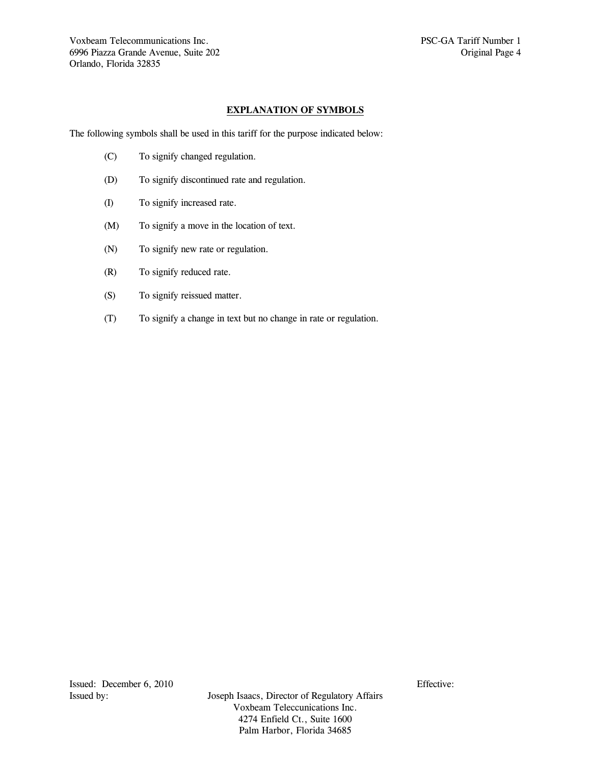# **EXPLANATION OF SYMBOLS**

The following symbols shall be used in this tariff for the purpose indicated below:

- (C) To signify changed regulation.
- (D) To signify discontinued rate and regulation.
- (I) To signify increased rate.
- (M) To signify a move in the location of text.
- (N) To signify new rate or regulation.
- (R) To signify reduced rate.
- (S) To signify reissued matter.
- (T) To signify a change in text but no change in rate or regulation.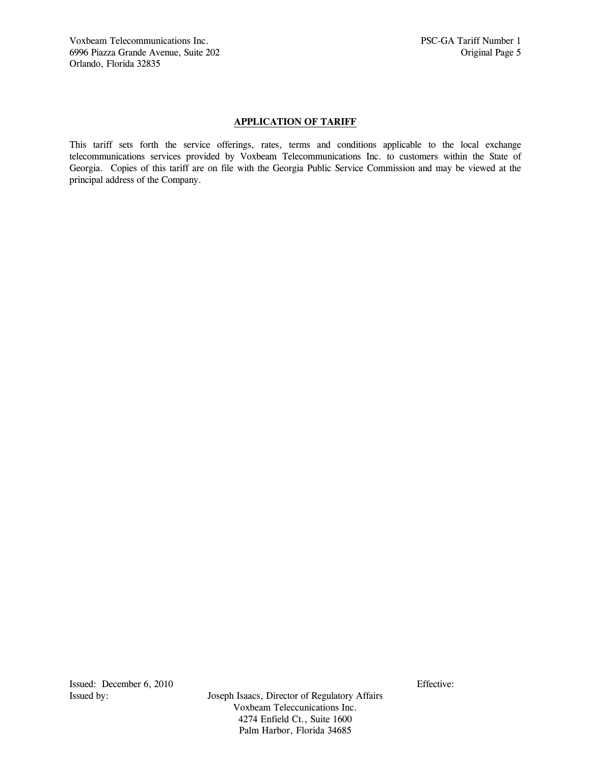# **APPLICATION OF TARIFF**

This tariff sets forth the service offerings, rates, terms and conditions applicable to the local exchange telecommunications services provided by Voxbeam Telecommunications Inc. to customers within the State of Georgia. Copies of this tariff are on file with the Georgia Public Service Commission and may be viewed at the principal address of the Company.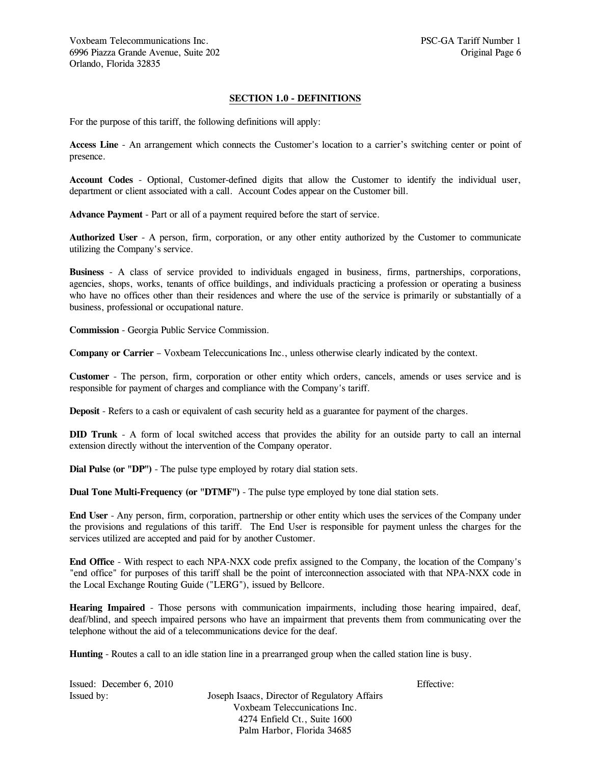# **SECTION 1.0 - DEFINITIONS**

For the purpose of this tariff, the following definitions will apply:

**Access Line** - An arrangement which connects the Customer's location to a carrier's switching center or point of presence.

**Account Codes** - Optional, Customer-defined digits that allow the Customer to identify the individual user, department or client associated with a call. Account Codes appear on the Customer bill.

**Advance Payment** - Part or all of a payment required before the start of service.

**Authorized User** - A person, firm, corporation, or any other entity authorized by the Customer to communicate utilizing the Company's service.

**Business** - A class of service provided to individuals engaged in business, firms, partnerships, corporations, agencies, shops, works, tenants of office buildings, and individuals practicing a profession or operating a business who have no offices other than their residences and where the use of the service is primarily or substantially of a business, professional or occupational nature.

**Commission** - Georgia Public Service Commission.

**Company or Carrier** – Voxbeam Teleccunications Inc., unless otherwise clearly indicated by the context.

**Customer** - The person, firm, corporation or other entity which orders, cancels, amends or uses service and is responsible for payment of charges and compliance with the Company's tariff.

**Deposit** - Refers to a cash or equivalent of cash security held as a guarantee for payment of the charges.

**DID Trunk** - A form of local switched access that provides the ability for an outside party to call an internal extension directly without the intervention of the Company operator.

**Dial Pulse (or "DP")** - The pulse type employed by rotary dial station sets.

**Dual Tone Multi-Frequency (or "DTMF")** - The pulse type employed by tone dial station sets.

**End User** - Any person, firm, corporation, partnership or other entity which uses the services of the Company under the provisions and regulations of this tariff. The End User is responsible for payment unless the charges for the services utilized are accepted and paid for by another Customer.

**End Office** - With respect to each NPA-NXX code prefix assigned to the Company, the location of the Company's "end office" for purposes of this tariff shall be the point of interconnection associated with that NPA-NXX code in the Local Exchange Routing Guide ("LERG"), issued by Bellcore.

**Hearing Impaired** - Those persons with communication impairments, including those hearing impaired, deaf, deaf/blind, and speech impaired persons who have an impairment that prevents them from communicating over the telephone without the aid of a telecommunications device for the deaf.

**Hunting** - Routes a call to an idle station line in a prearranged group when the called station line is busy.

| Issued: December 6, 2010 |                                               | Effective: |
|--------------------------|-----------------------------------------------|------------|
| Issued by:               | Joseph Isaacs, Director of Regulatory Affairs |            |
|                          | Voxbeam Teleccunications Inc.                 |            |
|                          | 4274 Enfield Ct., Suite 1600                  |            |
|                          | Palm Harbor, Florida 34685                    |            |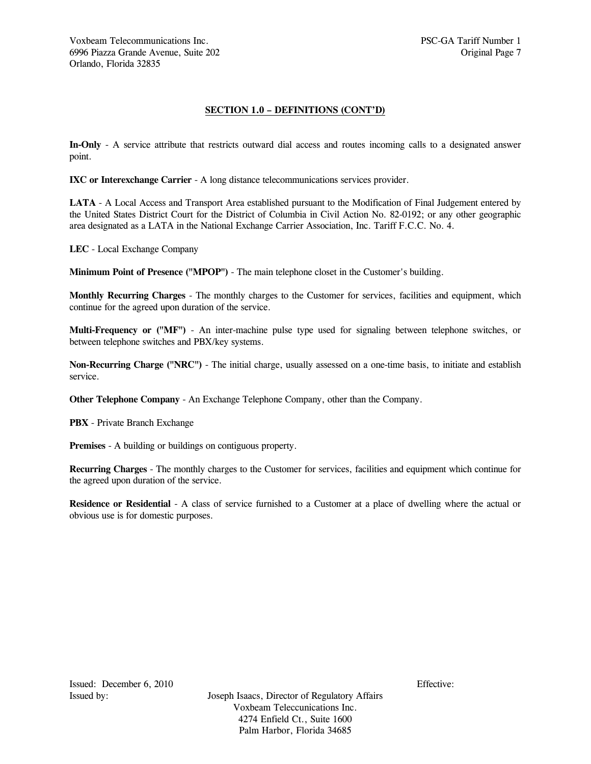# **SECTION 1.0 – DEFINITIONS (CONT'D)**

**In-Only** - A service attribute that restricts outward dial access and routes incoming calls to a designated answer point.

**IXC or Interexchange Carrier** - A long distance telecommunications services provider.

**LATA** - A Local Access and Transport Area established pursuant to the Modification of Final Judgement entered by the United States District Court for the District of Columbia in Civil Action No. 82-0192; or any other geographic area designated as a LATA in the National Exchange Carrier Association, Inc. Tariff F.C.C. No. 4.

**LEC** - Local Exchange Company

**Minimum Point of Presence ("MPOP")** - The main telephone closet in the Customer's building.

**Monthly Recurring Charges** - The monthly charges to the Customer for services, facilities and equipment, which continue for the agreed upon duration of the service.

**Multi-Frequency or ("MF")** - An inter-machine pulse type used for signaling between telephone switches, or between telephone switches and PBX/key systems.

**Non-Recurring Charge ("NRC")** - The initial charge, usually assessed on a one-time basis, to initiate and establish service.

**Other Telephone Company** - An Exchange Telephone Company, other than the Company.

**PBX** - Private Branch Exchange

**Premises** - A building or buildings on contiguous property.

**Recurring Charges** - The monthly charges to the Customer for services, facilities and equipment which continue for the agreed upon duration of the service.

**Residence or Residential** - A class of service furnished to a Customer at a place of dwelling where the actual or obvious use is for domestic purposes.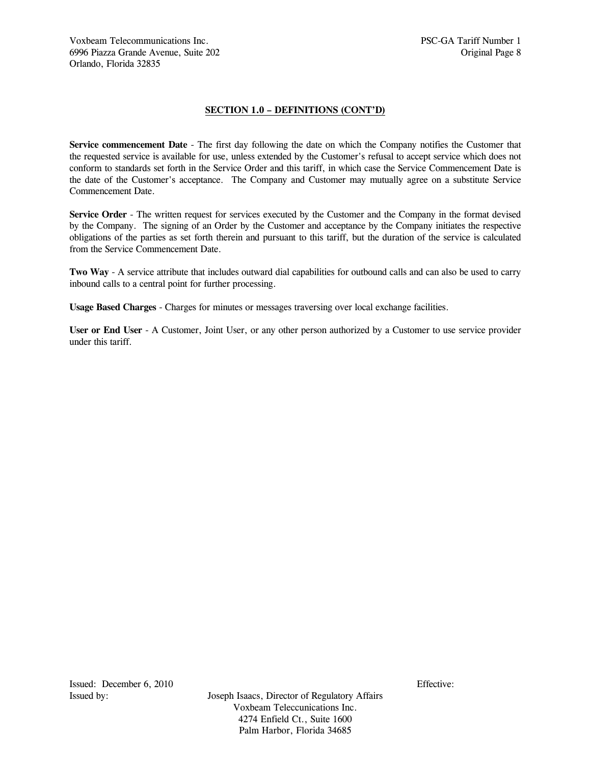# **SECTION 1.0 – DEFINITIONS (CONT'D)**

**Service commencement Date** - The first day following the date on which the Company notifies the Customer that the requested service is available for use, unless extended by the Customer's refusal to accept service which does not conform to standards set forth in the Service Order and this tariff, in which case the Service Commencement Date is the date of the Customer's acceptance. The Company and Customer may mutually agree on a substitute Service Commencement Date.

**Service Order** - The written request for services executed by the Customer and the Company in the format devised by the Company. The signing of an Order by the Customer and acceptance by the Company initiates the respective obligations of the parties as set forth therein and pursuant to this tariff, but the duration of the service is calculated from the Service Commencement Date.

**Two Way** - A service attribute that includes outward dial capabilities for outbound calls and can also be used to carry inbound calls to a central point for further processing.

**Usage Based Charges** - Charges for minutes or messages traversing over local exchange facilities.

**User or End User** - A Customer, Joint User, or any other person authorized by a Customer to use service provider under this tariff.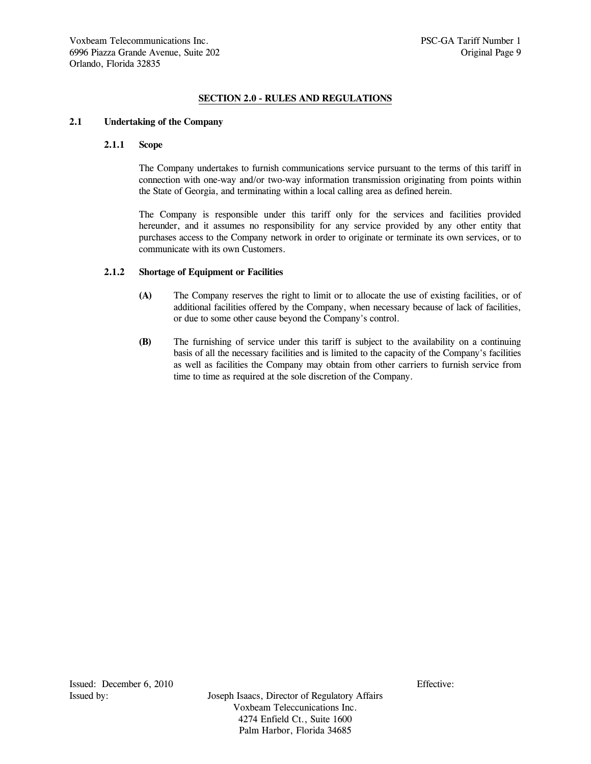# **SECTION 2.0 - RULES AND REGULATIONS**

# **2.1 Undertaking of the Company**

#### **2.1.1 Scope**

 The Company undertakes to furnish communications service pursuant to the terms of this tariff in connection with one-way and/or two-way information transmission originating from points within the State of Georgia, and terminating within a local calling area as defined herein.

 The Company is responsible under this tariff only for the services and facilities provided hereunder, and it assumes no responsibility for any service provided by any other entity that purchases access to the Company network in order to originate or terminate its own services, or to communicate with its own Customers.

### **2.1.2 Shortage of Equipment or Facilities**

- **(A)** The Company reserves the right to limit or to allocate the use of existing facilities, or of additional facilities offered by the Company, when necessary because of lack of facilities, or due to some other cause beyond the Company's control.
- **(B)** The furnishing of service under this tariff is subject to the availability on a continuing basis of all the necessary facilities and is limited to the capacity of the Company's facilities as well as facilities the Company may obtain from other carriers to furnish service from time to time as required at the sole discretion of the Company.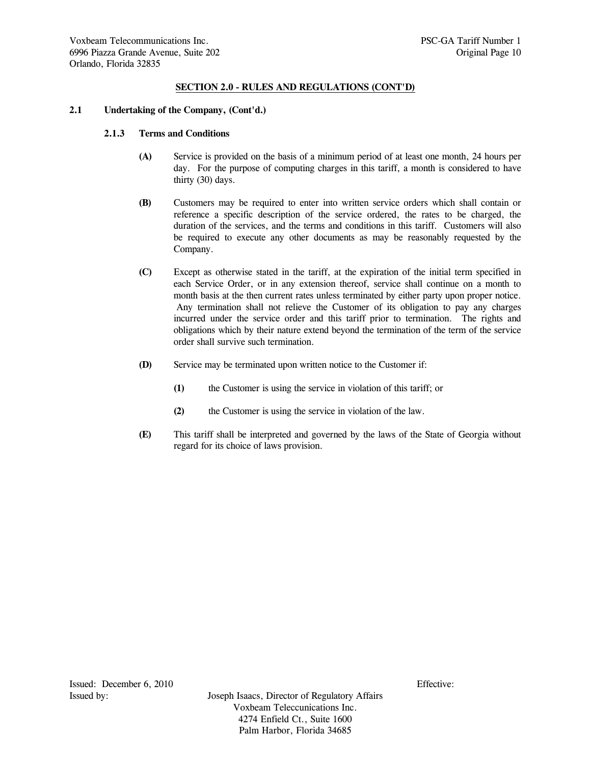# **2.1 Undertaking of the Company, (Cont'd.)**

# **2.1.3 Terms and Conditions**

- **(A)** Service is provided on the basis of a minimum period of at least one month, 24 hours per day. For the purpose of computing charges in this tariff, a month is considered to have thirty (30) days.
- **(B)** Customers may be required to enter into written service orders which shall contain or reference a specific description of the service ordered, the rates to be charged, the duration of the services, and the terms and conditions in this tariff. Customers will also be required to execute any other documents as may be reasonably requested by the Company.
- **(C)** Except as otherwise stated in the tariff, at the expiration of the initial term specified in each Service Order, or in any extension thereof, service shall continue on a month to month basis at the then current rates unless terminated by either party upon proper notice. Any termination shall not relieve the Customer of its obligation to pay any charges incurred under the service order and this tariff prior to termination. The rights and obligations which by their nature extend beyond the termination of the term of the service order shall survive such termination.
- **(D)** Service may be terminated upon written notice to the Customer if:
	- **(1)** the Customer is using the service in violation of this tariff; or
	- **(2)** the Customer is using the service in violation of the law.
- **(E)** This tariff shall be interpreted and governed by the laws of the State of Georgia without regard for its choice of laws provision.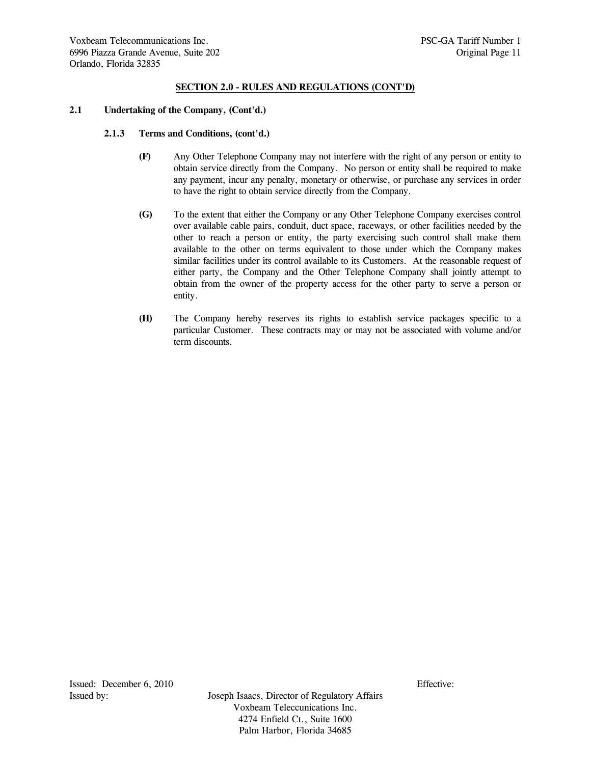## **2.1 Undertaking of the Company, (Cont'd.)**

### **2.1.3 Terms and Conditions, (cont'd.)**

- **(F)** Any Other Telephone Company may not interfere with the right of any person or entity to obtain service directly from the Company. No person or entity shall be required to make any payment, incur any penalty, monetary or otherwise, or purchase any services in order to have the right to obtain service directly from the Company.
- **(G)** To the extent that either the Company or any Other Telephone Company exercises control over available cable pairs, conduit, duct space, raceways, or other facilities needed by the other to reach a person or entity, the party exercising such control shall make them available to the other on terms equivalent to those under which the Company makes similar facilities under its control available to its Customers. At the reasonable request of either party, the Company and the Other Telephone Company shall jointly attempt to obtain from the owner of the property access for the other party to serve a person or entity.
- **(H)** The Company hereby reserves its rights to establish service packages specific to a particular Customer. These contracts may or may not be associated with volume and/or term discounts.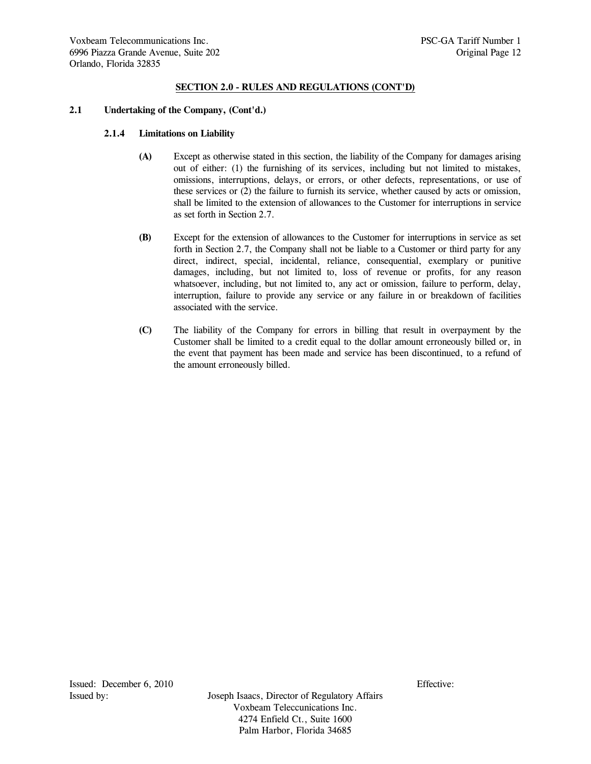## **2.1 Undertaking of the Company, (Cont'd.)**

# **2.1.4 Limitations on Liability**

- **(A)** Except as otherwise stated in this section, the liability of the Company for damages arising out of either: (1) the furnishing of its services, including but not limited to mistakes, omissions, interruptions, delays, or errors, or other defects, representations, or use of these services or (2) the failure to furnish its service, whether caused by acts or omission, shall be limited to the extension of allowances to the Customer for interruptions in service as set forth in Section 2.7.
- **(B)** Except for the extension of allowances to the Customer for interruptions in service as set forth in Section 2.7, the Company shall not be liable to a Customer or third party for any direct, indirect, special, incidental, reliance, consequential, exemplary or punitive damages, including, but not limited to, loss of revenue or profits, for any reason whatsoever, including, but not limited to, any act or omission, failure to perform, delay, interruption, failure to provide any service or any failure in or breakdown of facilities associated with the service.
- **(C)** The liability of the Company for errors in billing that result in overpayment by the Customer shall be limited to a credit equal to the dollar amount erroneously billed or, in the event that payment has been made and service has been discontinued, to a refund of the amount erroneously billed.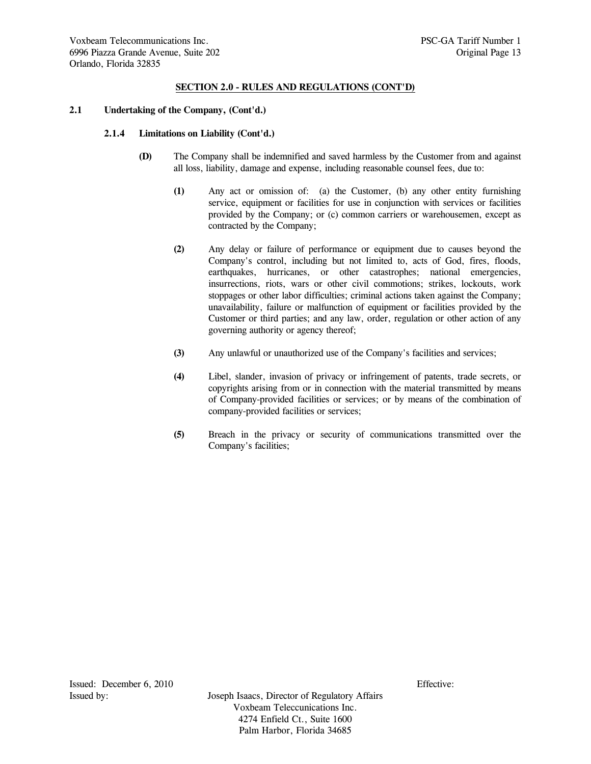# **2.1 Undertaking of the Company, (Cont'd.)**

# **2.1.4 Limitations on Liability (Cont'd.)**

- **(D)** The Company shall be indemnified and saved harmless by the Customer from and against all loss, liability, damage and expense, including reasonable counsel fees, due to:
	- **(1)** Any act or omission of: (a) the Customer, (b) any other entity furnishing service, equipment or facilities for use in conjunction with services or facilities provided by the Company; or (c) common carriers or warehousemen, except as contracted by the Company;
	- **(2)** Any delay or failure of performance or equipment due to causes beyond the Company's control, including but not limited to, acts of God, fires, floods, earthquakes, hurricanes, or other catastrophes; national emergencies, insurrections, riots, wars or other civil commotions; strikes, lockouts, work stoppages or other labor difficulties; criminal actions taken against the Company; unavailability, failure or malfunction of equipment or facilities provided by the Customer or third parties; and any law, order, regulation or other action of any governing authority or agency thereof;
	- **(3)** Any unlawful or unauthorized use of the Company's facilities and services;
	- **(4)** Libel, slander, invasion of privacy or infringement of patents, trade secrets, or copyrights arising from or in connection with the material transmitted by means of Company-provided facilities or services; or by means of the combination of company-provided facilities or services;
	- **(5)** Breach in the privacy or security of communications transmitted over the Company's facilities;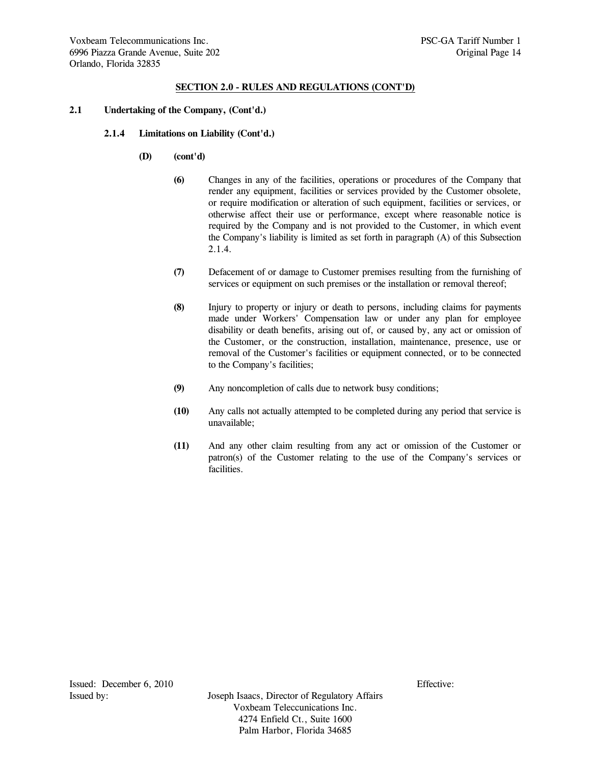### **2.1 Undertaking of the Company, (Cont'd.)**

- **2.1.4 Limitations on Liability (Cont'd.)**
	- **(D) (cont'd)** 
		- **(6)** Changes in any of the facilities, operations or procedures of the Company that render any equipment, facilities or services provided by the Customer obsolete, or require modification or alteration of such equipment, facilities or services, or otherwise affect their use or performance, except where reasonable notice is required by the Company and is not provided to the Customer, in which event the Company's liability is limited as set forth in paragraph (A) of this Subsection 2.1.4.
		- **(7)** Defacement of or damage to Customer premises resulting from the furnishing of services or equipment on such premises or the installation or removal thereof;
		- **(8)** Injury to property or injury or death to persons, including claims for payments made under Workers' Compensation law or under any plan for employee disability or death benefits, arising out of, or caused by, any act or omission of the Customer, or the construction, installation, maintenance, presence, use or removal of the Customer's facilities or equipment connected, or to be connected to the Company's facilities;
		- **(9)** Any noncompletion of calls due to network busy conditions;
		- **(10)** Any calls not actually attempted to be completed during any period that service is unavailable;
		- **(11)** And any other claim resulting from any act or omission of the Customer or patron(s) of the Customer relating to the use of the Company's services or facilities.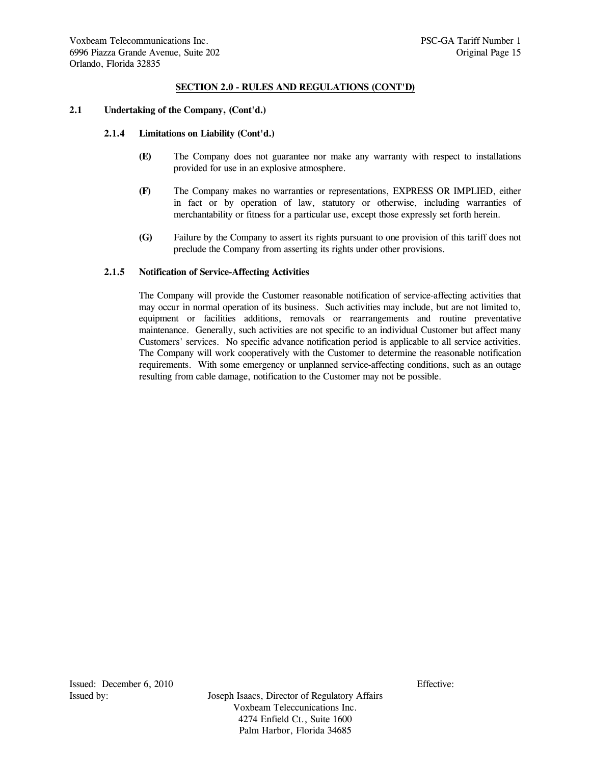## **2.1 Undertaking of the Company, (Cont'd.)**

#### **2.1.4 Limitations on Liability (Cont'd.)**

- **(E)** The Company does not guarantee nor make any warranty with respect to installations provided for use in an explosive atmosphere.
- **(F)** The Company makes no warranties or representations, EXPRESS OR IMPLIED, either in fact or by operation of law, statutory or otherwise, including warranties of merchantability or fitness for a particular use, except those expressly set forth herein.
- **(G)** Failure by the Company to assert its rights pursuant to one provision of this tariff does not preclude the Company from asserting its rights under other provisions.

### **2.1.5 Notification of Service-Affecting Activities**

 The Company will provide the Customer reasonable notification of service-affecting activities that may occur in normal operation of its business. Such activities may include, but are not limited to, equipment or facilities additions, removals or rearrangements and routine preventative maintenance. Generally, such activities are not specific to an individual Customer but affect many Customers' services. No specific advance notification period is applicable to all service activities. The Company will work cooperatively with the Customer to determine the reasonable notification requirements. With some emergency or unplanned service-affecting conditions, such as an outage resulting from cable damage, notification to the Customer may not be possible.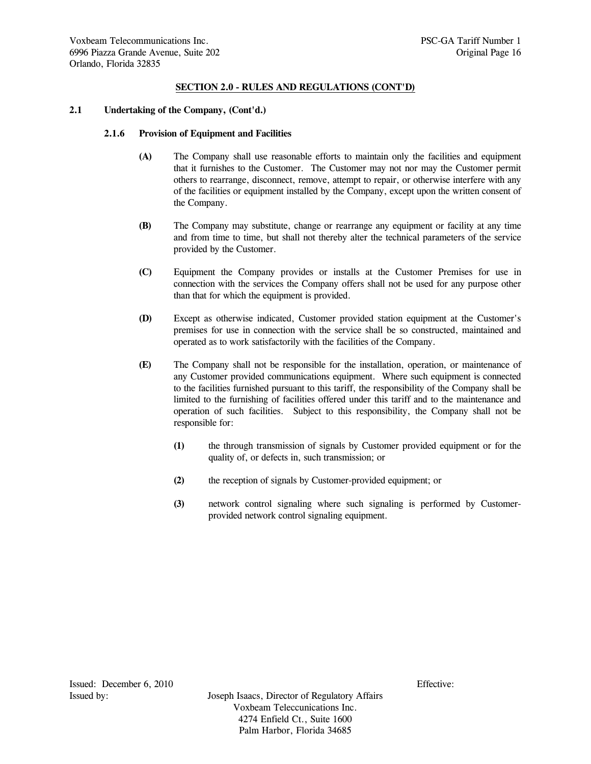# **2.1 Undertaking of the Company, (Cont'd.)**

### **2.1.6 Provision of Equipment and Facilities**

- **(A)** The Company shall use reasonable efforts to maintain only the facilities and equipment that it furnishes to the Customer. The Customer may not nor may the Customer permit others to rearrange, disconnect, remove, attempt to repair, or otherwise interfere with any of the facilities or equipment installed by the Company, except upon the written consent of the Company.
- **(B)** The Company may substitute, change or rearrange any equipment or facility at any time and from time to time, but shall not thereby alter the technical parameters of the service provided by the Customer.
- **(C)** Equipment the Company provides or installs at the Customer Premises for use in connection with the services the Company offers shall not be used for any purpose other than that for which the equipment is provided.
- **(D)** Except as otherwise indicated, Customer provided station equipment at the Customer's premises for use in connection with the service shall be so constructed, maintained and operated as to work satisfactorily with the facilities of the Company.
- **(E)** The Company shall not be responsible for the installation, operation, or maintenance of any Customer provided communications equipment. Where such equipment is connected to the facilities furnished pursuant to this tariff, the responsibility of the Company shall be limited to the furnishing of facilities offered under this tariff and to the maintenance and operation of such facilities. Subject to this responsibility, the Company shall not be responsible for:
	- **(1)** the through transmission of signals by Customer provided equipment or for the quality of, or defects in, such transmission; or
	- **(2)** the reception of signals by Customer-provided equipment; or
	- **(3)** network control signaling where such signaling is performed by Customerprovided network control signaling equipment.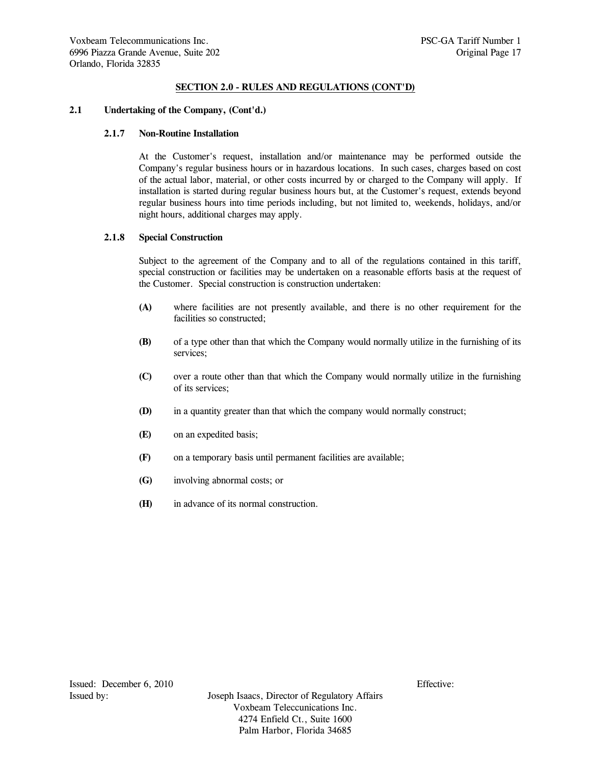## **2.1 Undertaking of the Company, (Cont'd.)**

## **2.1.7 Non-Routine Installation**

 At the Customer's request, installation and/or maintenance may be performed outside the Company's regular business hours or in hazardous locations. In such cases, charges based on cost of the actual labor, material, or other costs incurred by or charged to the Company will apply. If installation is started during regular business hours but, at the Customer's request, extends beyond regular business hours into time periods including, but not limited to, weekends, holidays, and/or night hours, additional charges may apply.

### **2.1.8 Special Construction**

 Subject to the agreement of the Company and to all of the regulations contained in this tariff, special construction or facilities may be undertaken on a reasonable efforts basis at the request of the Customer. Special construction is construction undertaken:

- **(A)** where facilities are not presently available, and there is no other requirement for the facilities so constructed;
- **(B)** of a type other than that which the Company would normally utilize in the furnishing of its services;
- **(C)** over a route other than that which the Company would normally utilize in the furnishing of its services;
- **(D)** in a quantity greater than that which the company would normally construct;
- **(E)** on an expedited basis;
- **(F)** on a temporary basis until permanent facilities are available;
- **(G)** involving abnormal costs; or
- **(H)** in advance of its normal construction.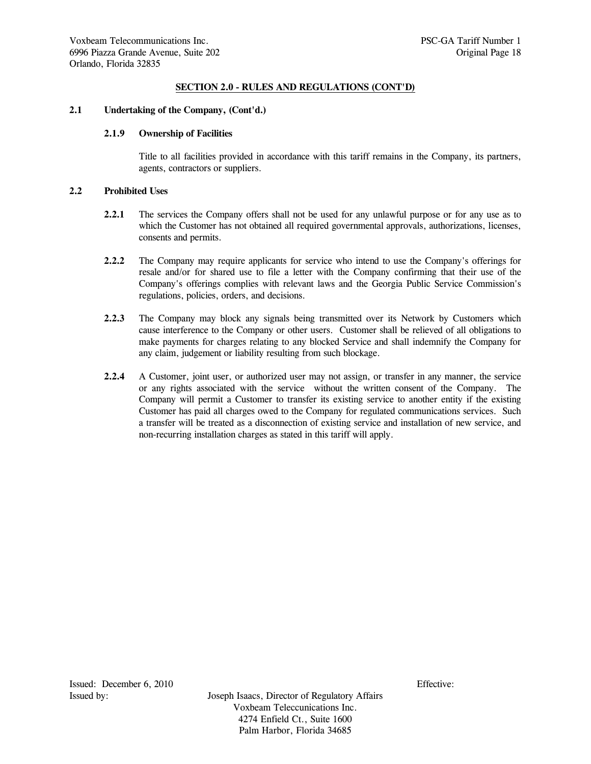# **2.1 Undertaking of the Company, (Cont'd.)**

# **2.1.9 Ownership of Facilities**

 Title to all facilities provided in accordance with this tariff remains in the Company, its partners, agents, contractors or suppliers.

# **2.2 Prohibited Uses**

- **2.2.1** The services the Company offers shall not be used for any unlawful purpose or for any use as to which the Customer has not obtained all required governmental approvals, authorizations, licenses, consents and permits.
- **2.2.2** The Company may require applicants for service who intend to use the Company's offerings for resale and/or for shared use to file a letter with the Company confirming that their use of the Company's offerings complies with relevant laws and the Georgia Public Service Commission's regulations, policies, orders, and decisions.
- **2.2.3** The Company may block any signals being transmitted over its Network by Customers which cause interference to the Company or other users. Customer shall be relieved of all obligations to make payments for charges relating to any blocked Service and shall indemnify the Company for any claim, judgement or liability resulting from such blockage.
- **2.2.4** A Customer, joint user, or authorized user may not assign, or transfer in any manner, the service or any rights associated with the service without the written consent of the Company. The Company will permit a Customer to transfer its existing service to another entity if the existing Customer has paid all charges owed to the Company for regulated communications services. Such a transfer will be treated as a disconnection of existing service and installation of new service, and non-recurring installation charges as stated in this tariff will apply.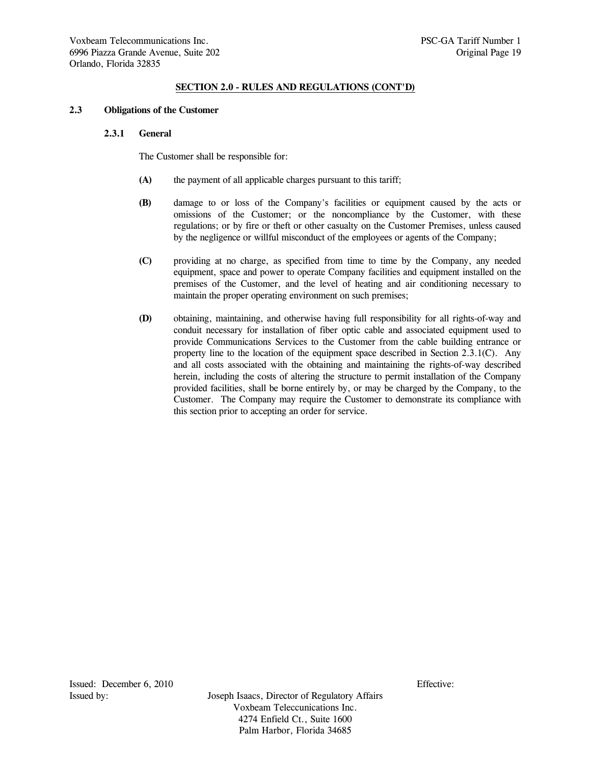### **2.3 Obligations of the Customer**

### **2.3.1 General**

The Customer shall be responsible for:

- **(A)** the payment of all applicable charges pursuant to this tariff;
- **(B)** damage to or loss of the Company's facilities or equipment caused by the acts or omissions of the Customer; or the noncompliance by the Customer, with these regulations; or by fire or theft or other casualty on the Customer Premises, unless caused by the negligence or willful misconduct of the employees or agents of the Company;
- **(C)** providing at no charge, as specified from time to time by the Company, any needed equipment, space and power to operate Company facilities and equipment installed on the premises of the Customer, and the level of heating and air conditioning necessary to maintain the proper operating environment on such premises;
- **(D)** obtaining, maintaining, and otherwise having full responsibility for all rights-of-way and conduit necessary for installation of fiber optic cable and associated equipment used to provide Communications Services to the Customer from the cable building entrance or property line to the location of the equipment space described in Section 2.3.1(C). Any and all costs associated with the obtaining and maintaining the rights-of-way described herein, including the costs of altering the structure to permit installation of the Company provided facilities, shall be borne entirely by, or may be charged by the Company, to the Customer. The Company may require the Customer to demonstrate its compliance with this section prior to accepting an order for service.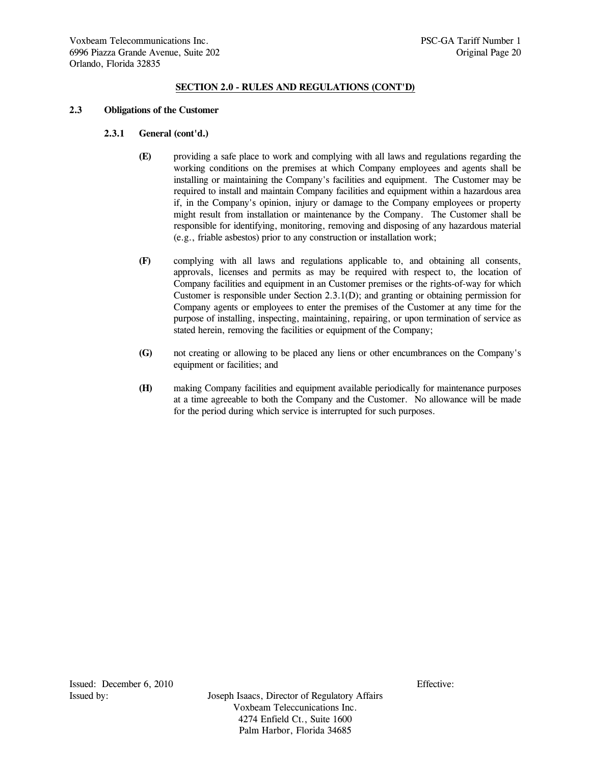### **2.3 Obligations of the Customer**

#### **2.3.1 General (cont'd.)**

- **(E)** providing a safe place to work and complying with all laws and regulations regarding the working conditions on the premises at which Company employees and agents shall be installing or maintaining the Company's facilities and equipment. The Customer may be required to install and maintain Company facilities and equipment within a hazardous area if, in the Company's opinion, injury or damage to the Company employees or property might result from installation or maintenance by the Company. The Customer shall be responsible for identifying, monitoring, removing and disposing of any hazardous material (e.g., friable asbestos) prior to any construction or installation work;
- **(F)** complying with all laws and regulations applicable to, and obtaining all consents, approvals, licenses and permits as may be required with respect to, the location of Company facilities and equipment in an Customer premises or the rights-of-way for which Customer is responsible under Section 2.3.1(D); and granting or obtaining permission for Company agents or employees to enter the premises of the Customer at any time for the purpose of installing, inspecting, maintaining, repairing, or upon termination of service as stated herein, removing the facilities or equipment of the Company;
- **(G)** not creating or allowing to be placed any liens or other encumbrances on the Company's equipment or facilities; and
- **(H)** making Company facilities and equipment available periodically for maintenance purposes at a time agreeable to both the Company and the Customer. No allowance will be made for the period during which service is interrupted for such purposes.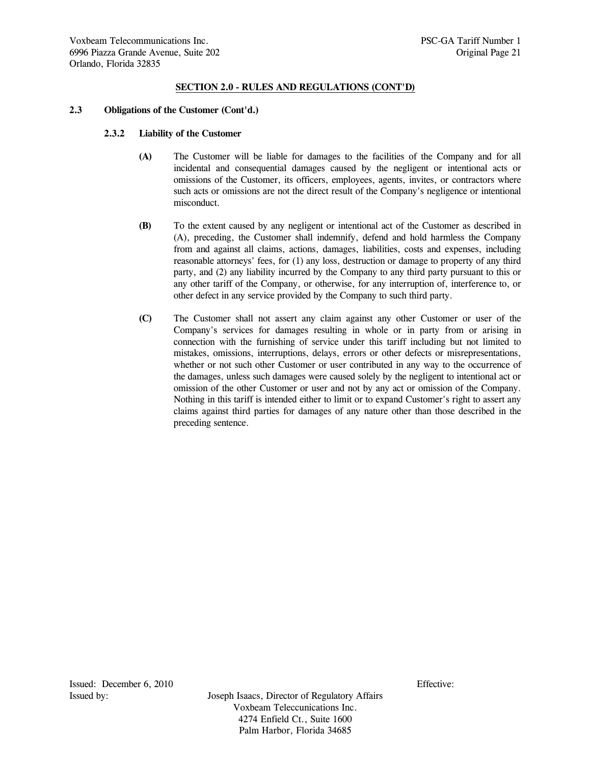### **2.3 Obligations of the Customer (Cont'd.)**

#### **2.3.2 Liability of the Customer**

- **(A)** The Customer will be liable for damages to the facilities of the Company and for all incidental and consequential damages caused by the negligent or intentional acts or omissions of the Customer, its officers, employees, agents, invites, or contractors where such acts or omissions are not the direct result of the Company's negligence or intentional misconduct.
- **(B)** To the extent caused by any negligent or intentional act of the Customer as described in (A), preceding, the Customer shall indemnify, defend and hold harmless the Company from and against all claims, actions, damages, liabilities, costs and expenses, including reasonable attorneys' fees, for (1) any loss, destruction or damage to property of any third party, and (2) any liability incurred by the Company to any third party pursuant to this or any other tariff of the Company, or otherwise, for any interruption of, interference to, or other defect in any service provided by the Company to such third party.
- **(C)** The Customer shall not assert any claim against any other Customer or user of the Company's services for damages resulting in whole or in party from or arising in connection with the furnishing of service under this tariff including but not limited to mistakes, omissions, interruptions, delays, errors or other defects or misrepresentations, whether or not such other Customer or user contributed in any way to the occurrence of the damages, unless such damages were caused solely by the negligent to intentional act or omission of the other Customer or user and not by any act or omission of the Company. Nothing in this tariff is intended either to limit or to expand Customer's right to assert any claims against third parties for damages of any nature other than those described in the preceding sentence.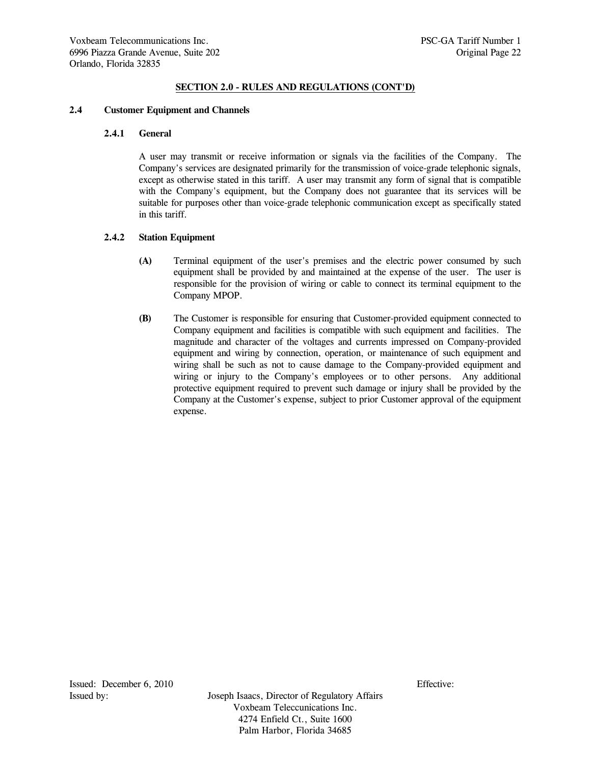### **2.4 Customer Equipment and Channels**

# **2.4.1 General**

 A user may transmit or receive information or signals via the facilities of the Company. The Company's services are designated primarily for the transmission of voice-grade telephonic signals, except as otherwise stated in this tariff. A user may transmit any form of signal that is compatible with the Company's equipment, but the Company does not guarantee that its services will be suitable for purposes other than voice-grade telephonic communication except as specifically stated in this tariff.

# **2.4.2 Station Equipment**

- **(A)** Terminal equipment of the user's premises and the electric power consumed by such equipment shall be provided by and maintained at the expense of the user. The user is responsible for the provision of wiring or cable to connect its terminal equipment to the Company MPOP.
- **(B)** The Customer is responsible for ensuring that Customer-provided equipment connected to Company equipment and facilities is compatible with such equipment and facilities. The magnitude and character of the voltages and currents impressed on Company-provided equipment and wiring by connection, operation, or maintenance of such equipment and wiring shall be such as not to cause damage to the Company-provided equipment and wiring or injury to the Company's employees or to other persons. Any additional protective equipment required to prevent such damage or injury shall be provided by the Company at the Customer's expense, subject to prior Customer approval of the equipment expense.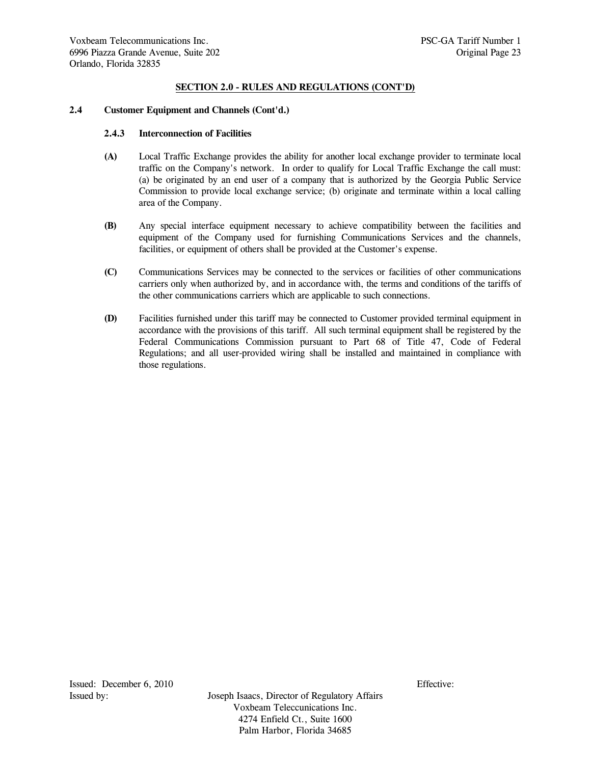### **2.4 Customer Equipment and Channels (Cont'd.)**

#### **2.4.3 Interconnection of Facilities**

- **(A)** Local Traffic Exchange provides the ability for another local exchange provider to terminate local traffic on the Company's network. In order to qualify for Local Traffic Exchange the call must: (a) be originated by an end user of a company that is authorized by the Georgia Public Service Commission to provide local exchange service; (b) originate and terminate within a local calling area of the Company.
- **(B)** Any special interface equipment necessary to achieve compatibility between the facilities and equipment of the Company used for furnishing Communications Services and the channels, facilities, or equipment of others shall be provided at the Customer's expense.
- **(C)** Communications Services may be connected to the services or facilities of other communications carriers only when authorized by, and in accordance with, the terms and conditions of the tariffs of the other communications carriers which are applicable to such connections.
- **(D)** Facilities furnished under this tariff may be connected to Customer provided terminal equipment in accordance with the provisions of this tariff. All such terminal equipment shall be registered by the Federal Communications Commission pursuant to Part 68 of Title 47, Code of Federal Regulations; and all user-provided wiring shall be installed and maintained in compliance with those regulations.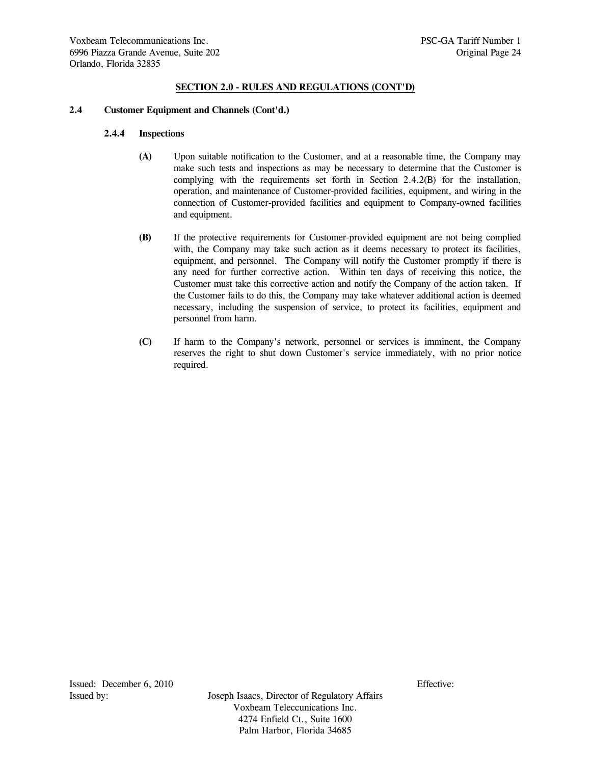### **2.4 Customer Equipment and Channels (Cont'd.)**

#### **2.4.4 Inspections**

- **(A)** Upon suitable notification to the Customer, and at a reasonable time, the Company may make such tests and inspections as may be necessary to determine that the Customer is complying with the requirements set forth in Section 2.4.2(B) for the installation, operation, and maintenance of Customer-provided facilities, equipment, and wiring in the connection of Customer-provided facilities and equipment to Company-owned facilities and equipment.
- **(B)** If the protective requirements for Customer-provided equipment are not being complied with, the Company may take such action as it deems necessary to protect its facilities, equipment, and personnel. The Company will notify the Customer promptly if there is any need for further corrective action. Within ten days of receiving this notice, the Customer must take this corrective action and notify the Company of the action taken. If the Customer fails to do this, the Company may take whatever additional action is deemed necessary, including the suspension of service, to protect its facilities, equipment and personnel from harm.
- **(C)** If harm to the Company's network, personnel or services is imminent, the Company reserves the right to shut down Customer's service immediately, with no prior notice required.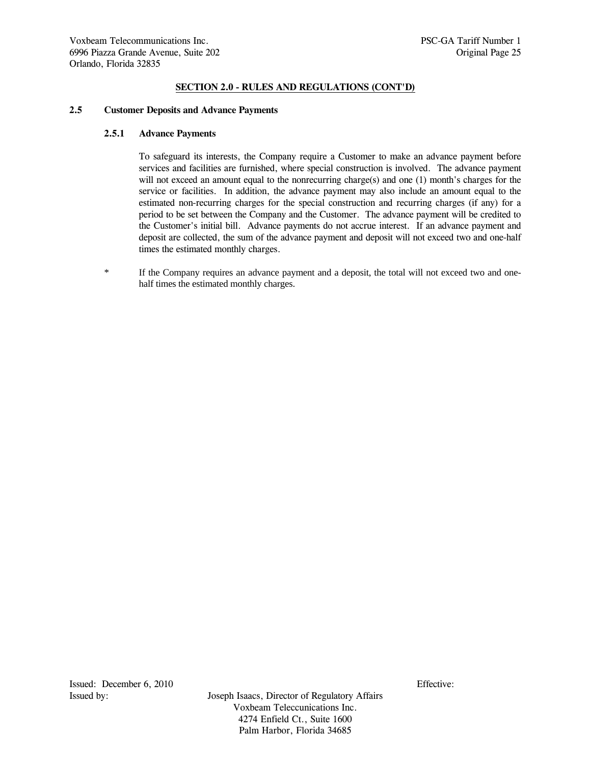#### **2.5 Customer Deposits and Advance Payments**

### **2.5.1 Advance Payments**

 To safeguard its interests, the Company require a Customer to make an advance payment before services and facilities are furnished, where special construction is involved. The advance payment will not exceed an amount equal to the nonrecurring charge(s) and one (1) month's charges for the service or facilities. In addition, the advance payment may also include an amount equal to the estimated non-recurring charges for the special construction and recurring charges (if any) for a period to be set between the Company and the Customer. The advance payment will be credited to the Customer's initial bill. Advance payments do not accrue interest. If an advance payment and deposit are collected, the sum of the advance payment and deposit will not exceed two and one-half times the estimated monthly charges.

\* If the Company requires an advance payment and a deposit, the total will not exceed two and onehalf times the estimated monthly charges.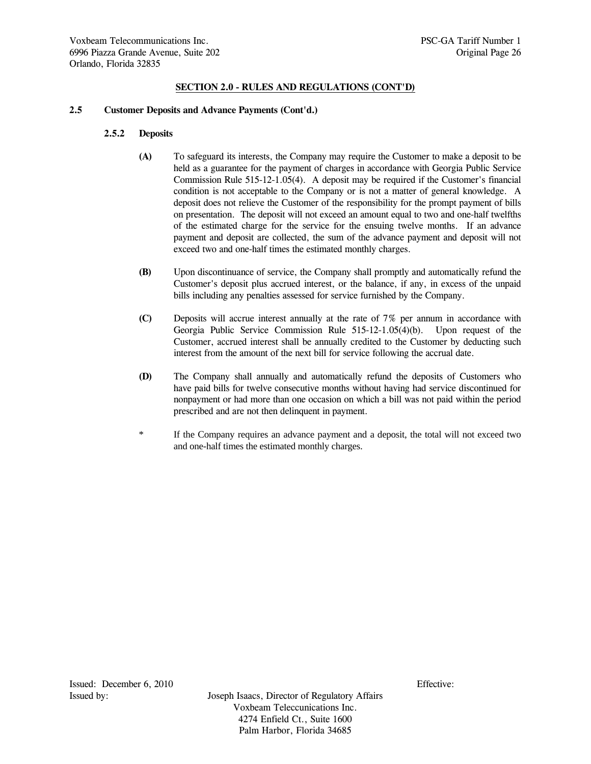### **2.5 Customer Deposits and Advance Payments (Cont'd.)**

## **2.5.2 Deposits**

- **(A)** To safeguard its interests, the Company may require the Customer to make a deposit to be held as a guarantee for the payment of charges in accordance with Georgia Public Service Commission Rule 515-12-1.05(4). A deposit may be required if the Customer's financial condition is not acceptable to the Company or is not a matter of general knowledge. A deposit does not relieve the Customer of the responsibility for the prompt payment of bills on presentation. The deposit will not exceed an amount equal to two and one-half twelfths of the estimated charge for the service for the ensuing twelve months. If an advance payment and deposit are collected, the sum of the advance payment and deposit will not exceed two and one-half times the estimated monthly charges.
- **(B)** Upon discontinuance of service, the Company shall promptly and automatically refund the Customer's deposit plus accrued interest, or the balance, if any, in excess of the unpaid bills including any penalties assessed for service furnished by the Company.
- **(C)** Deposits will accrue interest annually at the rate of 7% per annum in accordance with Georgia Public Service Commission Rule 515-12-1.05(4)(b). Upon request of the Customer, accrued interest shall be annually credited to the Customer by deducting such interest from the amount of the next bill for service following the accrual date.
- **(D)** The Company shall annually and automatically refund the deposits of Customers who have paid bills for twelve consecutive months without having had service discontinued for nonpayment or had more than one occasion on which a bill was not paid within the period prescribed and are not then delinquent in payment.
- \* If the Company requires an advance payment and a deposit, the total will not exceed two and one-half times the estimated monthly charges.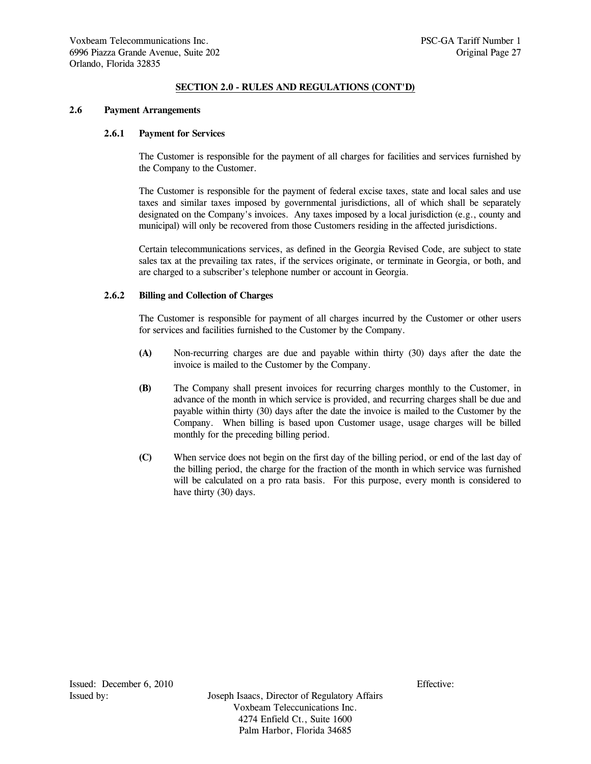### **2.6 Payment Arrangements**

# **2.6.1 Payment for Services**

 The Customer is responsible for the payment of all charges for facilities and services furnished by the Company to the Customer.

 The Customer is responsible for the payment of federal excise taxes, state and local sales and use taxes and similar taxes imposed by governmental jurisdictions, all of which shall be separately designated on the Company's invoices. Any taxes imposed by a local jurisdiction (e.g., county and municipal) will only be recovered from those Customers residing in the affected jurisdictions.

 Certain telecommunications services, as defined in the Georgia Revised Code, are subject to state sales tax at the prevailing tax rates, if the services originate, or terminate in Georgia, or both, and are charged to a subscriber's telephone number or account in Georgia.

#### **2.6.2 Billing and Collection of Charges**

 The Customer is responsible for payment of all charges incurred by the Customer or other users for services and facilities furnished to the Customer by the Company.

- **(A)** Non-recurring charges are due and payable within thirty (30) days after the date the invoice is mailed to the Customer by the Company.
- **(B)** The Company shall present invoices for recurring charges monthly to the Customer, in advance of the month in which service is provided, and recurring charges shall be due and payable within thirty (30) days after the date the invoice is mailed to the Customer by the Company. When billing is based upon Customer usage, usage charges will be billed monthly for the preceding billing period.
- **(C)** When service does not begin on the first day of the billing period, or end of the last day of the billing period, the charge for the fraction of the month in which service was furnished will be calculated on a pro rata basis. For this purpose, every month is considered to have thirty (30) days.

Issued: December 6, 2010 Effective: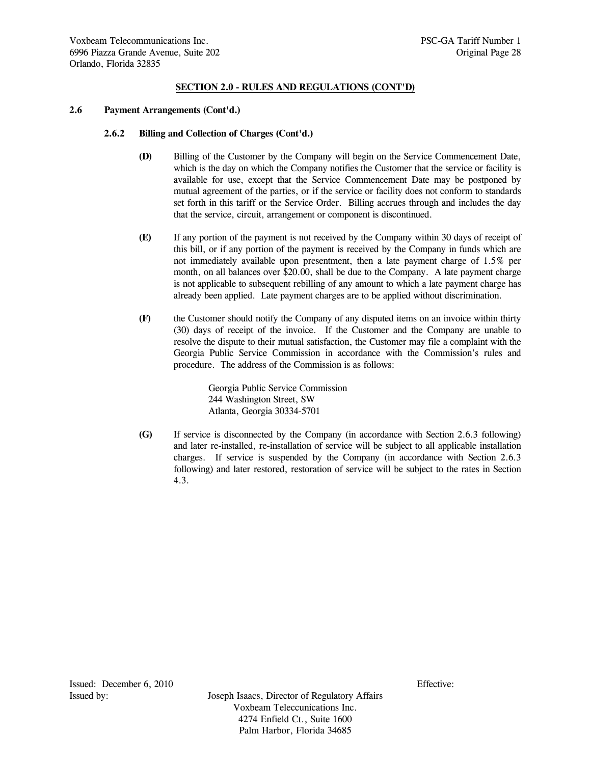# **2.6 Payment Arrangements (Cont'd.)**

### **2.6.2 Billing and Collection of Charges (Cont'd.)**

- **(D)** Billing of the Customer by the Company will begin on the Service Commencement Date, which is the day on which the Company notifies the Customer that the service or facility is available for use, except that the Service Commencement Date may be postponed by mutual agreement of the parties, or if the service or facility does not conform to standards set forth in this tariff or the Service Order. Billing accrues through and includes the day that the service, circuit, arrangement or component is discontinued.
- **(E)** If any portion of the payment is not received by the Company within 30 days of receipt of this bill, or if any portion of the payment is received by the Company in funds which are not immediately available upon presentment, then a late payment charge of 1.5% per month, on all balances over \$20.00, shall be due to the Company. A late payment charge is not applicable to subsequent rebilling of any amount to which a late payment charge has already been applied. Late payment charges are to be applied without discrimination.
- **(F)** the Customer should notify the Company of any disputed items on an invoice within thirty (30) days of receipt of the invoice. If the Customer and the Company are unable to resolve the dispute to their mutual satisfaction, the Customer may file a complaint with the Georgia Public Service Commission in accordance with the Commission's rules and procedure. The address of the Commission is as follows:

 Georgia Public Service Commission 244 Washington Street, SW Atlanta, Georgia 30334-5701

 **(G)** If service is disconnected by the Company (in accordance with Section 2.6.3 following) and later re-installed, re-installation of service will be subject to all applicable installation charges. If service is suspended by the Company (in accordance with Section 2.6.3 following) and later restored, restoration of service will be subject to the rates in Section 4.3.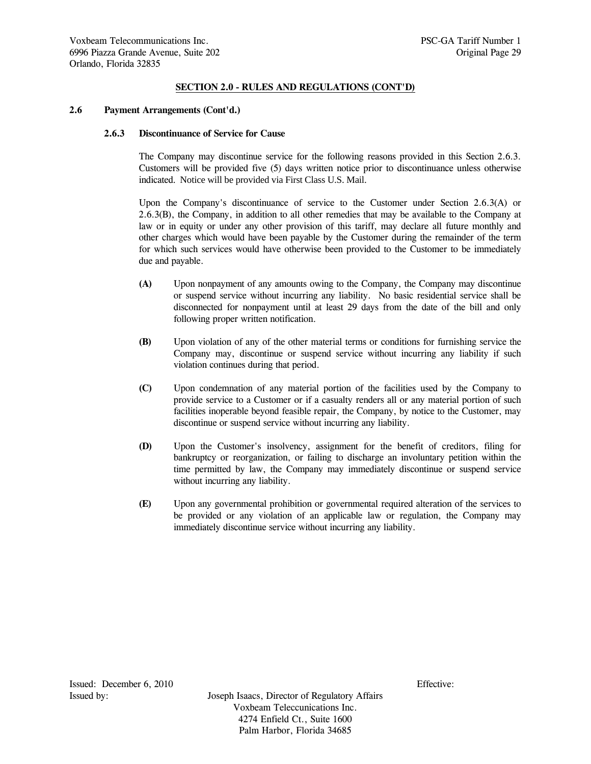## **2.6 Payment Arrangements (Cont'd.)**

### **2.6.3 Discontinuance of Service for Cause**

 The Company may discontinue service for the following reasons provided in this Section 2.6.3. Customers will be provided five (5) days written notice prior to discontinuance unless otherwise indicated. Notice will be provided via First Class U.S. Mail.

 Upon the Company's discontinuance of service to the Customer under Section 2.6.3(A) or 2.6.3(B), the Company, in addition to all other remedies that may be available to the Company at law or in equity or under any other provision of this tariff, may declare all future monthly and other charges which would have been payable by the Customer during the remainder of the term for which such services would have otherwise been provided to the Customer to be immediately due and payable.

- **(A)** Upon nonpayment of any amounts owing to the Company, the Company may discontinue or suspend service without incurring any liability. No basic residential service shall be disconnected for nonpayment until at least 29 days from the date of the bill and only following proper written notification.
- **(B)** Upon violation of any of the other material terms or conditions for furnishing service the Company may, discontinue or suspend service without incurring any liability if such violation continues during that period.
- **(C)** Upon condemnation of any material portion of the facilities used by the Company to provide service to a Customer or if a casualty renders all or any material portion of such facilities inoperable beyond feasible repair, the Company, by notice to the Customer, may discontinue or suspend service without incurring any liability.
- **(D)** Upon the Customer's insolvency, assignment for the benefit of creditors, filing for bankruptcy or reorganization, or failing to discharge an involuntary petition within the time permitted by law, the Company may immediately discontinue or suspend service without incurring any liability.
- **(E)** Upon any governmental prohibition or governmental required alteration of the services to be provided or any violation of an applicable law or regulation, the Company may immediately discontinue service without incurring any liability.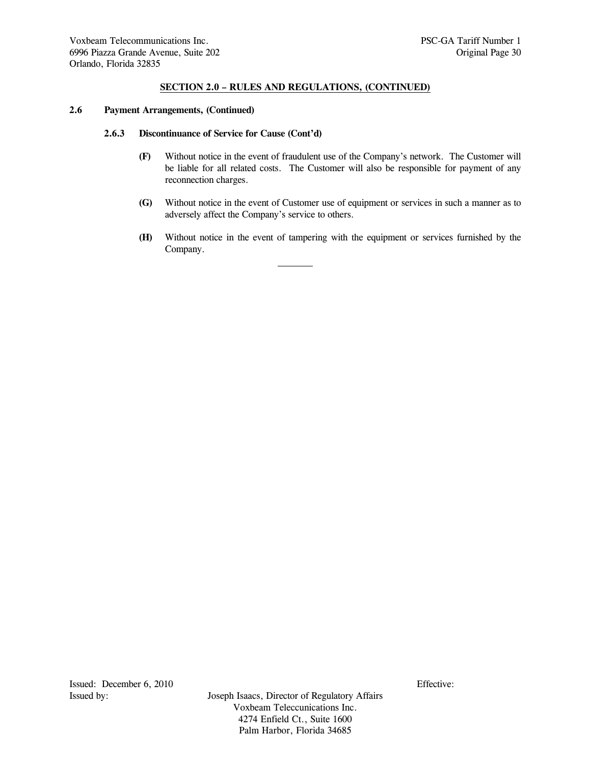## **2.6 Payment Arrangements, (Continued)**

# **2.6.3 Discontinuance of Service for Cause (Cont'd)**

- **(F)** Without notice in the event of fraudulent use of the Company's network. The Customer will be liable for all related costs. The Customer will also be responsible for payment of any reconnection charges.
- **(G)** Without notice in the event of Customer use of equipment or services in such a manner as to adversely affect the Company's service to others.
- **(H)** Without notice in the event of tampering with the equipment or services furnished by the Company.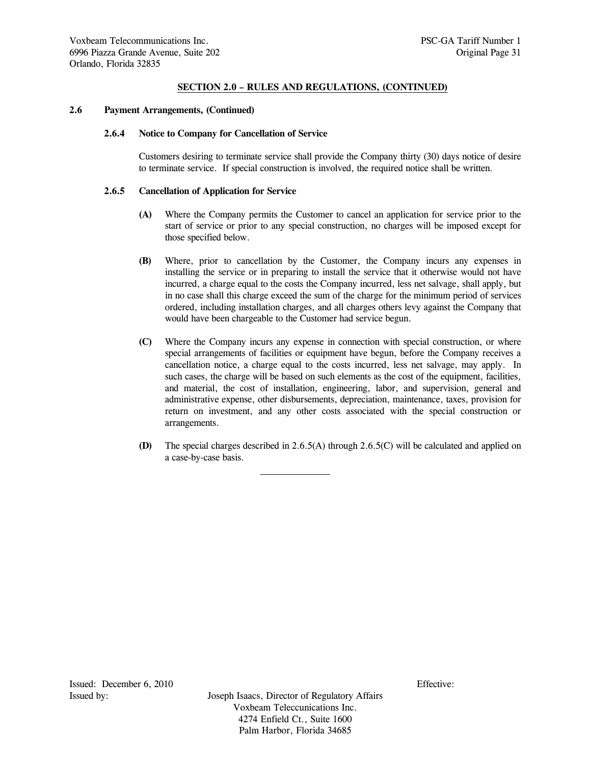## **2.6 Payment Arrangements, (Continued)**

### **2.6.4 Notice to Company for Cancellation of Service**

 Customers desiring to terminate service shall provide the Company thirty (30) days notice of desire to terminate service. If special construction is involved, the required notice shall be written.

# **2.6.5 Cancellation of Application for Service**

- **(A)** Where the Company permits the Customer to cancel an application for service prior to the start of service or prior to any special construction, no charges will be imposed except for those specified below.
- **(B)** Where, prior to cancellation by the Customer, the Company incurs any expenses in installing the service or in preparing to install the service that it otherwise would not have incurred, a charge equal to the costs the Company incurred, less net salvage, shall apply, but in no case shall this charge exceed the sum of the charge for the minimum period of services ordered, including installation charges, and all charges others levy against the Company that would have been chargeable to the Customer had service begun.
- **(C)** Where the Company incurs any expense in connection with special construction, or where special arrangements of facilities or equipment have begun, before the Company receives a cancellation notice, a charge equal to the costs incurred, less net salvage, may apply. In such cases, the charge will be based on such elements as the cost of the equipment, facilities, and material, the cost of installation, engineering, labor, and supervision, general and administrative expense, other disbursements, depreciation, maintenance, taxes, provision for return on investment, and any other costs associated with the special construction or arrangements.
- **(D)** The special charges described in 2.6.5(A) through 2.6.5(C) will be calculated and applied on a case-by-case basis.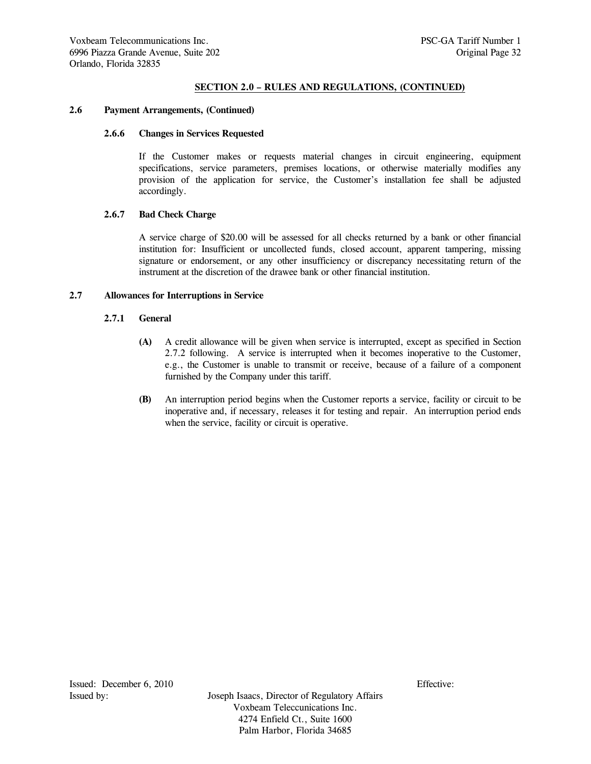### **2.6 Payment Arrangements, (Continued)**

## **2.6.6 Changes in Services Requested**

 If the Customer makes or requests material changes in circuit engineering, equipment specifications, service parameters, premises locations, or otherwise materially modifies any provision of the application for service, the Customer's installation fee shall be adjusted accordingly.

# **2.6.7 Bad Check Charge**

 A service charge of \$20.00 will be assessed for all checks returned by a bank or other financial institution for: Insufficient or uncollected funds, closed account, apparent tampering, missing signature or endorsement, or any other insufficiency or discrepancy necessitating return of the instrument at the discretion of the drawee bank or other financial institution.

### **2.7 Allowances for Interruptions in Service**

# **2.7.1 General**

- **(A)** A credit allowance will be given when service is interrupted, except as specified in Section 2.7.2 following. A service is interrupted when it becomes inoperative to the Customer, e.g., the Customer is unable to transmit or receive, because of a failure of a component furnished by the Company under this tariff.
- **(B)** An interruption period begins when the Customer reports a service, facility or circuit to be inoperative and, if necessary, releases it for testing and repair. An interruption period ends when the service, facility or circuit is operative.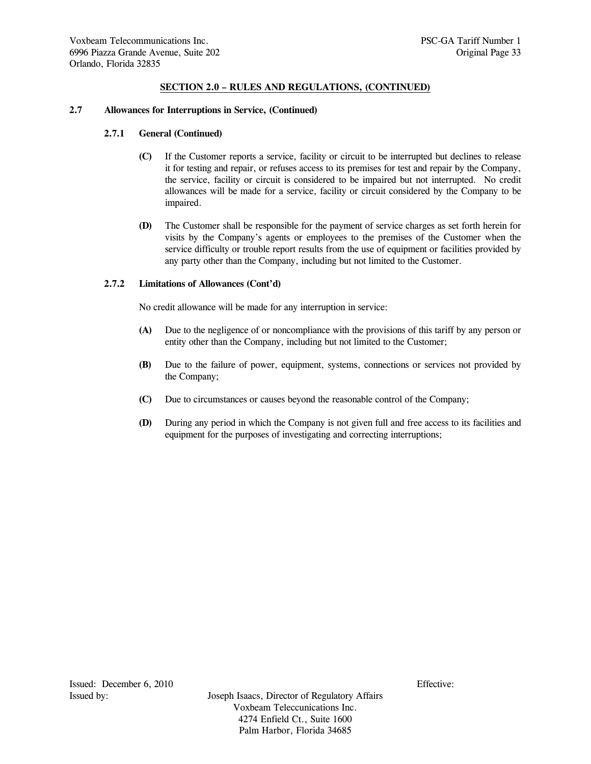### **2.7 Allowances for Interruptions in Service, (Continued)**

#### **2.7.1 General (Continued)**

- **(C)** If the Customer reports a service, facility or circuit to be interrupted but declines to release it for testing and repair, or refuses access to its premises for test and repair by the Company, the service, facility or circuit is considered to be impaired but not interrupted. No credit allowances will be made for a service, facility or circuit considered by the Company to be impaired.
- **(D)** The Customer shall be responsible for the payment of service charges as set forth herein for visits by the Company's agents or employees to the premises of the Customer when the service difficulty or trouble report results from the use of equipment or facilities provided by any party other than the Company, including but not limited to the Customer.

# **2.7.2 Limitations of Allowances (Cont'd)**

No credit allowance will be made for any interruption in service:

- **(A)** Due to the negligence of or noncompliance with the provisions of this tariff by any person or entity other than the Company, including but not limited to the Customer;
- **(B)** Due to the failure of power, equipment, systems, connections or services not provided by the Company;
- **(C)** Due to circumstances or causes beyond the reasonable control of the Company;
- **(D)** During any period in which the Company is not given full and free access to its facilities and equipment for the purposes of investigating and correcting interruptions;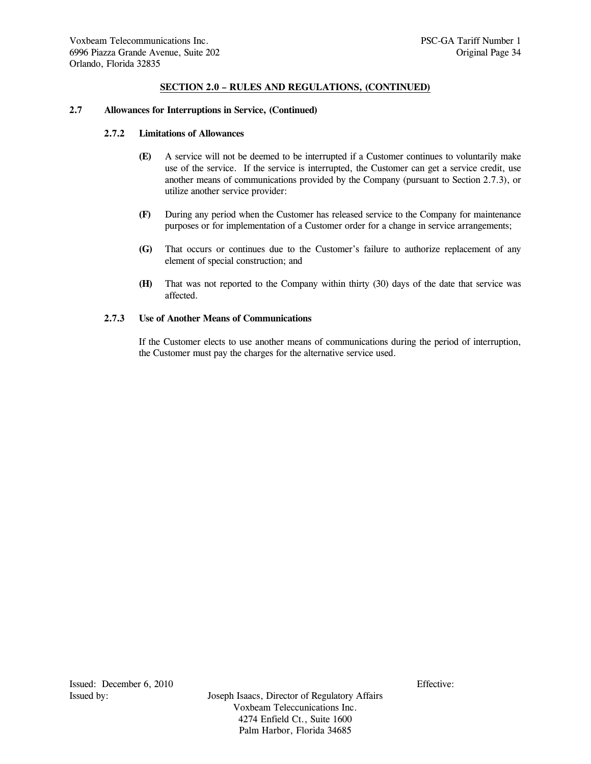### **2.7 Allowances for Interruptions in Service, (Continued)**

# **2.7.2 Limitations of Allowances**

- **(E)** A service will not be deemed to be interrupted if a Customer continues to voluntarily make use of the service. If the service is interrupted, the Customer can get a service credit, use another means of communications provided by the Company (pursuant to Section 2.7.3), or utilize another service provider:
- **(F)** During any period when the Customer has released service to the Company for maintenance purposes or for implementation of a Customer order for a change in service arrangements;
- **(G)** That occurs or continues due to the Customer's failure to authorize replacement of any element of special construction; and
- **(H)** That was not reported to the Company within thirty (30) days of the date that service was affected.

# **2.7.3 Use of Another Means of Communications**

 If the Customer elects to use another means of communications during the period of interruption, the Customer must pay the charges for the alternative service used.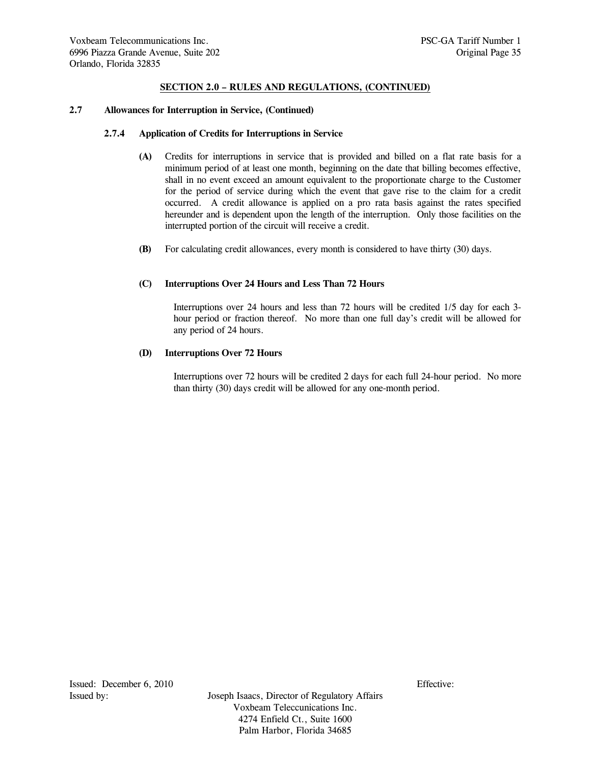### **2.7 Allowances for Interruption in Service, (Continued)**

#### **2.7.4 Application of Credits for Interruptions in Service**

- **(A)** Credits for interruptions in service that is provided and billed on a flat rate basis for a minimum period of at least one month, beginning on the date that billing becomes effective, shall in no event exceed an amount equivalent to the proportionate charge to the Customer for the period of service during which the event that gave rise to the claim for a credit occurred. A credit allowance is applied on a pro rata basis against the rates specified hereunder and is dependent upon the length of the interruption. Only those facilities on the interrupted portion of the circuit will receive a credit.
- **(B)** For calculating credit allowances, every month is considered to have thirty (30) days.

#### **(C) Interruptions Over 24 Hours and Less Than 72 Hours**

 Interruptions over 24 hours and less than 72 hours will be credited 1/5 day for each 3 hour period or fraction thereof. No more than one full day's credit will be allowed for any period of 24 hours.

#### **(D) Interruptions Over 72 Hours**

 Interruptions over 72 hours will be credited 2 days for each full 24-hour period. No more than thirty (30) days credit will be allowed for any one-month period.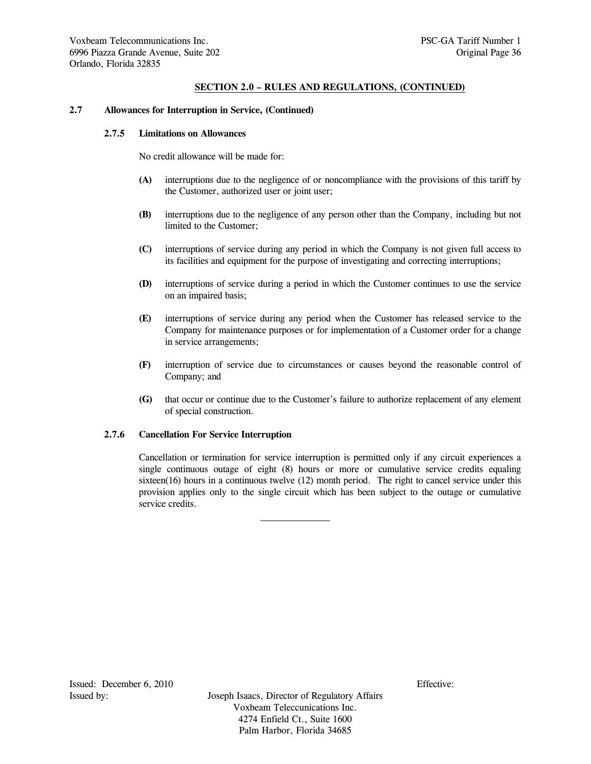# **2.7 Allowances for Interruption in Service, (Continued)**

### **2.7.5 Limitations on Allowances**

No credit allowance will be made for:

- **(A)** interruptions due to the negligence of or noncompliance with the provisions of this tariff by the Customer, authorized user or joint user;
- **(B)** interruptions due to the negligence of any person other than the Company, including but not limited to the Customer;
- **(C)** interruptions of service during any period in which the Company is not given full access to its facilities and equipment for the purpose of investigating and correcting interruptions;
- **(D)** interruptions of service during a period in which the Customer continues to use the service on an impaired basis;
- **(E)** interruptions of service during any period when the Customer has released service to the Company for maintenance purposes or for implementation of a Customer order for a change in service arrangements;
- **(F)** interruption of service due to circumstances or causes beyond the reasonable control of Company; and
- **(G)** that occur or continue due to the Customer's failure to authorize replacement of any element of special construction.

### **2.7.6 Cancellation For Service Interruption**

 Cancellation or termination for service interruption is permitted only if any circuit experiences a single continuous outage of eight (8) hours or more or cumulative service credits equaling sixteen(16) hours in a continuous twelve (12) month period. The right to cancel service under this provision applies only to the single circuit which has been subject to the outage or cumulative service credits.

Issued: December 6, 2010 Effective: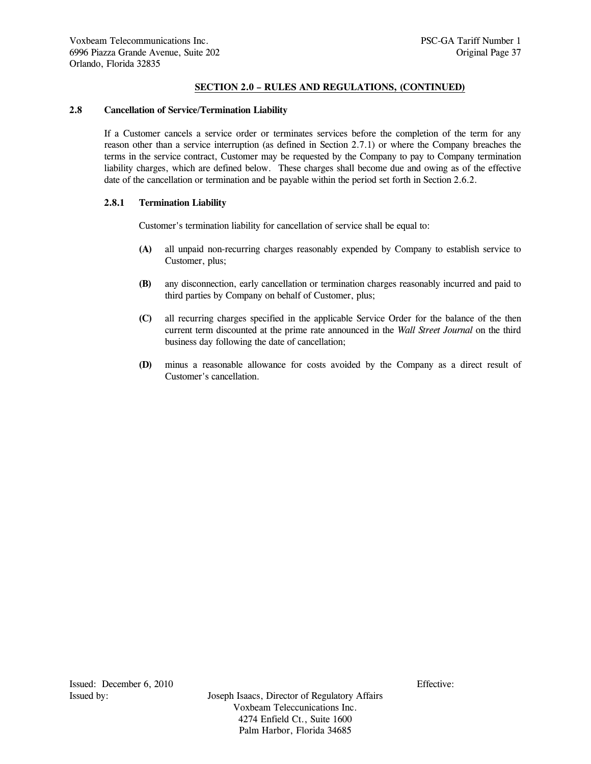# **SECTION 2.0 – RULES AND REGULATIONS, (CONTINUED)**

## **2.8 Cancellation of Service/Termination Liability**

 If a Customer cancels a service order or terminates services before the completion of the term for any reason other than a service interruption (as defined in Section 2.7.1) or where the Company breaches the terms in the service contract, Customer may be requested by the Company to pay to Company termination liability charges, which are defined below. These charges shall become due and owing as of the effective date of the cancellation or termination and be payable within the period set forth in Section 2.6.2.

## **2.8.1 Termination Liability**

Customer's termination liability for cancellation of service shall be equal to:

- **(A)** all unpaid non-recurring charges reasonably expended by Company to establish service to Customer, plus;
- **(B)** any disconnection, early cancellation or termination charges reasonably incurred and paid to third parties by Company on behalf of Customer, plus;
- **(C)** all recurring charges specified in the applicable Service Order for the balance of the then current term discounted at the prime rate announced in the *Wall Street Journal* on the third business day following the date of cancellation;
- **(D)** minus a reasonable allowance for costs avoided by the Company as a direct result of Customer's cancellation.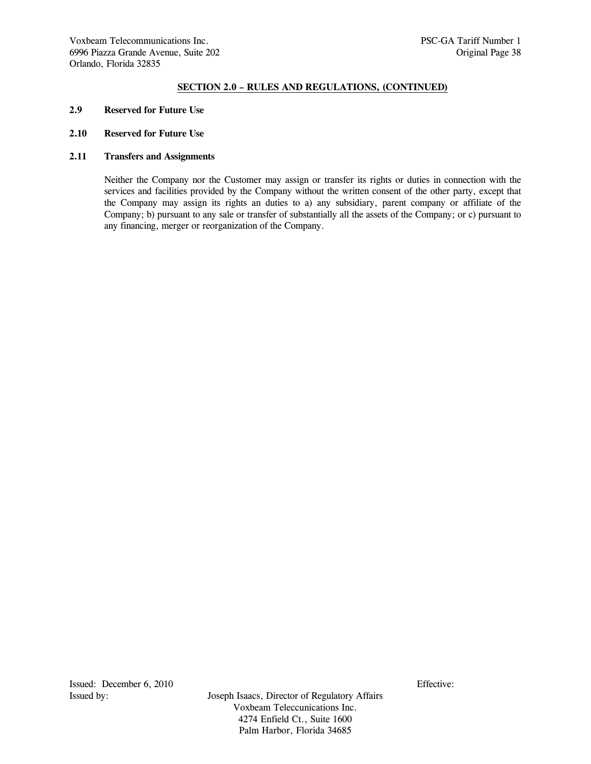## **SECTION 2.0 – RULES AND REGULATIONS, (CONTINUED)**

- **2.9 Reserved for Future Use**
- **2.10 Reserved for Future Use**

# **2.11 Transfers and Assignments**

 Neither the Company nor the Customer may assign or transfer its rights or duties in connection with the services and facilities provided by the Company without the written consent of the other party, except that the Company may assign its rights an duties to a) any subsidiary, parent company or affiliate of the Company; b) pursuant to any sale or transfer of substantially all the assets of the Company; or c) pursuant to any financing, merger or reorganization of the Company.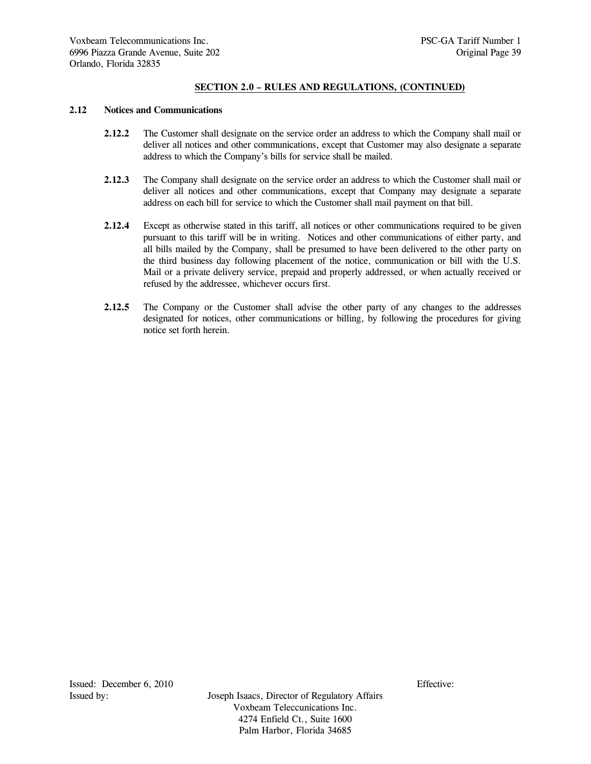# **SECTION 2.0 – RULES AND REGULATIONS, (CONTINUED)**

#### **2.12 Notices and Communications**

- **2.12.2** The Customer shall designate on the service order an address to which the Company shall mail or deliver all notices and other communications, except that Customer may also designate a separate address to which the Company's bills for service shall be mailed.
- **2.12.3** The Company shall designate on the service order an address to which the Customer shall mail or deliver all notices and other communications, except that Company may designate a separate address on each bill for service to which the Customer shall mail payment on that bill.
- **2.12.4** Except as otherwise stated in this tariff, all notices or other communications required to be given pursuant to this tariff will be in writing. Notices and other communications of either party, and all bills mailed by the Company, shall be presumed to have been delivered to the other party on the third business day following placement of the notice, communication or bill with the U.S. Mail or a private delivery service, prepaid and properly addressed, or when actually received or refused by the addressee, whichever occurs first.
- 2.12.5 The Company or the Customer shall advise the other party of any changes to the addresses designated for notices, other communications or billing, by following the procedures for giving notice set forth herein.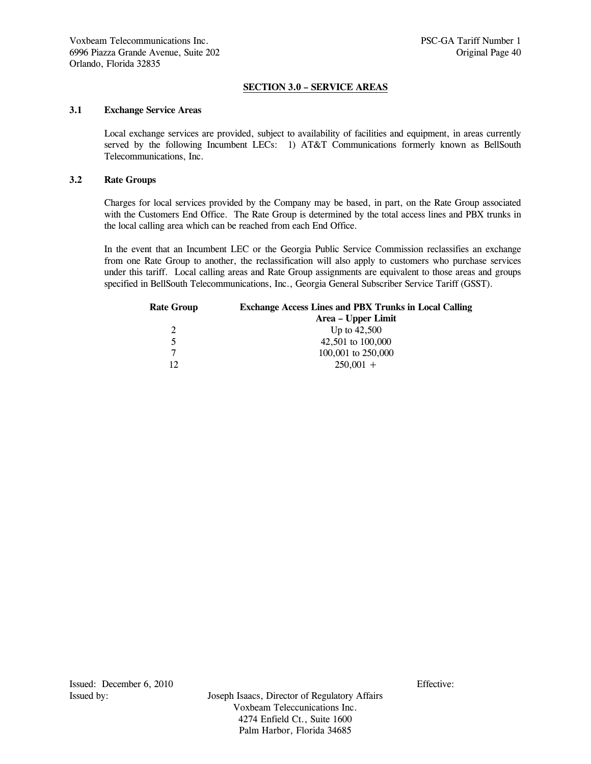# **SECTION 3.0 – SERVICE AREAS**

## **3.1 Exchange Service Areas**

 Local exchange services are provided, subject to availability of facilities and equipment, in areas currently served by the following Incumbent LECs: 1) AT&T Communications formerly known as BellSouth Telecommunications, Inc.

## **3.2 Rate Groups**

 Charges for local services provided by the Company may be based, in part, on the Rate Group associated with the Customers End Office. The Rate Group is determined by the total access lines and PBX trunks in the local calling area which can be reached from each End Office.

 In the event that an Incumbent LEC or the Georgia Public Service Commission reclassifies an exchange from one Rate Group to another, the reclassification will also apply to customers who purchase services under this tariff. Local calling areas and Rate Group assignments are equivalent to those areas and groups specified in BellSouth Telecommunications, Inc., Georgia General Subscriber Service Tariff (GSST).

| <b>Rate Group</b> | <b>Exchange Access Lines and PBX Trunks in Local Calling</b> |
|-------------------|--------------------------------------------------------------|
|                   | Area – Upper Limit                                           |
|                   | Up to $42,500$                                               |
| 5                 | 42,501 to 100,000                                            |
| 7                 | 100,001 to 250,000                                           |
| 12                | $250,001 +$                                                  |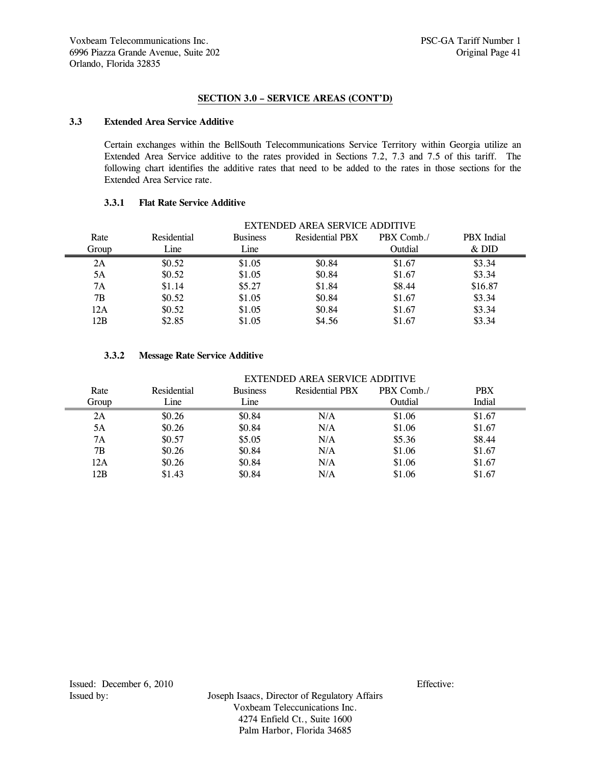# **SECTION 3.0 – SERVICE AREAS (CONT'D)**

# **3.3 Extended Area Service Additive**

 Certain exchanges within the BellSouth Telecommunications Service Territory within Georgia utilize an Extended Area Service additive to the rates provided in Sections 7.2, 7.3 and 7.5 of this tariff. The following chart identifies the additive rates that need to be added to the rates in those sections for the Extended Area Service rate.

# **3.3.1 Flat Rate Service Additive**

| EXTENDED AREA SERVICE ADDITIVE |             |                 |                        |            |                   |
|--------------------------------|-------------|-----------------|------------------------|------------|-------------------|
| Rate                           | Residential | <b>Business</b> | <b>Residential PBX</b> | PBX Comb./ | <b>PBX</b> Indial |
| Group                          | Line        | Line            |                        | Outdial    | $&$ DID           |
| 2A                             | \$0.52\$    | \$1.05          | \$0.84                 | \$1.67     | \$3.34            |
| 5A                             | \$0.52\$    | \$1.05          | \$0.84                 | \$1.67     | \$3.34            |
| 7A                             | \$1.14      | \$5.27          | \$1.84                 | \$8.44     | \$16.87           |
| 7Β                             | \$0.52      | \$1.05          | \$0.84                 | \$1.67     | \$3.34            |
| 12A                            | \$0.52      | \$1.05          | \$0.84                 | \$1.67     | \$3.34            |
| 12B                            | \$2.85      | \$1.05          | \$4.56                 | \$1.67     | \$3.34            |

# **3.3.2 Message Rate Service Additive**

|       | EXTENDED AREA SERVICE ADDITIVE |                 |                        |            |            |
|-------|--------------------------------|-----------------|------------------------|------------|------------|
| Rate  | Residential                    | <b>Business</b> | <b>Residential PBX</b> | PBX Comb./ | <b>PBX</b> |
| Group | Line                           | Line            |                        | Outdial    | Indial     |
| 2A    | \$0.26                         | \$0.84          | N/A                    | \$1.06     | \$1.67     |
| 5A    | \$0.26                         | \$0.84          | N/A                    | \$1.06     | \$1.67     |
| 7A    | \$0.57                         | \$5.05          | N/A                    | \$5.36     | \$8.44     |
| 7B    | \$0.26                         | \$0.84          | N/A                    | \$1.06     | \$1.67     |
| 12A   | \$0.26                         | \$0.84          | N/A                    | \$1.06     | \$1.67     |
| 12B   | \$1.43                         | \$0.84          | N/A                    | \$1.06     | \$1.67     |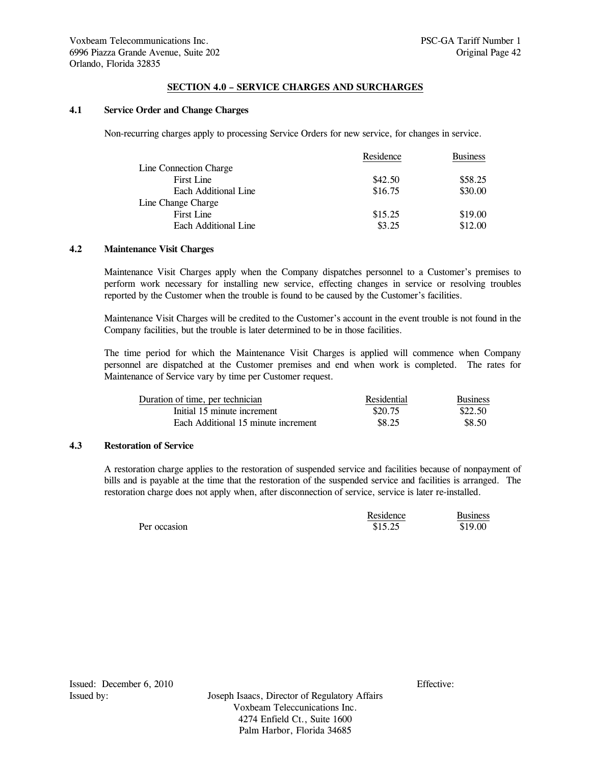## **SECTION 4.0 – SERVICE CHARGES AND SURCHARGES**

### **4.1 Service Order and Change Charges**

Non-recurring charges apply to processing Service Orders for new service, for changes in service.

|                        | Residence | <b>Business</b> |
|------------------------|-----------|-----------------|
| Line Connection Charge |           |                 |
| First Line             | \$42.50   | \$58.25         |
| Each Additional Line   | \$16.75   | \$30.00         |
| Line Change Charge     |           |                 |
| First Line             | \$15.25   | \$19.00         |
| Each Additional Line   | \$3.25    | \$12.00         |

# **4.2 Maintenance Visit Charges**

 Maintenance Visit Charges apply when the Company dispatches personnel to a Customer's premises to perform work necessary for installing new service, effecting changes in service or resolving troubles reported by the Customer when the trouble is found to be caused by the Customer's facilities.

 Maintenance Visit Charges will be credited to the Customer's account in the event trouble is not found in the Company facilities, but the trouble is later determined to be in those facilities.

 The time period for which the Maintenance Visit Charges is applied will commence when Company personnel are dispatched at the Customer premises and end when work is completed. The rates for Maintenance of Service vary by time per Customer request.

| Duration of time, per technician    | Residential | <b>Business</b> |
|-------------------------------------|-------------|-----------------|
| Initial 15 minute increment         | \$20.75     | \$22.50         |
| Each Additional 15 minute increment | \$8.25      | \$8.50          |

## **4.3 Restoration of Service**

 A restoration charge applies to the restoration of suspended service and facilities because of nonpayment of bills and is payable at the time that the restoration of the suspended service and facilities is arranged. The restoration charge does not apply when, after disconnection of service, service is later re-installed.

|              | Residence | Business |
|--------------|-----------|----------|
| Per occasion | \$15.25   | \$19.00  |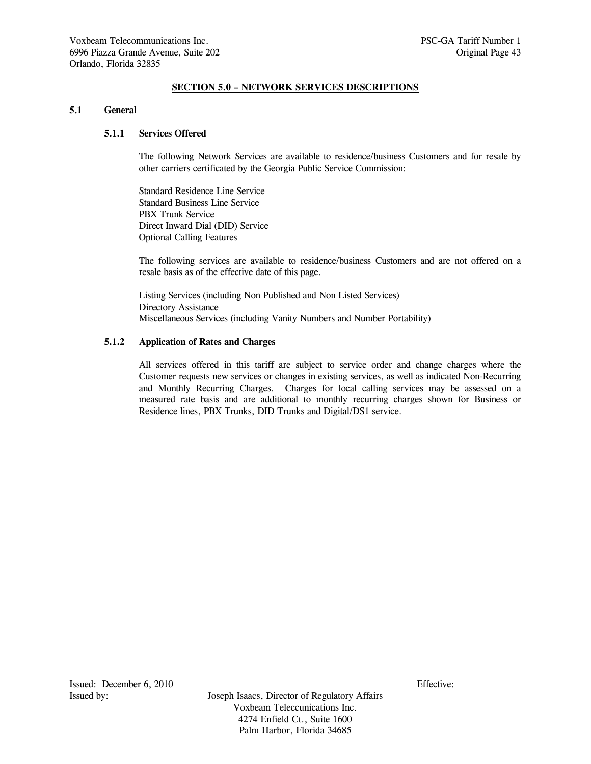# **SECTION 5.0 – NETWORK SERVICES DESCRIPTIONS**

### **5.1 General**

# **5.1.1 Services Offered**

 The following Network Services are available to residence/business Customers and for resale by other carriers certificated by the Georgia Public Service Commission:

 Standard Residence Line Service Standard Business Line Service PBX Trunk Service Direct Inward Dial (DID) Service Optional Calling Features

 The following services are available to residence/business Customers and are not offered on a resale basis as of the effective date of this page.

 Listing Services (including Non Published and Non Listed Services) Directory Assistance Miscellaneous Services (including Vanity Numbers and Number Portability)

## **5.1.2 Application of Rates and Charges**

 All services offered in this tariff are subject to service order and change charges where the Customer requests new services or changes in existing services, as well as indicated Non-Recurring and Monthly Recurring Charges. Charges for local calling services may be assessed on a measured rate basis and are additional to monthly recurring charges shown for Business or Residence lines, PBX Trunks, DID Trunks and Digital/DS1 service.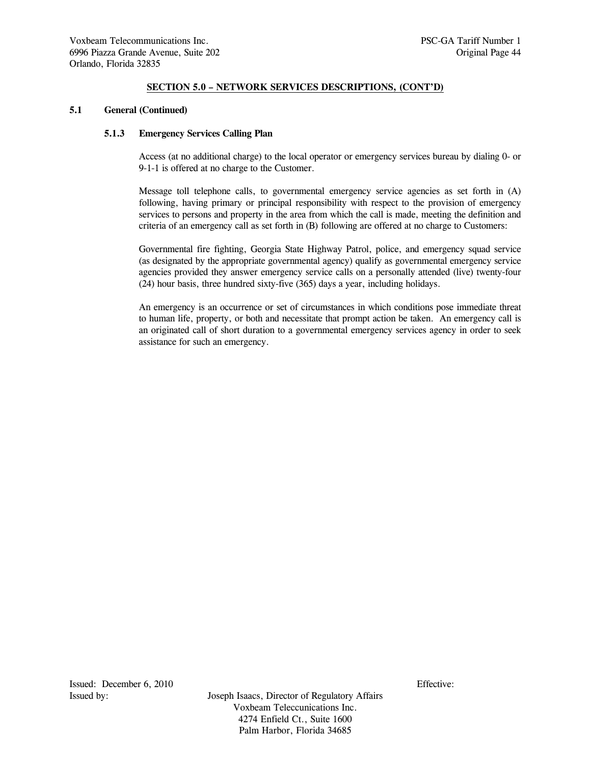#### **5.1 General (Continued)**

## **5.1.3 Emergency Services Calling Plan**

 Access (at no additional charge) to the local operator or emergency services bureau by dialing 0- or 9-1-1 is offered at no charge to the Customer.

 Message toll telephone calls, to governmental emergency service agencies as set forth in (A) following, having primary or principal responsibility with respect to the provision of emergency services to persons and property in the area from which the call is made, meeting the definition and criteria of an emergency call as set forth in (B) following are offered at no charge to Customers:

 Governmental fire fighting, Georgia State Highway Patrol, police, and emergency squad service (as designated by the appropriate governmental agency) qualify as governmental emergency service agencies provided they answer emergency service calls on a personally attended (live) twenty-four (24) hour basis, three hundred sixty-five (365) days a year, including holidays.

 An emergency is an occurrence or set of circumstances in which conditions pose immediate threat to human life, property, or both and necessitate that prompt action be taken. An emergency call is an originated call of short duration to a governmental emergency services agency in order to seek assistance for such an emergency.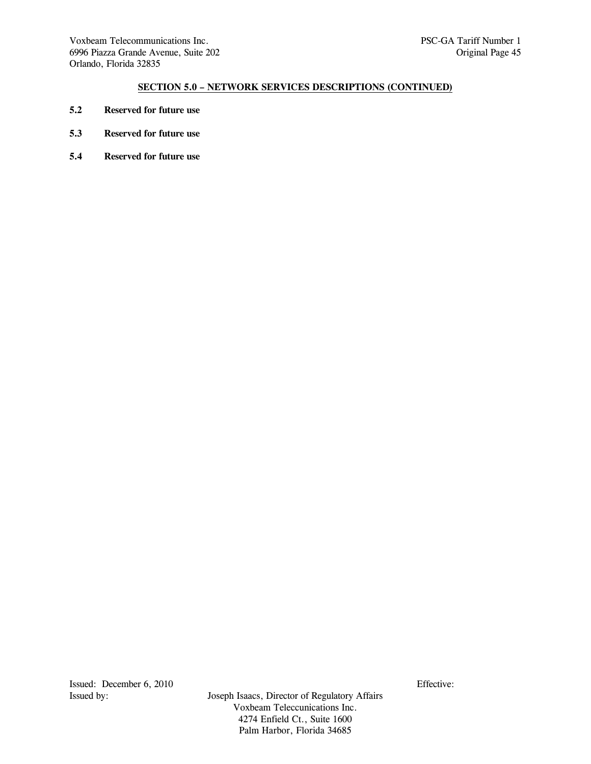- **5.2 Reserved for future use**
- **5.3 Reserved for future use**
- **5.4 Reserved for future use**

Issued: December 6, 2010<br>Issued by: Issued by: Issued by: Issued by: Issued by: Issued by: Issued by: Issued by: Issued by: Its and Issued Bureau and Issued Bureau and Issued Bureau and Issued Bureau and Issued Bureau and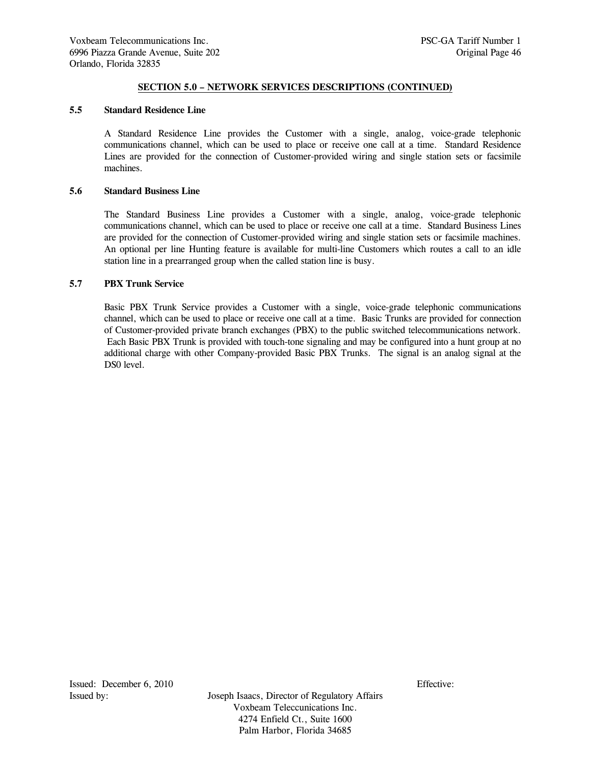#### **5.5 Standard Residence Line**

 A Standard Residence Line provides the Customer with a single, analog, voice-grade telephonic communications channel, which can be used to place or receive one call at a time. Standard Residence Lines are provided for the connection of Customer-provided wiring and single station sets or facsimile machines.

#### **5.6 Standard Business Line**

 The Standard Business Line provides a Customer with a single, analog, voice-grade telephonic communications channel, which can be used to place or receive one call at a time. Standard Business Lines are provided for the connection of Customer-provided wiring and single station sets or facsimile machines. An optional per line Hunting feature is available for multi-line Customers which routes a call to an idle station line in a prearranged group when the called station line is busy.

## **5.7 PBX Trunk Service**

 Basic PBX Trunk Service provides a Customer with a single, voice-grade telephonic communications channel, which can be used to place or receive one call at a time. Basic Trunks are provided for connection of Customer-provided private branch exchanges (PBX) to the public switched telecommunications network. Each Basic PBX Trunk is provided with touch-tone signaling and may be configured into a hunt group at no additional charge with other Company-provided Basic PBX Trunks. The signal is an analog signal at the DS0 level.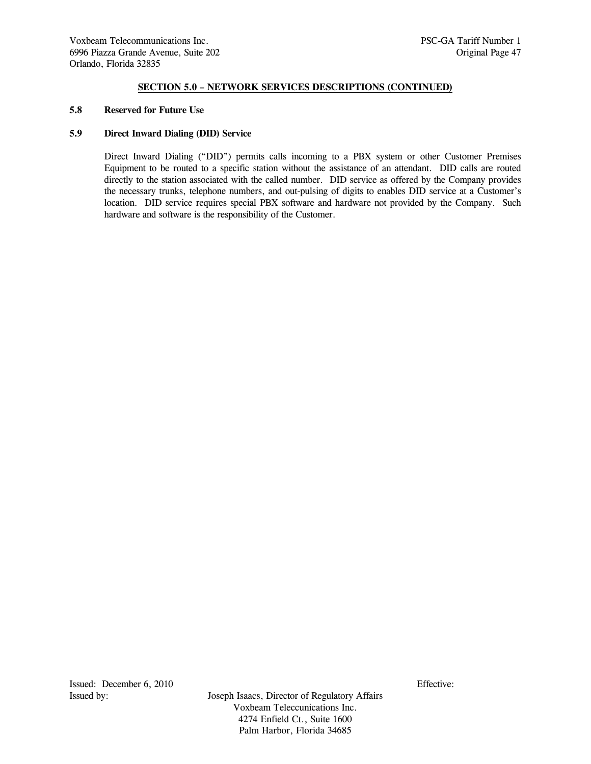#### **5.8 Reserved for Future Use**

# **5.9 Direct Inward Dialing (DID) Service**

 Direct Inward Dialing ("DID") permits calls incoming to a PBX system or other Customer Premises Equipment to be routed to a specific station without the assistance of an attendant. DID calls are routed directly to the station associated with the called number. DID service as offered by the Company provides the necessary trunks, telephone numbers, and out-pulsing of digits to enables DID service at a Customer's location. DID service requires special PBX software and hardware not provided by the Company. Such hardware and software is the responsibility of the Customer.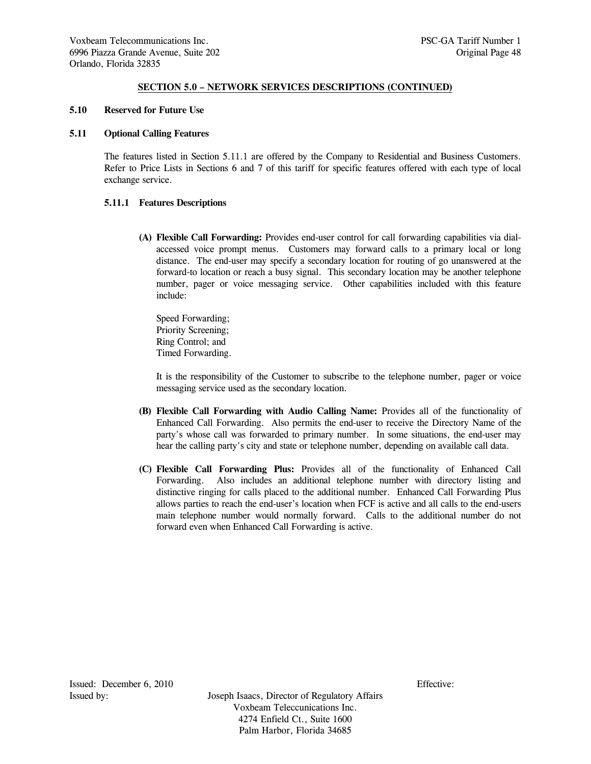#### **5.10 Reserved for Future Use**

### **5.11 Optional Calling Features**

 The features listed in Section 5.11.1 are offered by the Company to Residential and Business Customers. Refer to Price Lists in Sections 6 and 7 of this tariff for specific features offered with each type of local exchange service.

## **5.11.1 Features Descriptions**

 **(A) Flexible Call Forwarding:** Provides end-user control for call forwarding capabilities via dialaccessed voice prompt menus. Customers may forward calls to a primary local or long distance. The end-user may specify a secondary location for routing of go unanswered at the forward-to location or reach a busy signal. This secondary location may be another telephone number, pager or voice messaging service. Other capabilities included with this feature include:

 Speed Forwarding; Priority Screening; Ring Control; and Timed Forwarding.

 It is the responsibility of the Customer to subscribe to the telephone number, pager or voice messaging service used as the secondary location.

- **(B) Flexible Call Forwarding with Audio Calling Name:** Provides all of the functionality of Enhanced Call Forwarding. Also permits the end-user to receive the Directory Name of the party's whose call was forwarded to primary number. In some situations, the end-user may hear the calling party's city and state or telephone number, depending on available call data.
- **(C) Flexible Call Forwarding Plus:** Provides all of the functionality of Enhanced Call Forwarding. Also includes an additional telephone number with directory listing and distinctive ringing for calls placed to the additional number. Enhanced Call Forwarding Plus allows parties to reach the end-user's location when FCF is active and all calls to the end-users main telephone number would normally forward. Calls to the additional number do not forward even when Enhanced Call Forwarding is active.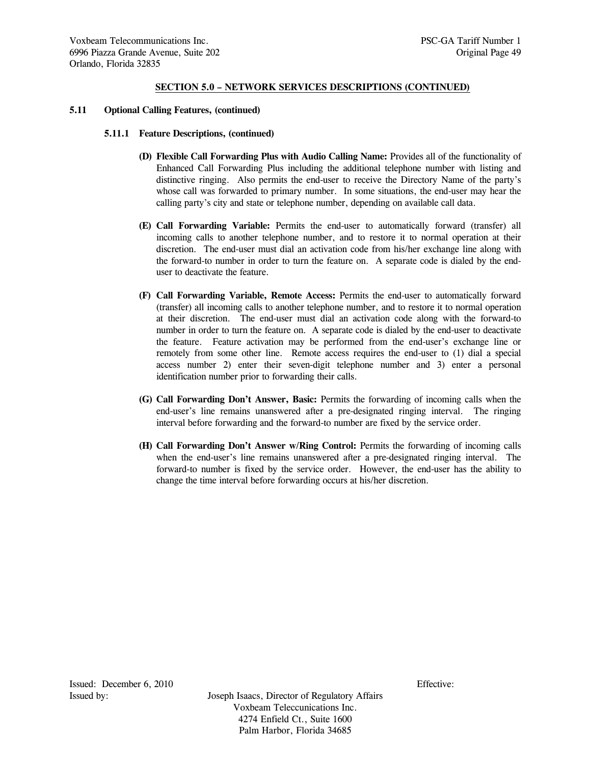#### **5.11 Optional Calling Features, (continued)**

#### **5.11.1 Feature Descriptions, (continued)**

- **(D) Flexible Call Forwarding Plus with Audio Calling Name:** Provides all of the functionality of Enhanced Call Forwarding Plus including the additional telephone number with listing and distinctive ringing. Also permits the end-user to receive the Directory Name of the party's whose call was forwarded to primary number. In some situations, the end-user may hear the calling party's city and state or telephone number, depending on available call data.
- **(E) Call Forwarding Variable:** Permits the end-user to automatically forward (transfer) all incoming calls to another telephone number, and to restore it to normal operation at their discretion. The end-user must dial an activation code from his/her exchange line along with the forward-to number in order to turn the feature on. A separate code is dialed by the enduser to deactivate the feature.
- **(F) Call Forwarding Variable, Remote Access:** Permits the end-user to automatically forward (transfer) all incoming calls to another telephone number, and to restore it to normal operation at their discretion. The end-user must dial an activation code along with the forward-to number in order to turn the feature on. A separate code is dialed by the end-user to deactivate the feature. Feature activation may be performed from the end-user's exchange line or remotely from some other line. Remote access requires the end-user to (1) dial a special access number 2) enter their seven-digit telephone number and 3) enter a personal identification number prior to forwarding their calls.
- **(G) Call Forwarding Don't Answer, Basic:** Permits the forwarding of incoming calls when the end-user's line remains unanswered after a pre-designated ringing interval. The ringing interval before forwarding and the forward-to number are fixed by the service order.
- **(H) Call Forwarding Don't Answer w/Ring Control:** Permits the forwarding of incoming calls when the end-user's line remains unanswered after a pre-designated ringing interval. The forward-to number is fixed by the service order. However, the end-user has the ability to change the time interval before forwarding occurs at his/her discretion.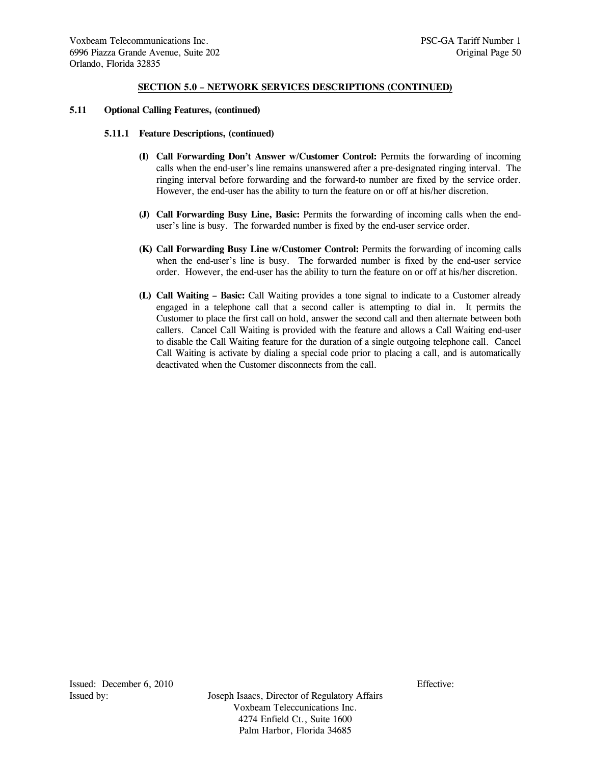#### **5.11 Optional Calling Features, (continued)**

#### **5.11.1 Feature Descriptions, (continued)**

- **(I) Call Forwarding Don't Answer w/Customer Control:** Permits the forwarding of incoming calls when the end-user's line remains unanswered after a pre-designated ringing interval. The ringing interval before forwarding and the forward-to number are fixed by the service order. However, the end-user has the ability to turn the feature on or off at his/her discretion.
- **(J) Call Forwarding Busy Line, Basic:** Permits the forwarding of incoming calls when the enduser's line is busy. The forwarded number is fixed by the end-user service order.
- **(K) Call Forwarding Busy Line w/Customer Control:** Permits the forwarding of incoming calls when the end-user's line is busy. The forwarded number is fixed by the end-user service order. However, the end-user has the ability to turn the feature on or off at his/her discretion.
- **(L) Call Waiting Basic:** Call Waiting provides a tone signal to indicate to a Customer already engaged in a telephone call that a second caller is attempting to dial in. It permits the Customer to place the first call on hold, answer the second call and then alternate between both callers. Cancel Call Waiting is provided with the feature and allows a Call Waiting end-user to disable the Call Waiting feature for the duration of a single outgoing telephone call. Cancel Call Waiting is activate by dialing a special code prior to placing a call, and is automatically deactivated when the Customer disconnects from the call.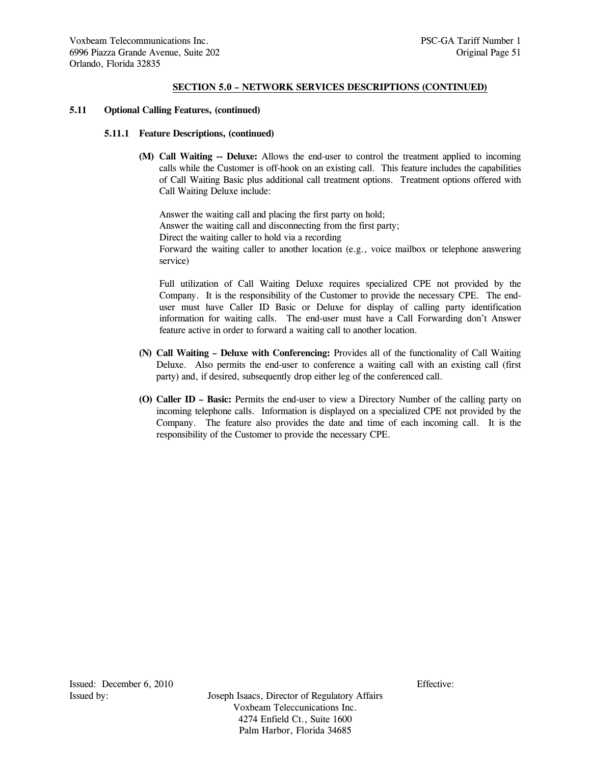#### **5.11 Optional Calling Features, (continued)**

#### **5.11.1 Feature Descriptions, (continued)**

 **(M) Call Waiting -- Deluxe:** Allows the end-user to control the treatment applied to incoming calls while the Customer is off-hook on an existing call. This feature includes the capabilities of Call Waiting Basic plus additional call treatment options. Treatment options offered with Call Waiting Deluxe include:

 Answer the waiting call and placing the first party on hold; Answer the waiting call and disconnecting from the first party; Direct the waiting caller to hold via a recording Forward the waiting caller to another location (e.g., voice mailbox or telephone answering service)

 Full utilization of Call Waiting Deluxe requires specialized CPE not provided by the Company. It is the responsibility of the Customer to provide the necessary CPE. The enduser must have Caller ID Basic or Deluxe for display of calling party identification information for waiting calls. The end-user must have a Call Forwarding don't Answer feature active in order to forward a waiting call to another location.

- **(N) Call Waiting Deluxe with Conferencing:** Provides all of the functionality of Call Waiting Deluxe. Also permits the end-user to conference a waiting call with an existing call (first party) and, if desired, subsequently drop either leg of the conferenced call.
- **(O) Caller ID Basic:** Permits the end-user to view a Directory Number of the calling party on incoming telephone calls. Information is displayed on a specialized CPE not provided by the Company. The feature also provides the date and time of each incoming call. It is the responsibility of the Customer to provide the necessary CPE.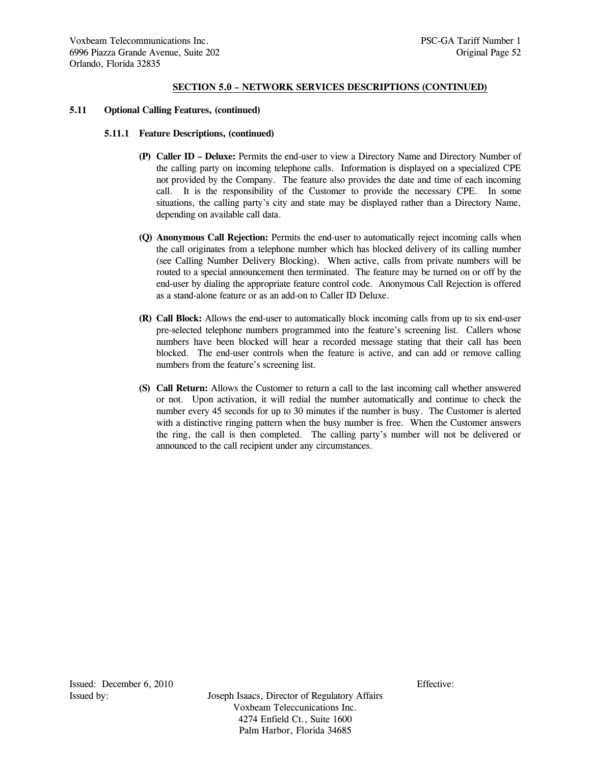#### **5.11 Optional Calling Features, (continued)**

#### **5.11.1 Feature Descriptions, (continued)**

- **(P) Caller ID Deluxe:** Permits the end-user to view a Directory Name and Directory Number of the calling party on incoming telephone calls. Information is displayed on a specialized CPE not provided by the Company. The feature also provides the date and time of each incoming call. It is the responsibility of the Customer to provide the necessary CPE. In some situations, the calling party's city and state may be displayed rather than a Directory Name, depending on available call data.
- **(Q) Anonymous Call Rejection:** Permits the end-user to automatically reject incoming calls when the call originates from a telephone number which has blocked delivery of its calling number (see Calling Number Delivery Blocking). When active, calls from private numbers will be routed to a special announcement then terminated. The feature may be turned on or off by the end-user by dialing the appropriate feature control code. Anonymous Call Rejection is offered as a stand-alone feature or as an add-on to Caller ID Deluxe.
- **(R) Call Block:** Allows the end-user to automatically block incoming calls from up to six end-user pre-selected telephone numbers programmed into the feature's screening list. Callers whose numbers have been blocked will hear a recorded message stating that their call has been blocked. The end-user controls when the feature is active, and can add or remove calling numbers from the feature's screening list.
- **(S) Call Return:** Allows the Customer to return a call to the last incoming call whether answered or not. Upon activation, it will redial the number automatically and continue to check the number every 45 seconds for up to 30 minutes if the number is busy. The Customer is alerted with a distinctive ringing pattern when the busy number is free. When the Customer answers the ring, the call is then completed. The calling party's number will not be delivered or announced to the call recipient under any circumstances.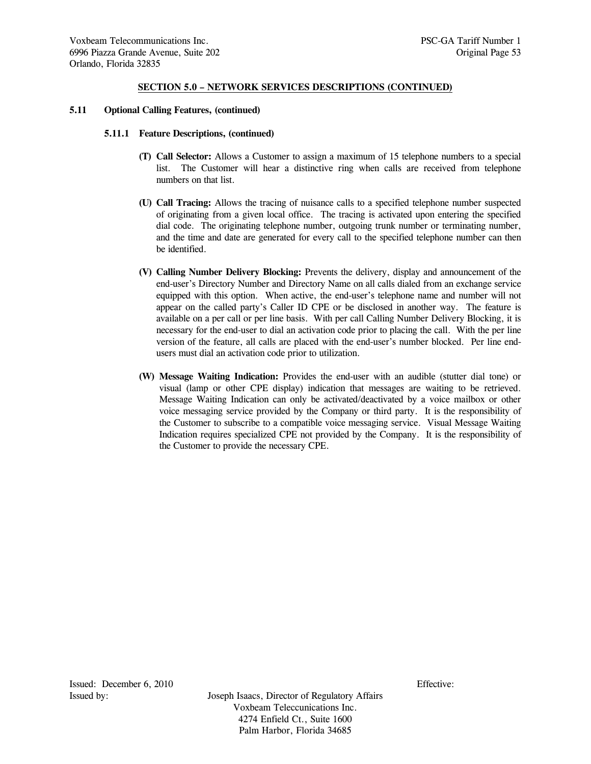#### **5.11 Optional Calling Features, (continued)**

### **5.11.1 Feature Descriptions, (continued)**

- **(T) Call Selector:** Allows a Customer to assign a maximum of 15 telephone numbers to a special list. The Customer will hear a distinctive ring when calls are received from telephone numbers on that list.
- **(U) Call Tracing:** Allows the tracing of nuisance calls to a specified telephone number suspected of originating from a given local office. The tracing is activated upon entering the specified dial code. The originating telephone number, outgoing trunk number or terminating number, and the time and date are generated for every call to the specified telephone number can then be identified.
- **(V) Calling Number Delivery Blocking:** Prevents the delivery, display and announcement of the end-user's Directory Number and Directory Name on all calls dialed from an exchange service equipped with this option. When active, the end-user's telephone name and number will not appear on the called party's Caller ID CPE or be disclosed in another way. The feature is available on a per call or per line basis. With per call Calling Number Delivery Blocking, it is necessary for the end-user to dial an activation code prior to placing the call. With the per line version of the feature, all calls are placed with the end-user's number blocked. Per line endusers must dial an activation code prior to utilization.
- **(W) Message Waiting Indication:** Provides the end-user with an audible (stutter dial tone) or visual (lamp or other CPE display) indication that messages are waiting to be retrieved. Message Waiting Indication can only be activated/deactivated by a voice mailbox or other voice messaging service provided by the Company or third party. It is the responsibility of the Customer to subscribe to a compatible voice messaging service. Visual Message Waiting Indication requires specialized CPE not provided by the Company. It is the responsibility of the Customer to provide the necessary CPE.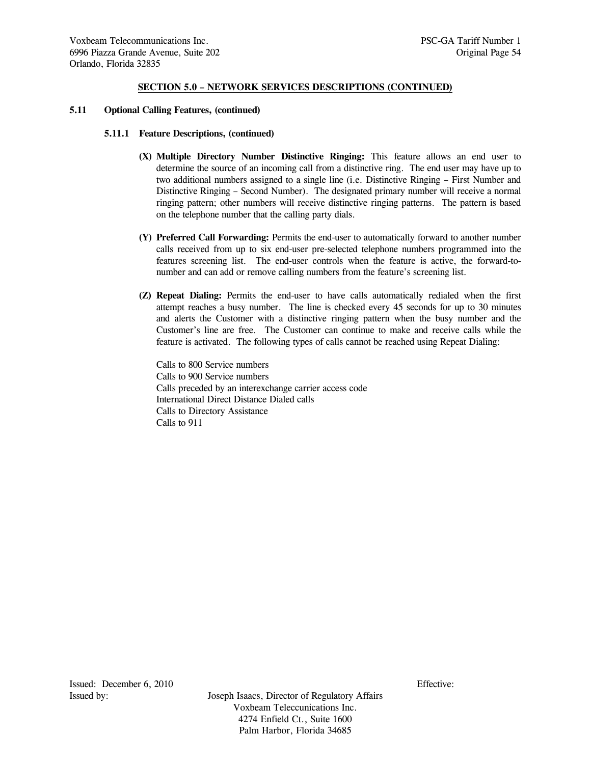### **5.11 Optional Calling Features, (continued)**

### **5.11.1 Feature Descriptions, (continued)**

- **(X) Multiple Directory Number Distinctive Ringing:** This feature allows an end user to determine the source of an incoming call from a distinctive ring. The end user may have up to two additional numbers assigned to a single line (i.e. Distinctive Ringing – First Number and Distinctive Ringing – Second Number). The designated primary number will receive a normal ringing pattern; other numbers will receive distinctive ringing patterns. The pattern is based on the telephone number that the calling party dials.
- **(Y) Preferred Call Forwarding:** Permits the end-user to automatically forward to another number calls received from up to six end-user pre-selected telephone numbers programmed into the features screening list. The end-user controls when the feature is active, the forward-tonumber and can add or remove calling numbers from the feature's screening list.
- **(Z) Repeat Dialing:** Permits the end-user to have calls automatically redialed when the first attempt reaches a busy number. The line is checked every 45 seconds for up to 30 minutes and alerts the Customer with a distinctive ringing pattern when the busy number and the Customer's line are free. The Customer can continue to make and receive calls while the feature is activated. The following types of calls cannot be reached using Repeat Dialing:

 Calls to 800 Service numbers Calls to 900 Service numbers Calls preceded by an interexchange carrier access code International Direct Distance Dialed calls Calls to Directory Assistance Calls to 911

Issued: December 6, 2010 Effective: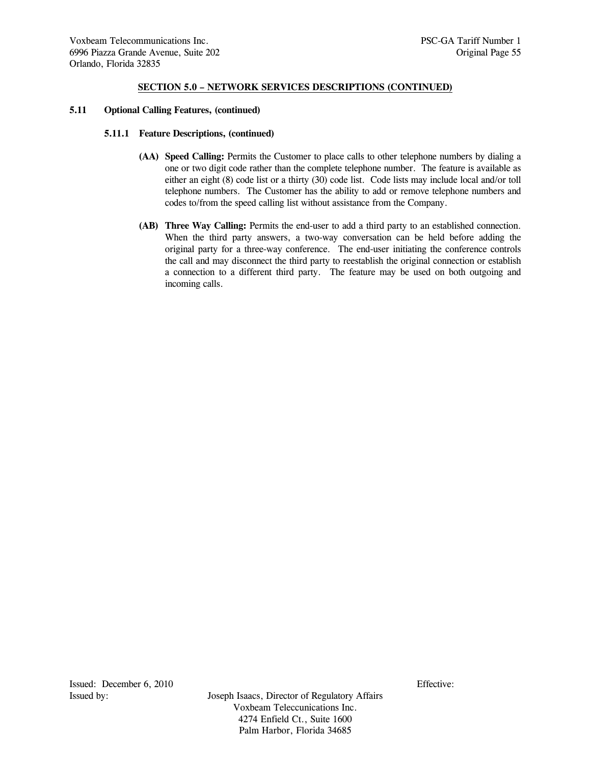#### **5.11 Optional Calling Features, (continued)**

#### **5.11.1 Feature Descriptions, (continued)**

- **(AA) Speed Calling:** Permits the Customer to place calls to other telephone numbers by dialing a one or two digit code rather than the complete telephone number. The feature is available as either an eight (8) code list or a thirty (30) code list. Code lists may include local and/or toll telephone numbers. The Customer has the ability to add or remove telephone numbers and codes to/from the speed calling list without assistance from the Company.
- **(AB) Three Way Calling:** Permits the end-user to add a third party to an established connection. When the third party answers, a two-way conversation can be held before adding the original party for a three-way conference. The end-user initiating the conference controls the call and may disconnect the third party to reestablish the original connection or establish a connection to a different third party. The feature may be used on both outgoing and incoming calls.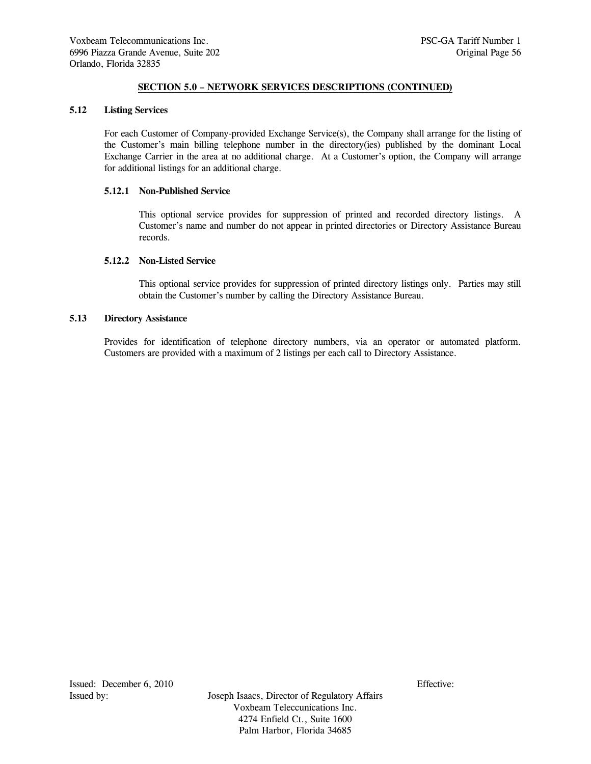#### **5.12 Listing Services**

 For each Customer of Company-provided Exchange Service(s), the Company shall arrange for the listing of the Customer's main billing telephone number in the directory(ies) published by the dominant Local Exchange Carrier in the area at no additional charge. At a Customer's option, the Company will arrange for additional listings for an additional charge.

#### **5.12.1 Non-Published Service**

 This optional service provides for suppression of printed and recorded directory listings. A Customer's name and number do not appear in printed directories or Directory Assistance Bureau records.

## **5.12.2 Non-Listed Service**

 This optional service provides for suppression of printed directory listings only. Parties may still obtain the Customer's number by calling the Directory Assistance Bureau.

### **5.13 Directory Assistance**

 Provides for identification of telephone directory numbers, via an operator or automated platform. Customers are provided with a maximum of 2 listings per each call to Directory Assistance.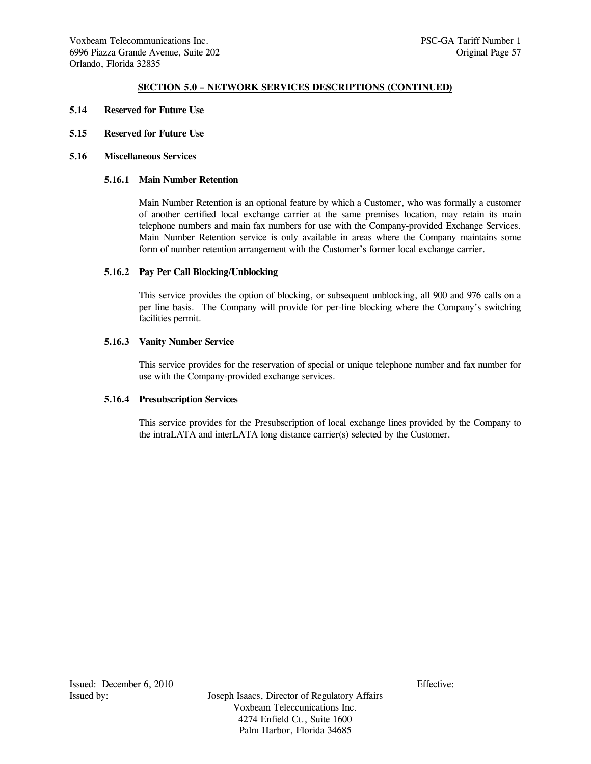- **5.14 Reserved for Future Use**
- **5.15 Reserved for Future Use**
- **5.16 Miscellaneous Services**

## **5.16.1 Main Number Retention**

 Main Number Retention is an optional feature by which a Customer, who was formally a customer of another certified local exchange carrier at the same premises location, may retain its main telephone numbers and main fax numbers for use with the Company-provided Exchange Services. Main Number Retention service is only available in areas where the Company maintains some form of number retention arrangement with the Customer's former local exchange carrier.

#### **5.16.2 Pay Per Call Blocking/Unblocking**

 This service provides the option of blocking, or subsequent unblocking, all 900 and 976 calls on a per line basis. The Company will provide for per-line blocking where the Company's switching facilities permit.

## **5.16.3 Vanity Number Service**

 This service provides for the reservation of special or unique telephone number and fax number for use with the Company-provided exchange services.

#### **5.16.4 Presubscription Services**

 This service provides for the Presubscription of local exchange lines provided by the Company to the intraLATA and interLATA long distance carrier(s) selected by the Customer.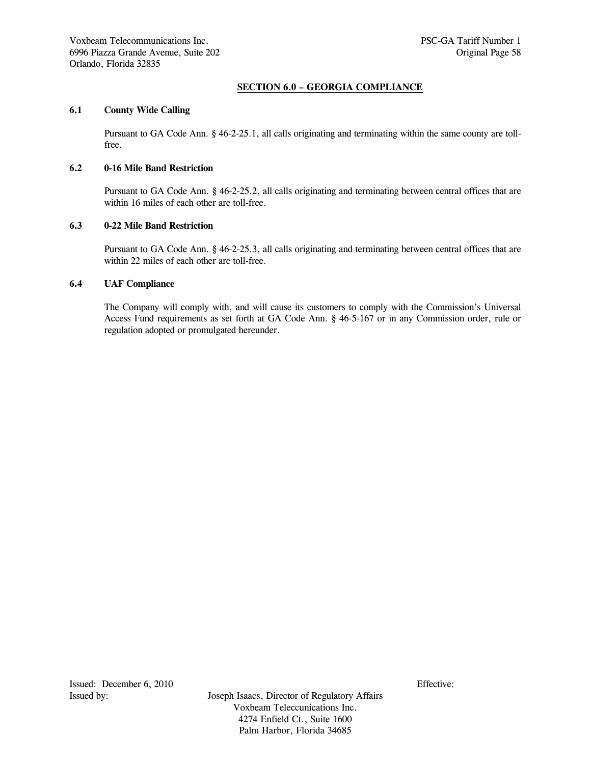# **SECTION 6.0 – GEORGIA COMPLIANCE**

## **6.1 County Wide Calling**

Pursuant to GA Code Ann. § 46-2-25.1, all calls originating and terminating within the same county are tollfree.

## **6.2 0-16 Mile Band Restriction**

Pursuant to GA Code Ann. § 46-2-25.2, all calls originating and terminating between central offices that are within 16 miles of each other are toll-free.

## **6.3 0-22 Mile Band Restriction**

Pursuant to GA Code Ann. § 46-2-25.3, all calls originating and terminating between central offices that are within 22 miles of each other are toll-free.

# **6.4 UAF Compliance**

The Company will comply with, and will cause its customers to comply with the Commission's Universal Access Fund requirements as set forth at GA Code Ann. § 46-5-167 or in any Commission order, rule or regulation adopted or promulgated hereunder.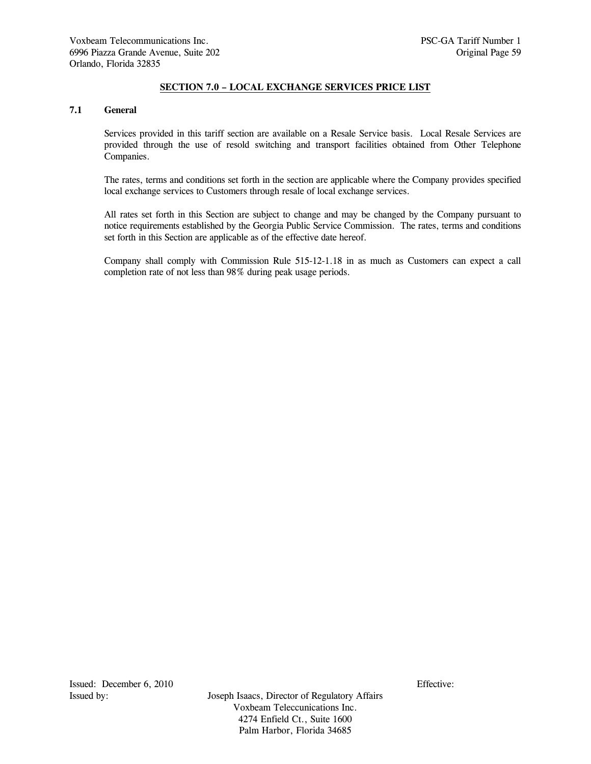# **SECTION 7.0 – LOCAL EXCHANGE SERVICES PRICE LIST**

### **7.1 General**

 Services provided in this tariff section are available on a Resale Service basis. Local Resale Services are provided through the use of resold switching and transport facilities obtained from Other Telephone Companies.

 The rates, terms and conditions set forth in the section are applicable where the Company provides specified local exchange services to Customers through resale of local exchange services.

 All rates set forth in this Section are subject to change and may be changed by the Company pursuant to notice requirements established by the Georgia Public Service Commission. The rates, terms and conditions set forth in this Section are applicable as of the effective date hereof.

 Company shall comply with Commission Rule 515-12-1.18 in as much as Customers can expect a call completion rate of not less than 98% during peak usage periods.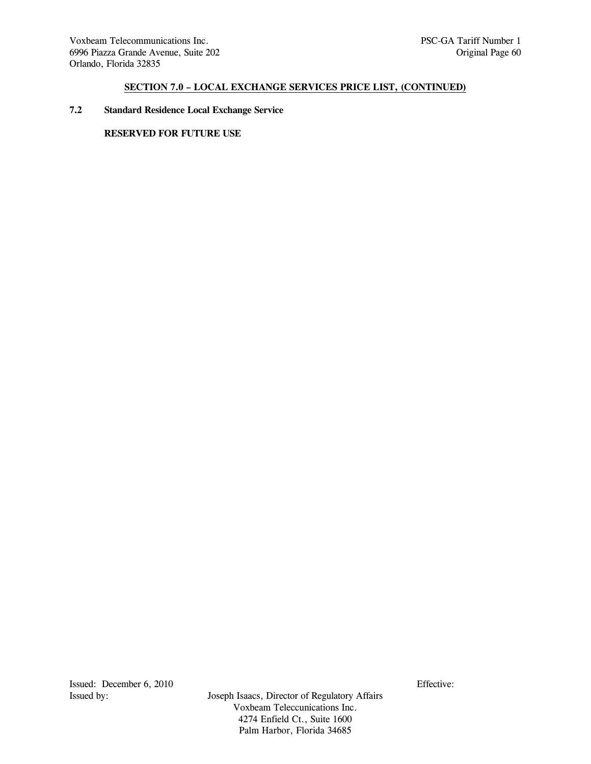## **7.2 Standard Residence Local Exchange Service**

# **RESERVED FOR FUTURE USE**

Issued: December 6, 2010<br>Issued by: Issued by: Issued by: Issued by: Issued by: Issued by: Issued by: Issued by: Issued by: Its and Issued Bureau and Issued Bureau and Issued Bureau and Issued Bureau and Issued Bureau and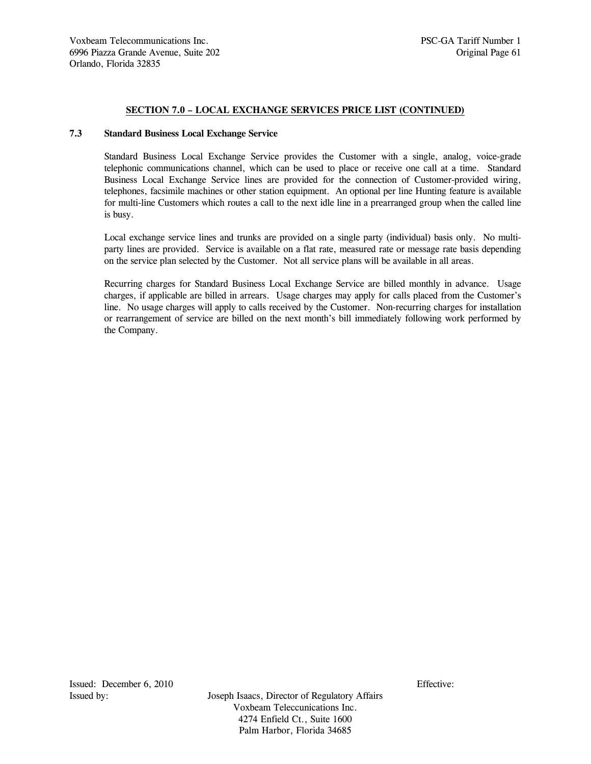### **7.3 Standard Business Local Exchange Service**

 Standard Business Local Exchange Service provides the Customer with a single, analog, voice-grade telephonic communications channel, which can be used to place or receive one call at a time. Standard Business Local Exchange Service lines are provided for the connection of Customer-provided wiring, telephones, facsimile machines or other station equipment. An optional per line Hunting feature is available for multi-line Customers which routes a call to the next idle line in a prearranged group when the called line is busy.

 Local exchange service lines and trunks are provided on a single party (individual) basis only. No multiparty lines are provided. Service is available on a flat rate, measured rate or message rate basis depending on the service plan selected by the Customer. Not all service plans will be available in all areas.

 Recurring charges for Standard Business Local Exchange Service are billed monthly in advance. Usage charges, if applicable are billed in arrears. Usage charges may apply for calls placed from the Customer's line. No usage charges will apply to calls received by the Customer. Non-recurring charges for installation or rearrangement of service are billed on the next month's bill immediately following work performed by the Company.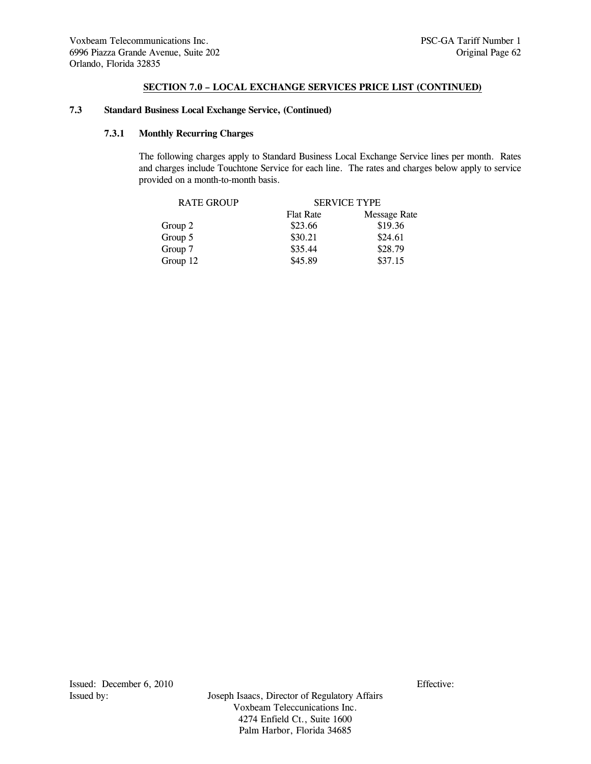## **7.3 Standard Business Local Exchange Service, (Continued)**

# **7.3.1 Monthly Recurring Charges**

 The following charges apply to Standard Business Local Exchange Service lines per month. Rates and charges include Touchtone Service for each line. The rates and charges below apply to service provided on a month-to-month basis.

| <b>RATE GROUP</b> | <b>SERVICE TYPE</b> |              |  |
|-------------------|---------------------|--------------|--|
|                   | <b>Flat Rate</b>    | Message Rate |  |
| Group 2           | \$23.66             | \$19.36      |  |
| Group 5           | \$30.21             | \$24.61      |  |
| Group 7           | \$35.44             | \$28.79      |  |
| Group 12          | \$45.89             | \$37.15      |  |
|                   |                     |              |  |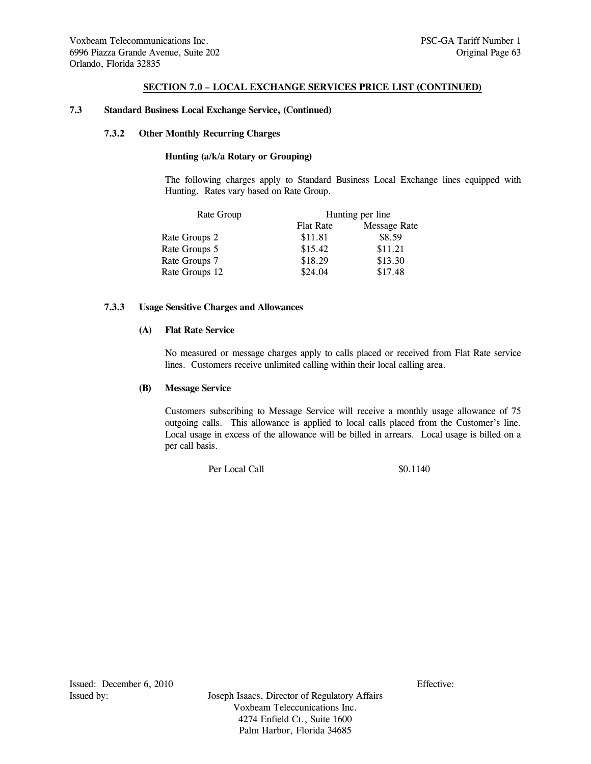### **7.3 Standard Business Local Exchange Service, (Continued)**

#### **7.3.2 Other Monthly Recurring Charges**

## **Hunting (a/k/a Rotary or Grouping)**

 The following charges apply to Standard Business Local Exchange lines equipped with Hunting. Rates vary based on Rate Group.

| Rate Group     | Hunting per line |              |  |
|----------------|------------------|--------------|--|
|                | <b>Flat Rate</b> | Message Rate |  |
| Rate Groups 2  | \$11.81          | \$8.59       |  |
| Rate Groups 5  | \$15.42          | \$11.21      |  |
| Rate Groups 7  | \$18.29          | \$13.30      |  |
| Rate Groups 12 | \$24.04          | \$17.48      |  |

## **7.3.3 Usage Sensitive Charges and Allowances**

#### **(A) Flat Rate Service**

 No measured or message charges apply to calls placed or received from Flat Rate service lines. Customers receive unlimited calling within their local calling area.

## **(B) Message Service**

 Customers subscribing to Message Service will receive a monthly usage allowance of 75 outgoing calls. This allowance is applied to local calls placed from the Customer's line. Local usage in excess of the allowance will be billed in arrears. Local usage is billed on a per call basis.

Per Local Call  $\qquad$  \$0.1140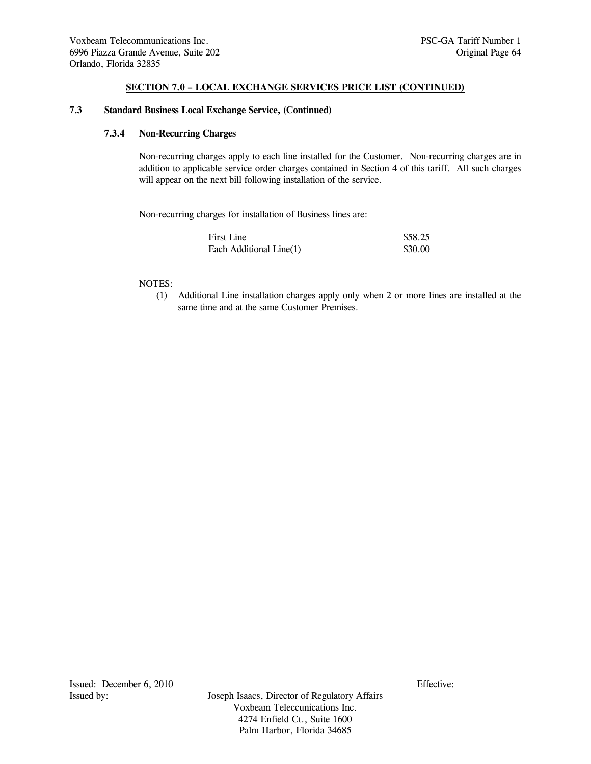## **7.3 Standard Business Local Exchange Service, (Continued)**

## **7.3.4 Non-Recurring Charges**

 Non-recurring charges apply to each line installed for the Customer. Non-recurring charges are in addition to applicable service order charges contained in Section 4 of this tariff. All such charges will appear on the next bill following installation of the service.

Non-recurring charges for installation of Business lines are:

| First Line              | \$58.25 |
|-------------------------|---------|
| Each Additional Line(1) | \$30.00 |

#### NOTES:

 (1) Additional Line installation charges apply only when 2 or more lines are installed at the same time and at the same Customer Premises.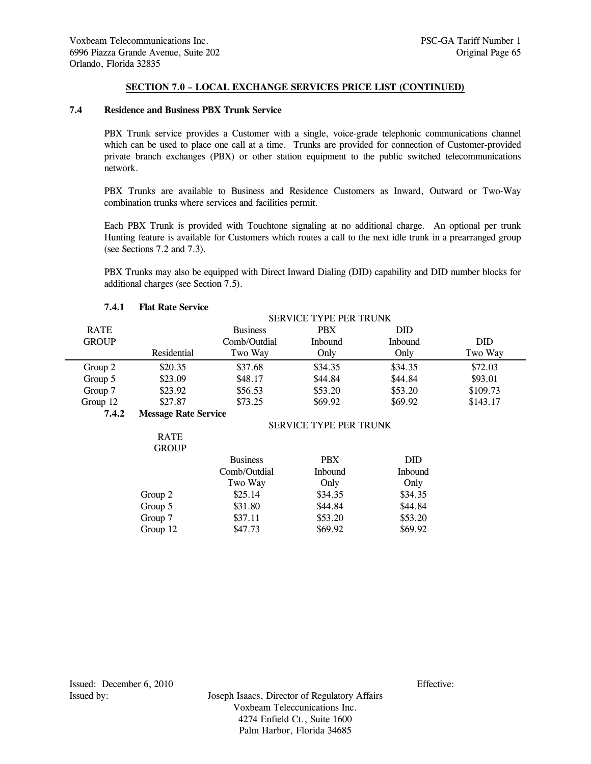### **7.4 Residence and Business PBX Trunk Service**

 PBX Trunk service provides a Customer with a single, voice-grade telephonic communications channel which can be used to place one call at a time. Trunks are provided for connection of Customer-provided private branch exchanges (PBX) or other station equipment to the public switched telecommunications network.

 PBX Trunks are available to Business and Residence Customers as Inward, Outward or Two-Way combination trunks where services and facilities permit.

 Each PBX Trunk is provided with Touchtone signaling at no additional charge. An optional per trunk Hunting feature is available for Customers which routes a call to the next idle trunk in a prearranged group (see Sections 7.2 and 7.3).

 PBX Trunks may also be equipped with Direct Inward Dialing (DID) capability and DID number blocks for additional charges (see Section 7.5).

|              |                             |                 | <b>SERVICE TYPE PER TRUNK</b> |            |          |
|--------------|-----------------------------|-----------------|-------------------------------|------------|----------|
| <b>RATE</b>  |                             | <b>Business</b> | <b>PBX</b>                    | <b>DID</b> |          |
| <b>GROUP</b> |                             | Comb/Outdial    | Inbound                       | Inbound    | DID      |
|              | Residential                 | Two Way         | Only                          | Only       | Two Way  |
| Group 2      | \$20.35                     | \$37.68         | \$34.35                       | \$34.35    | \$72.03  |
| Group 5      | \$23.09                     | \$48.17         | \$44.84                       | \$44.84    | \$93.01  |
| Group 7      | \$23.92                     | \$56.53         | \$53.20                       | \$53.20    | \$109.73 |
| Group 12     | \$27.87                     | \$73.25         | \$69.92                       | \$69.92    | \$143.17 |
| 7.4.2        | <b>Message Rate Service</b> |                 |                               |            |          |
|              |                             |                 | <b>SERVICE TYPE PER TRUNK</b> |            |          |
|              | <b>RATE</b>                 |                 |                               |            |          |
|              | <b>GROUP</b>                |                 |                               |            |          |
|              |                             | <b>Business</b> | <b>PBX</b>                    | <b>DID</b> |          |
|              |                             | Comb/Outdial    | Inbound                       | Inbound    |          |
|              |                             | Two Way         | Only                          | Only       |          |
|              | Group 2                     | \$25.14         | \$34.35                       | \$34.35    |          |
|              | Group 5                     | \$31.80         | \$44.84                       | \$44.84    |          |
|              | Group 7                     | \$37.11         | \$53.20                       | \$53.20    |          |
|              | Group 12                    | \$47.73         | \$69.92                       | \$69.92    |          |

#### **7.4.1 Flat Rate Service**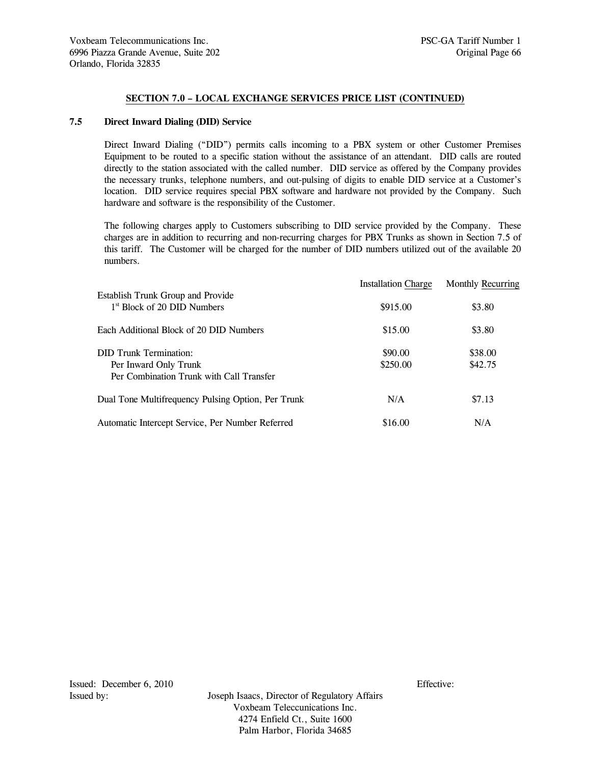# **7.5 Direct Inward Dialing (DID) Service**

 Direct Inward Dialing ("DID") permits calls incoming to a PBX system or other Customer Premises Equipment to be routed to a specific station without the assistance of an attendant. DID calls are routed directly to the station associated with the called number. DID service as offered by the Company provides the necessary trunks, telephone numbers, and out-pulsing of digits to enable DID service at a Customer's location. DID service requires special PBX software and hardware not provided by the Company. Such hardware and software is the responsibility of the Customer.

 The following charges apply to Customers subscribing to DID service provided by the Company. These charges are in addition to recurring and non-recurring charges for PBX Trunks as shown in Section 7.5 of this tariff. The Customer will be charged for the number of DID numbers utilized out of the available 20 numbers.

|                                                                              |          | <b>Installation Charge Monthly Recurring</b> |
|------------------------------------------------------------------------------|----------|----------------------------------------------|
| Establish Trunk Group and Provide<br>1 <sup>st</sup> Block of 20 DID Numbers | \$915.00 | \$3.80                                       |
| Each Additional Block of 20 DID Numbers                                      | \$15.00  | \$3.80                                       |
| DID Trunk Termination:                                                       | \$90.00  | \$38.00                                      |
| Per Inward Only Trunk<br>Per Combination Trunk with Call Transfer            | \$250.00 | \$42.75                                      |
| Dual Tone Multifrequency Pulsing Option, Per Trunk                           | N/A      | \$7.13                                       |
| Automatic Intercept Service, Per Number Referred                             | \$16.00  | N/A                                          |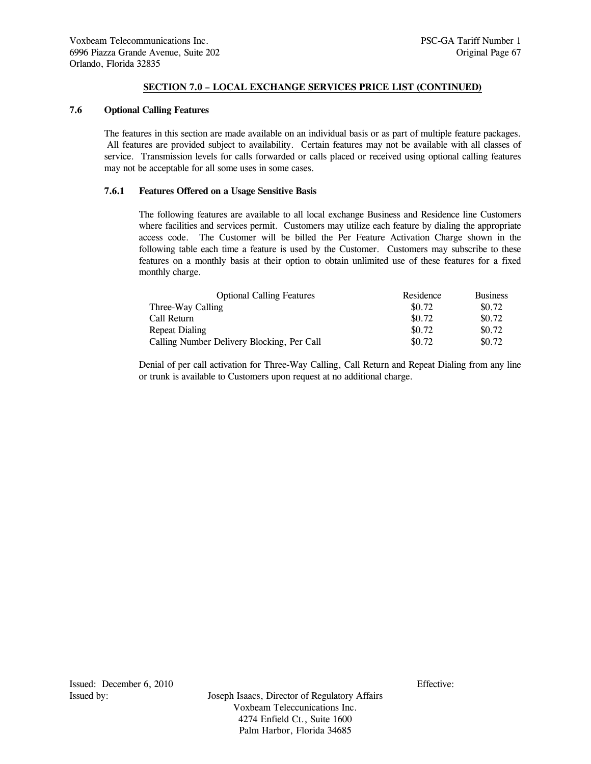## **7.6 Optional Calling Features**

 The features in this section are made available on an individual basis or as part of multiple feature packages. All features are provided subject to availability. Certain features may not be available with all classes of service. Transmission levels for calls forwarded or calls placed or received using optional calling features may not be acceptable for all some uses in some cases.

# **7.6.1 Features Offered on a Usage Sensitive Basis**

 The following features are available to all local exchange Business and Residence line Customers where facilities and services permit. Customers may utilize each feature by dialing the appropriate access code. The Customer will be billed the Per Feature Activation Charge shown in the following table each time a feature is used by the Customer. Customers may subscribe to these features on a monthly basis at their option to obtain unlimited use of these features for a fixed monthly charge.

| <b>Optional Calling Features</b>           | Residence | <b>Business</b> |
|--------------------------------------------|-----------|-----------------|
| Three-Way Calling                          | \$0.72    | \$0.72          |
| Call Return                                | \$0.72    | \$0.72          |
| Repeat Dialing                             | \$0.72    | \$0.72          |
| Calling Number Delivery Blocking, Per Call | \$0.72    | \$0.72          |

 Denial of per call activation for Three-Way Calling, Call Return and Repeat Dialing from any line or trunk is available to Customers upon request at no additional charge.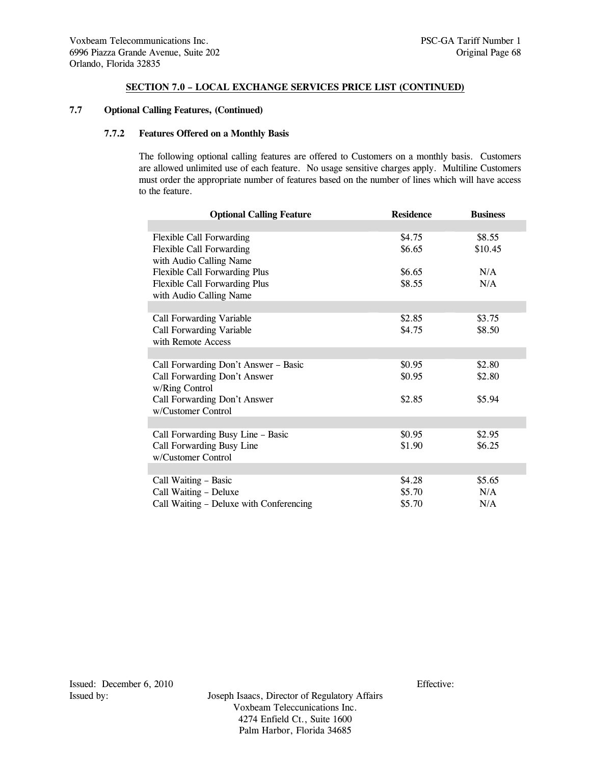## **7.7 Optional Calling Features, (Continued)**

# **7.7.2 Features Offered on a Monthly Basis**

 The following optional calling features are offered to Customers on a monthly basis. Customers are allowed unlimited use of each feature. No usage sensitive charges apply. Multiline Customers must order the appropriate number of features based on the number of lines which will have access to the feature.

| <b>Optional Calling Feature</b>         | <b>Residence</b> | <b>Business</b> |
|-----------------------------------------|------------------|-----------------|
|                                         |                  |                 |
| <b>Flexible Call Forwarding</b>         | \$4.75           | \$8.55          |
| <b>Flexible Call Forwarding</b>         | \$6.65           | \$10.45         |
| with Audio Calling Name                 |                  |                 |
| Flexible Call Forwarding Plus           | \$6.65           | N/A             |
| Flexible Call Forwarding Plus           | \$8.55           | N/A             |
| with Audio Calling Name                 |                  |                 |
|                                         |                  |                 |
| Call Forwarding Variable                | \$2.85           | \$3.75          |
| Call Forwarding Variable                | \$4.75           | \$8.50          |
| with Remote Access                      |                  |                 |
|                                         |                  |                 |
| Call Forwarding Don't Answer - Basic    | \$0.95           | \$2.80          |
| Call Forwarding Don't Answer            | \$0.95           | \$2.80          |
| w/Ring Control                          |                  |                 |
| Call Forwarding Don't Answer            | \$2.85           | \$5.94          |
| w/Customer Control                      |                  |                 |
|                                         |                  |                 |
| Call Forwarding Busy Line - Basic       | \$0.95           | \$2.95          |
| Call Forwarding Busy Line               | \$1.90           | \$6.25          |
| w/Customer Control                      |                  |                 |
|                                         |                  |                 |
| Call Waiting - Basic                    | \$4.28           | \$5.65          |
| Call Waiting - Deluxe                   | \$5.70           | N/A             |
| Call Waiting – Deluxe with Conferencing | \$5.70           | N/A             |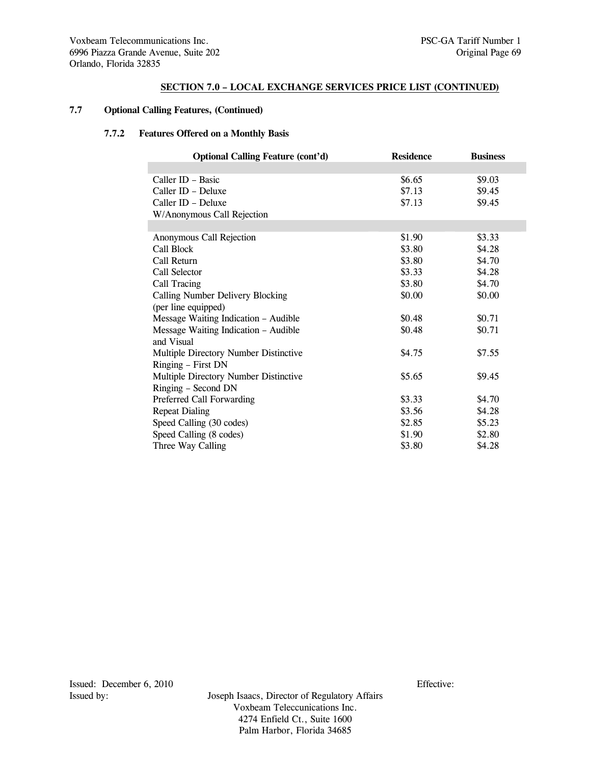# **7.7 Optional Calling Features, (Continued)**

# **7.7.2 Features Offered on a Monthly Basis**

| <b>Optional Calling Feature (cont'd)</b> | <b>Residence</b> | <b>Business</b> |
|------------------------------------------|------------------|-----------------|
|                                          |                  |                 |
| Caller ID - Basic                        | \$6.65           | \$9.03          |
| Caller ID - Deluxe                       | \$7.13           | \$9.45          |
| Caller ID - Deluxe                       | \$7.13           | \$9.45          |
| W/Anonymous Call Rejection               |                  |                 |
|                                          |                  |                 |
| Anonymous Call Rejection                 | \$1.90           | \$3.33          |
| Call Block                               | \$3.80           | \$4.28          |
| Call Return                              | \$3.80           | \$4.70          |
| Call Selector                            | \$3.33           | \$4.28          |
| Call Tracing                             | \$3.80           | \$4.70          |
| Calling Number Delivery Blocking         | \$0.00           | \$0.00          |
| (per line equipped)                      |                  |                 |
| Message Waiting Indication - Audible     | \$0.48           | \$0.71          |
| Message Waiting Indication - Audible     | \$0.48           | \$0.71          |
| and Visual                               |                  |                 |
| Multiple Directory Number Distinctive    | \$4.75           | \$7.55          |
| Ringing - First DN                       |                  |                 |
| Multiple Directory Number Distinctive    | \$5.65           | \$9.45          |
| Ringing - Second DN                      |                  |                 |
| Preferred Call Forwarding                | \$3.33           | \$4.70          |
| <b>Repeat Dialing</b>                    | \$3.56           | \$4.28          |
| Speed Calling (30 codes)                 | \$2.85           | \$5.23          |
| Speed Calling (8 codes)                  | \$1.90           | \$2.80          |
| Three Way Calling                        | \$3.80           | \$4.28          |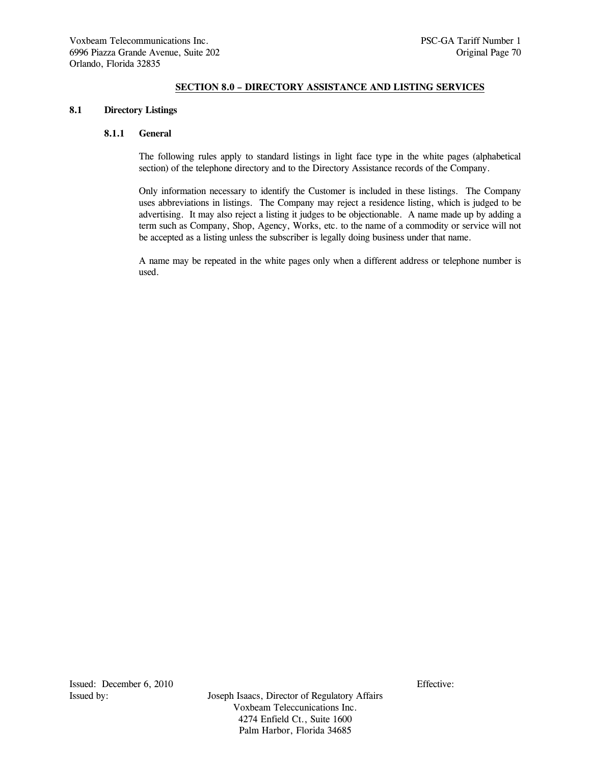## **SECTION 8.0 – DIRECTORY ASSISTANCE AND LISTING SERVICES**

### **8.1 Directory Listings**

## **8.1.1 General**

 The following rules apply to standard listings in light face type in the white pages (alphabetical section) of the telephone directory and to the Directory Assistance records of the Company.

 Only information necessary to identify the Customer is included in these listings. The Company uses abbreviations in listings. The Company may reject a residence listing, which is judged to be advertising. It may also reject a listing it judges to be objectionable. A name made up by adding a term such as Company, Shop, Agency, Works, etc. to the name of a commodity or service will not be accepted as a listing unless the subscriber is legally doing business under that name.

 A name may be repeated in the white pages only when a different address or telephone number is used.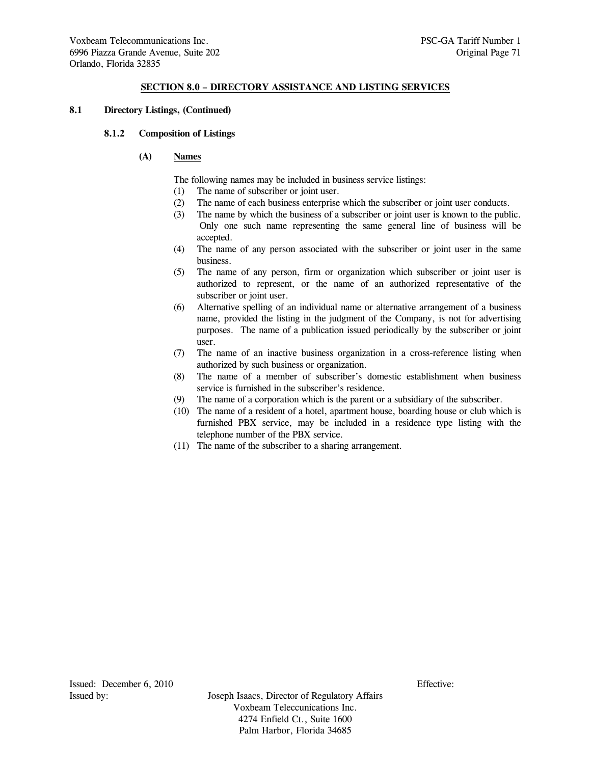# **SECTION 8.0 – DIRECTORY ASSISTANCE AND LISTING SERVICES**

## **8.1 Directory Listings, (Continued)**

#### **8.1.2 Composition of Listings**

## **(A) Names**

The following names may be included in business service listings:

- (1) The name of subscriber or joint user.
- (2) The name of each business enterprise which the subscriber or joint user conducts.
- (3) The name by which the business of a subscriber or joint user is known to the public. Only one such name representing the same general line of business will be accepted.
- (4) The name of any person associated with the subscriber or joint user in the same business.
- (5) The name of any person, firm or organization which subscriber or joint user is authorized to represent, or the name of an authorized representative of the subscriber or joint user.
- (6) Alternative spelling of an individual name or alternative arrangement of a business name, provided the listing in the judgment of the Company, is not for advertising purposes. The name of a publication issued periodically by the subscriber or joint user.
- (7) The name of an inactive business organization in a cross-reference listing when authorized by such business or organization.
- (8) The name of a member of subscriber's domestic establishment when business service is furnished in the subscriber's residence.
- (9) The name of a corporation which is the parent or a subsidiary of the subscriber.
- (10) The name of a resident of a hotel, apartment house, boarding house or club which is furnished PBX service, may be included in a residence type listing with the telephone number of the PBX service.
- (11) The name of the subscriber to a sharing arrangement.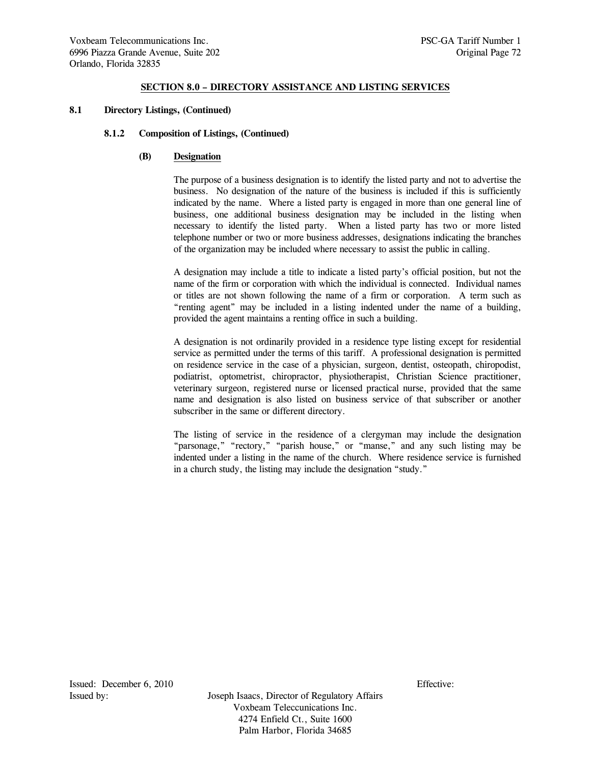## **SECTION 8.0 – DIRECTORY ASSISTANCE AND LISTING SERVICES**

## **8.1 Directory Listings, (Continued)**

#### **8.1.2 Composition of Listings, (Continued)**

#### **(B) Designation**

 The purpose of a business designation is to identify the listed party and not to advertise the business. No designation of the nature of the business is included if this is sufficiently indicated by the name. Where a listed party is engaged in more than one general line of business, one additional business designation may be included in the listing when necessary to identify the listed party. When a listed party has two or more listed telephone number or two or more business addresses, designations indicating the branches of the organization may be included where necessary to assist the public in calling.

 A designation may include a title to indicate a listed party's official position, but not the name of the firm or corporation with which the individual is connected. Individual names or titles are not shown following the name of a firm or corporation. A term such as "renting agent" may be included in a listing indented under the name of a building, provided the agent maintains a renting office in such a building.

 A designation is not ordinarily provided in a residence type listing except for residential service as permitted under the terms of this tariff. A professional designation is permitted on residence service in the case of a physician, surgeon, dentist, osteopath, chiropodist, podiatrist, optometrist, chiropractor, physiotherapist, Christian Science practitioner, veterinary surgeon, registered nurse or licensed practical nurse, provided that the same name and designation is also listed on business service of that subscriber or another subscriber in the same or different directory.

 The listing of service in the residence of a clergyman may include the designation "parsonage," "rectory," "parish house," or "manse," and any such listing may be indented under a listing in the name of the church. Where residence service is furnished in a church study, the listing may include the designation "study."

Issued: December 6, 2010 Effective: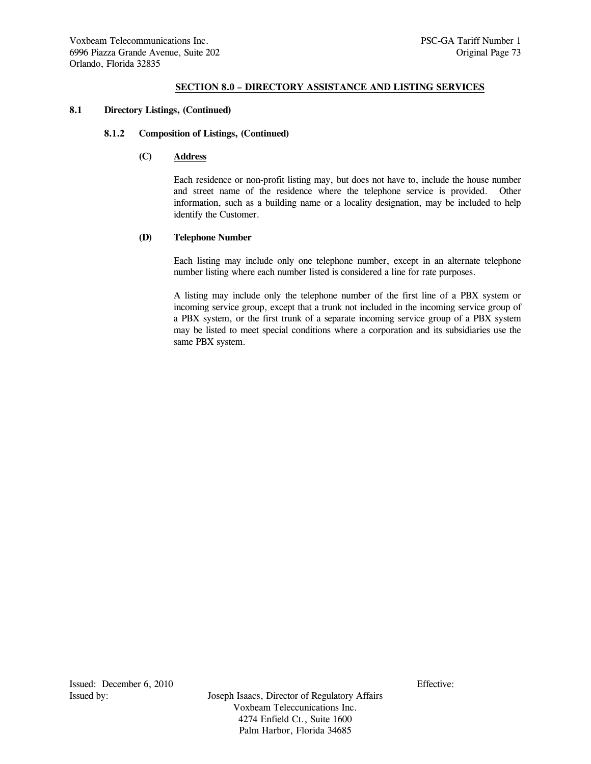## **8.1 Directory Listings, (Continued)**

#### **8.1.2 Composition of Listings, (Continued)**

## **(C) Address**

 Each residence or non-profit listing may, but does not have to, include the house number and street name of the residence where the telephone service is provided. Other information, such as a building name or a locality designation, may be included to help identify the Customer.

#### **(D) Telephone Number**

 Each listing may include only one telephone number, except in an alternate telephone number listing where each number listed is considered a line for rate purposes.

 A listing may include only the telephone number of the first line of a PBX system or incoming service group, except that a trunk not included in the incoming service group of a PBX system, or the first trunk of a separate incoming service group of a PBX system may be listed to meet special conditions where a corporation and its subsidiaries use the same PBX system.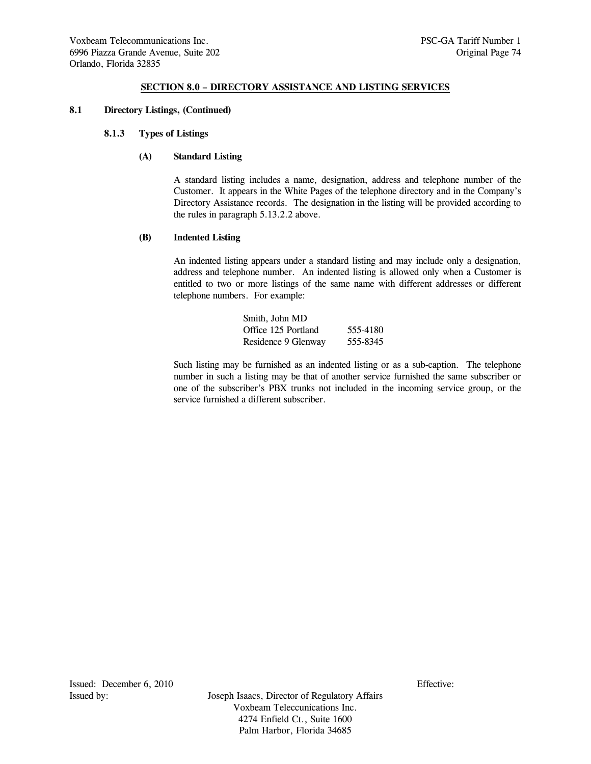#### **8.1 Directory Listings, (Continued)**

#### **8.1.3 Types of Listings**

#### **(A) Standard Listing**

 A standard listing includes a name, designation, address and telephone number of the Customer. It appears in the White Pages of the telephone directory and in the Company's Directory Assistance records. The designation in the listing will be provided according to the rules in paragraph 5.13.2.2 above.

#### **(B) Indented Listing**

 An indented listing appears under a standard listing and may include only a designation, address and telephone number. An indented listing is allowed only when a Customer is entitled to two or more listings of the same name with different addresses or different telephone numbers. For example:

| Smith, John MD      |          |
|---------------------|----------|
| Office 125 Portland | 555-4180 |
| Residence 9 Glenway | 555-8345 |

 Such listing may be furnished as an indented listing or as a sub-caption. The telephone number in such a listing may be that of another service furnished the same subscriber or one of the subscriber's PBX trunks not included in the incoming service group, or the service furnished a different subscriber.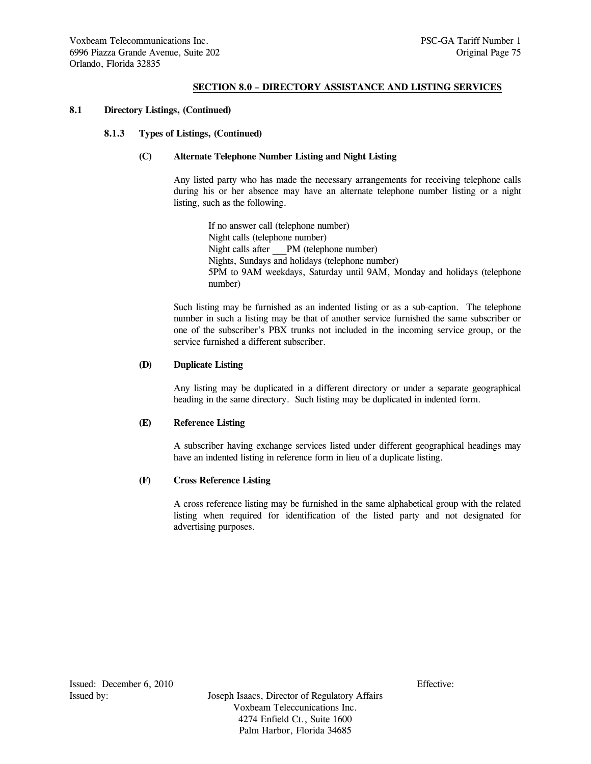## **8.1 Directory Listings, (Continued)**

## **8.1.3 Types of Listings, (Continued)**

## **(C) Alternate Telephone Number Listing and Night Listing**

 Any listed party who has made the necessary arrangements for receiving telephone calls during his or her absence may have an alternate telephone number listing or a night listing, such as the following.

 If no answer call (telephone number) Night calls (telephone number) Night calls after \_\_\_PM (telephone number) Nights, Sundays and holidays (telephone number) 5PM to 9AM weekdays, Saturday until 9AM, Monday and holidays (telephone number)

 Such listing may be furnished as an indented listing or as a sub-caption. The telephone number in such a listing may be that of another service furnished the same subscriber or one of the subscriber's PBX trunks not included in the incoming service group, or the service furnished a different subscriber.

## **(D) Duplicate Listing**

 Any listing may be duplicated in a different directory or under a separate geographical heading in the same directory. Such listing may be duplicated in indented form.

#### **(E) Reference Listing**

 A subscriber having exchange services listed under different geographical headings may have an indented listing in reference form in lieu of a duplicate listing.

#### **(F) Cross Reference Listing**

 A cross reference listing may be furnished in the same alphabetical group with the related listing when required for identification of the listed party and not designated for advertising purposes.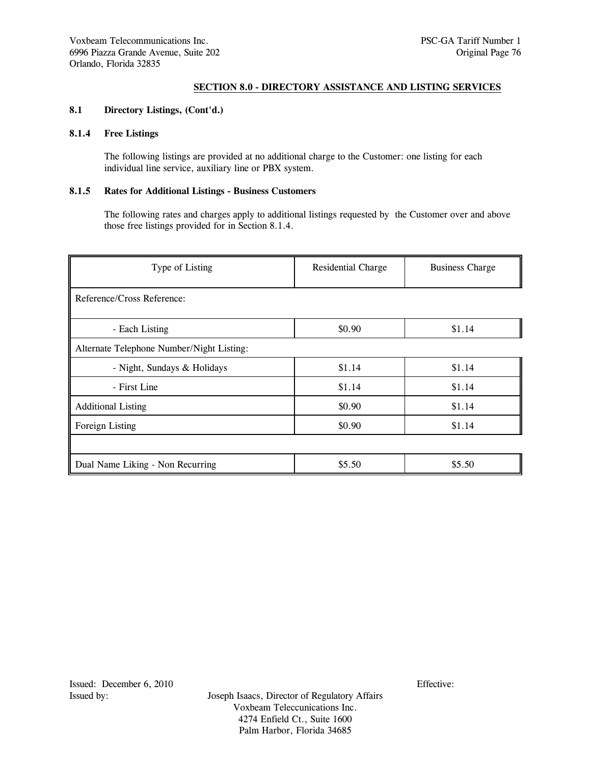## **8.1 Directory Listings, (Cont'd.)**

# **8.1.4 Free Listings**

 The following listings are provided at no additional charge to the Customer: one listing for each individual line service, auxiliary line or PBX system.

# **8.1.5 Rates for Additional Listings - Business Customers**

 The following rates and charges apply to additional listings requested by the Customer over and above those free listings provided for in Section 8.1.4.

| Type of Listing                           | Residential Charge | <b>Business Charge</b> |
|-------------------------------------------|--------------------|------------------------|
| Reference/Cross Reference:                |                    |                        |
| - Each Listing                            | \$0.90             | \$1.14                 |
| Alternate Telephone Number/Night Listing: |                    |                        |
| - Night, Sundays & Holidays               | \$1.14             | \$1.14                 |
| - First Line                              | \$1.14             | \$1.14                 |
| <b>Additional Listing</b>                 | \$0.90             | \$1.14                 |
| Foreign Listing                           | \$0.90             | \$1.14                 |
|                                           |                    |                        |
| Dual Name Liking - Non Recurring          | \$5.50             | \$5.50                 |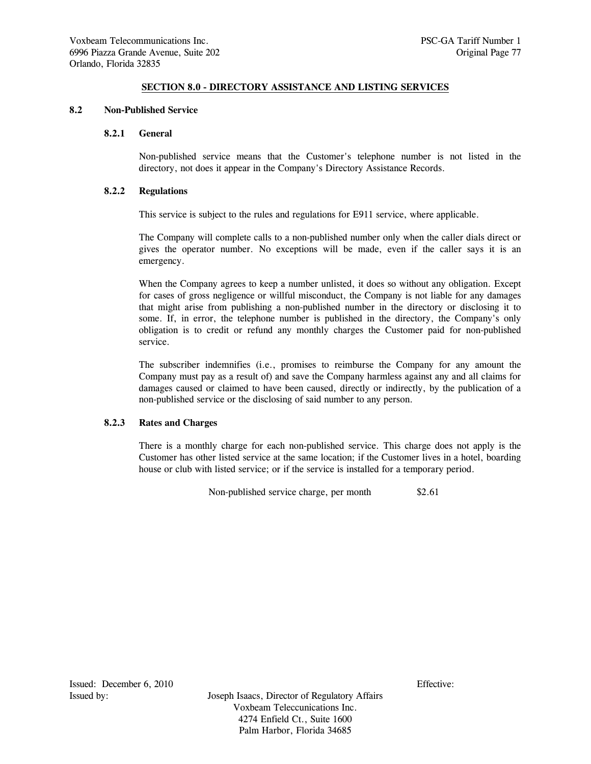## **8.2 Non-Published Service**

#### **8.2.1 General**

 Non-published service means that the Customer's telephone number is not listed in the directory, not does it appear in the Company's Directory Assistance Records.

# **8.2.2 Regulations**

This service is subject to the rules and regulations for E911 service, where applicable.

 The Company will complete calls to a non-published number only when the caller dials direct or gives the operator number. No exceptions will be made, even if the caller says it is an emergency.

 When the Company agrees to keep a number unlisted, it does so without any obligation. Except for cases of gross negligence or willful misconduct, the Company is not liable for any damages that might arise from publishing a non-published number in the directory or disclosing it to some. If, in error, the telephone number is published in the directory, the Company's only obligation is to credit or refund any monthly charges the Customer paid for non-published service.

 The subscriber indemnifies (i.e., promises to reimburse the Company for any amount the Company must pay as a result of) and save the Company harmless against any and all claims for damages caused or claimed to have been caused, directly or indirectly, by the publication of a non-published service or the disclosing of said number to any person.

#### **8.2.3 Rates and Charges**

 There is a monthly charge for each non-published service. This charge does not apply is the Customer has other listed service at the same location; if the Customer lives in a hotel, boarding house or club with listed service; or if the service is installed for a temporary period.

Non-published service charge, per month \$2.61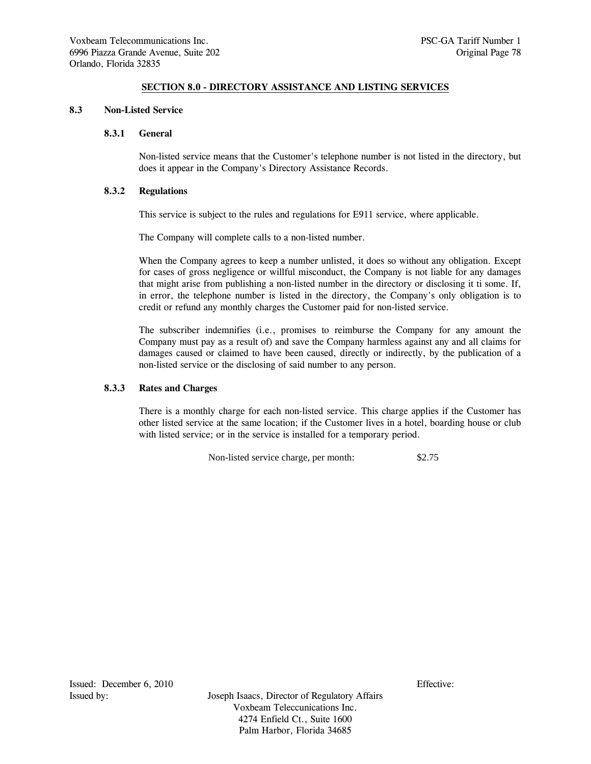#### **8.3 Non-Listed Service**

#### **8.3.1 General**

 Non-listed service means that the Customer's telephone number is not listed in the directory, but does it appear in the Company's Directory Assistance Records.

#### **8.3.2 Regulations**

This service is subject to the rules and regulations for E911 service, where applicable.

The Company will complete calls to a non-listed number.

 When the Company agrees to keep a number unlisted, it does so without any obligation. Except for cases of gross negligence or willful misconduct, the Company is not liable for any damages that might arise from publishing a non-listed number in the directory or disclosing it ti some. If, in error, the telephone number is listed in the directory, the Company's only obligation is to credit or refund any monthly charges the Customer paid for non-listed service.

 The subscriber indemnifies (i.e., promises to reimburse the Company for any amount the Company must pay as a result of) and save the Company harmless against any and all claims for damages caused or claimed to have been caused, directly or indirectly, by the publication of a non-listed service or the disclosing of said number to any person.

## **8.3.3 Rates and Charges**

 There is a monthly charge for each non-listed service. This charge applies if the Customer has other listed service at the same location; if the Customer lives in a hotel, boarding house or club with listed service; or in the service is installed for a temporary period.

Non-listed service charge, per month: \$2.75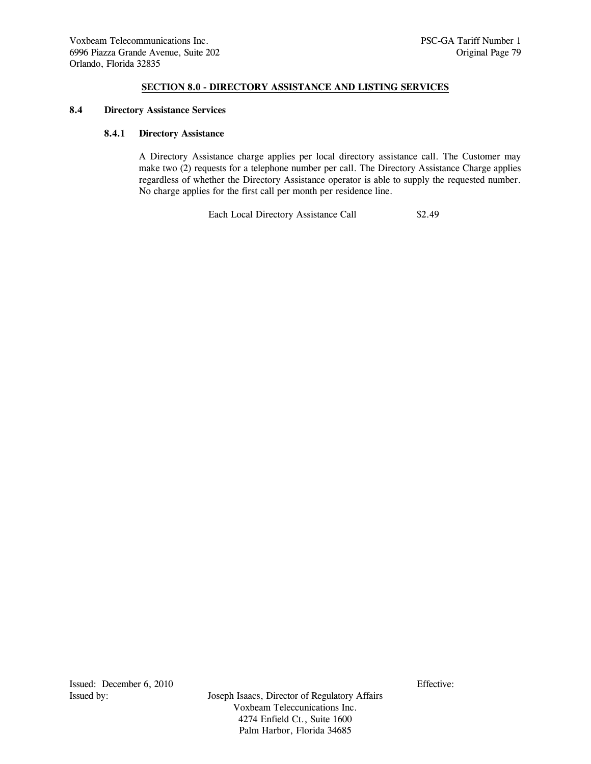## **8.4 Directory Assistance Services**

#### **8.4.1 Directory Assistance**

 A Directory Assistance charge applies per local directory assistance call. The Customer may make two (2) requests for a telephone number per call. The Directory Assistance Charge applies regardless of whether the Directory Assistance operator is able to supply the requested number. No charge applies for the first call per month per residence line.

Each Local Directory Assistance Call \$2.49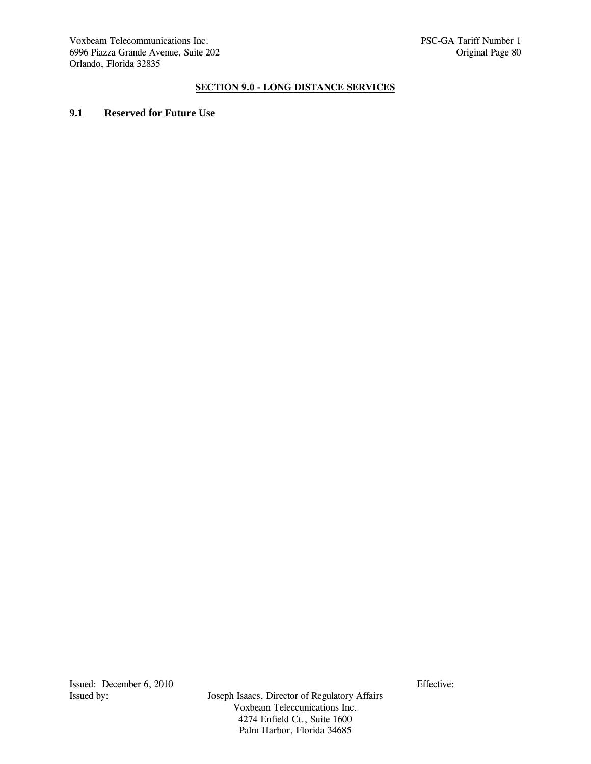Voxbeam Telecommunications Inc. PSC-GA Tariff Number 1 6996 Piazza Grande Avenue, Suite 202 contract est anno 1996 Piazza Grande Avenue, Suite 202 Orlando, Florida 32835

# **SECTION 9.0 - LONG DISTANCE SERVICES**

# **9.1 Reserved for Future Use**

Issued: December 6, 2010<br>Issued by: Issued by: Issued by: Issued by: Issued by: Issued by: Issued by: Issued by: Issued by: Its and Issued Bureau and Issued Bureau and Issued Bureau and Issued Bureau and Issued Bureau and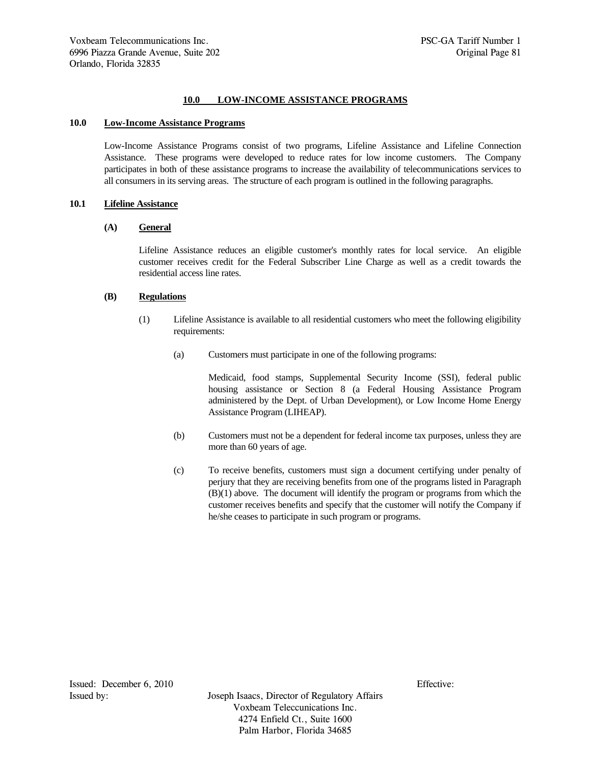## **10.0 LOW-INCOME ASSISTANCE PROGRAMS**

## **10.0 Low-Income Assistance Programs**

Low-Income Assistance Programs consist of two programs, Lifeline Assistance and Lifeline Connection Assistance. These programs were developed to reduce rates for low income customers. The Company participates in both of these assistance programs to increase the availability of telecommunications services to all consumers in its serving areas. The structure of each program is outlined in the following paragraphs.

#### **10.1 Lifeline Assistance**

#### **(A) General**

Lifeline Assistance reduces an eligible customer's monthly rates for local service. An eligible customer receives credit for the Federal Subscriber Line Charge as well as a credit towards the residential access line rates.

## **(B) Regulations**

- (1) Lifeline Assistance is available to all residential customers who meet the following eligibility requirements:
	- (a) Customers must participate in one of the following programs:

Medicaid, food stamps, Supplemental Security Income (SSI), federal public housing assistance or Section 8 (a Federal Housing Assistance Program administered by the Dept. of Urban Development), or Low Income Home Energy Assistance Program (LIHEAP).

- (b) Customers must not be a dependent for federal income tax purposes, unless they are more than 60 years of age.
- (c) To receive benefits, customers must sign a document certifying under penalty of perjury that they are receiving benefits from one of the programs listed in Paragraph (B)(1) above. The document will identify the program or programs from which the customer receives benefits and specify that the customer will notify the Company if he/she ceases to participate in such program or programs.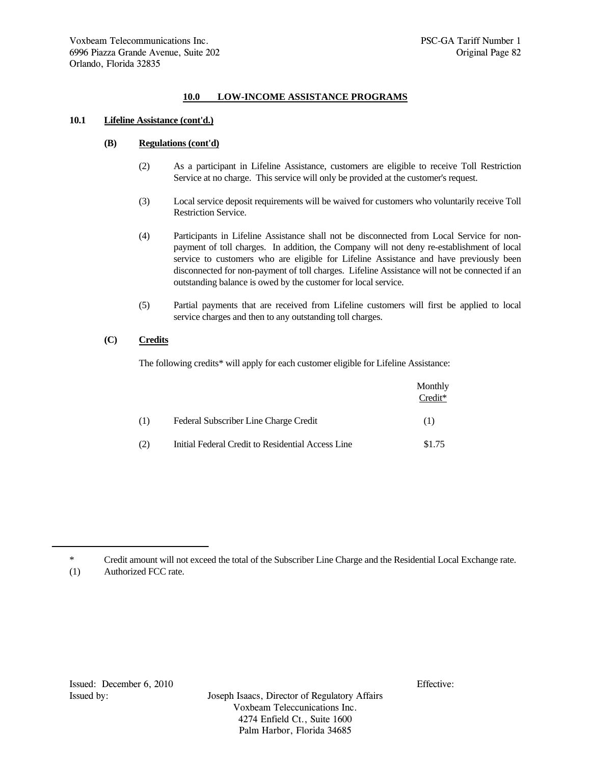# **10.0 LOW-INCOME ASSISTANCE PROGRAMS**

### **10.1 Lifeline Assistance (cont'd.)**

## **(B) Regulations (cont'd)**

- (2) As a participant in Lifeline Assistance, customers are eligible to receive Toll Restriction Service at no charge. This service will only be provided at the customer's request.
- (3) Local service deposit requirements will be waived for customers who voluntarily receive Toll Restriction Service.
- (4) Participants in Lifeline Assistance shall not be disconnected from Local Service for nonpayment of toll charges. In addition, the Company will not deny re-establishment of local service to customers who are eligible for Lifeline Assistance and have previously been disconnected for non-payment of toll charges. Lifeline Assistance will not be connected if an outstanding balance is owed by the customer for local service.
- (5) Partial payments that are received from Lifeline customers will first be applied to local service charges and then to any outstanding toll charges.

# **(C) Credits**

The following credits\* will apply for each customer eligible for Lifeline Assistance:

|     |                                                   | Monthly<br>Credit* |
|-----|---------------------------------------------------|--------------------|
| (1) | Federal Subscriber Line Charge Credit             | (1)                |
| (2) | Initial Federal Credit to Residential Access Line | \$1.75             |

\* Credit amount will not exceed the total of the Subscriber Line Charge and the Residential Local Exchange rate.

<sup>(1)</sup> Authorized FCC rate.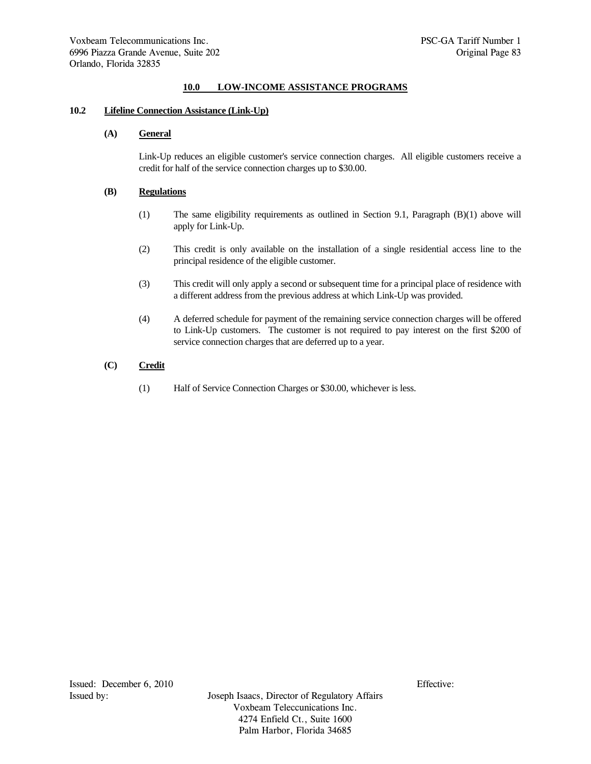# **10.0 LOW-INCOME ASSISTANCE PROGRAMS**

#### **10.2 Lifeline Connection Assistance (Link-Up)**

# **(A) General**

Link-Up reduces an eligible customer's service connection charges. All eligible customers receive a credit for half of the service connection charges up to \$30.00.

## **(B) Regulations**

- (1) The same eligibility requirements as outlined in Section 9.1, Paragraph (B)(1) above will apply for Link-Up.
- (2) This credit is only available on the installation of a single residential access line to the principal residence of the eligible customer.
- (3) This credit will only apply a second or subsequent time for a principal place of residence with a different address from the previous address at which Link-Up was provided.
- (4) A deferred schedule for payment of the remaining service connection charges will be offered to Link-Up customers. The customer is not required to pay interest on the first \$200 of service connection charges that are deferred up to a year.

# **(C) Credit**

(1) Half of Service Connection Charges or \$30.00, whichever is less.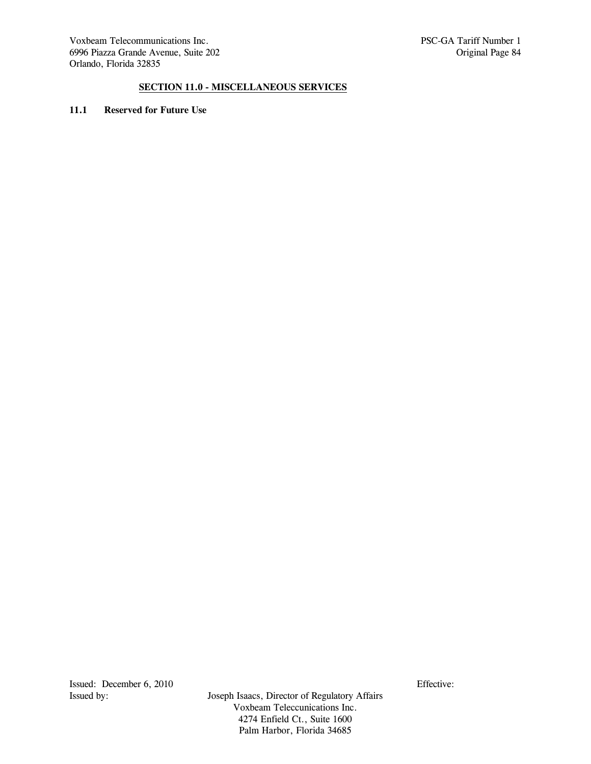# **SECTION 11.0 - MISCELLANEOUS SERVICES**

# **11.1 Reserved for Future Use**

Issued: December 6, 2010<br>Issued by: Issued by: Issued by: Issued by: Issued by: Issued by: Issued by: Issued by: Issued by: Its and Issued Bureau and Issued Bureau and Issued Bureau and Issued Bureau and Issued Bureau and